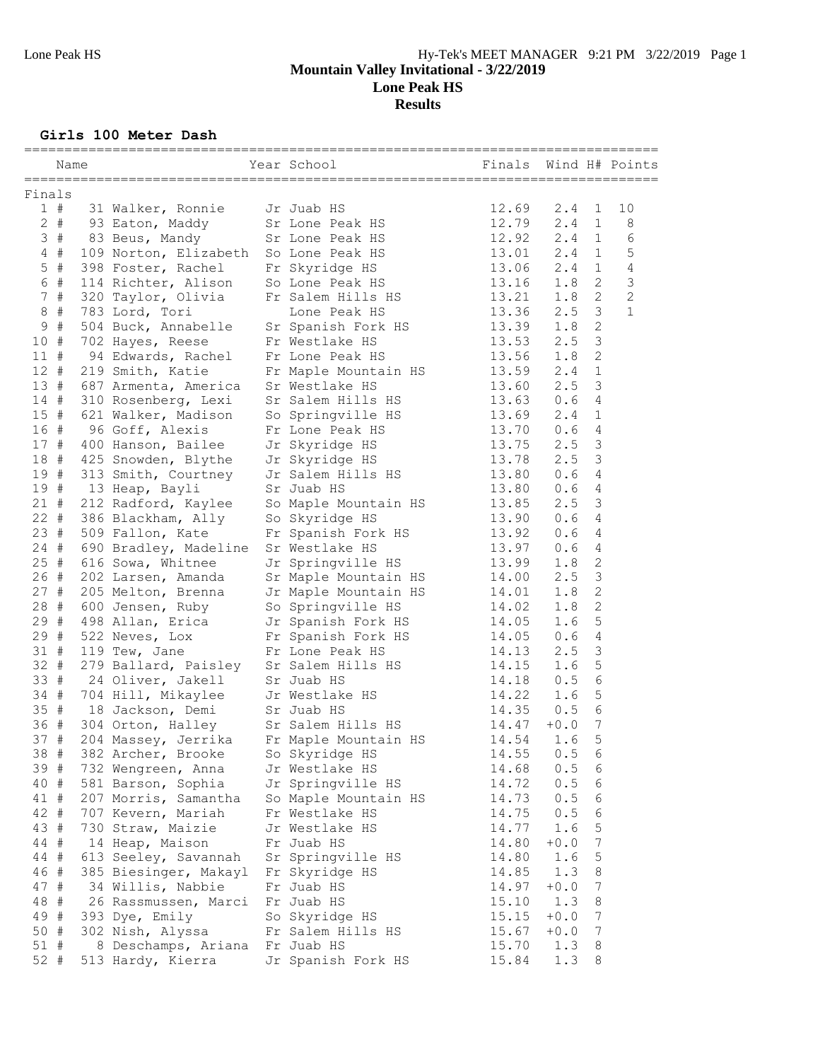**Girls 100 Meter Dash**

|                 |      |                                       | =============                                                               |                       |               |                       |                               |
|-----------------|------|---------------------------------------|-----------------------------------------------------------------------------|-----------------------|---------------|-----------------------|-------------------------------|
|                 | Name |                                       | Year School                                                                 | Finals Wind H# Points |               |                       |                               |
|                 |      |                                       |                                                                             |                       |               |                       |                               |
| Finals<br>$1$ # |      | 31 Walker, Ronnie                     | Jr Juab HS                                                                  | 12.69                 | 2.4           | 1                     | 10                            |
|                 |      | 2 # 93 Eaton, Maddy                   | Sr Lone Peak HS                                                             | 12.79                 | 2.4           | $\mathbf{1}$          | $\,8\,$                       |
| 3#              |      | 83 Beus, Mandy                        | Sr Lone Peak HS                                                             | 12.92                 | 2.4           | $\mathbf{1}$          | $\epsilon$                    |
|                 |      | 109 Norton, Elizabeth So Lone Peak HS |                                                                             | 13.01                 | $2.4 \quad 1$ |                       | 5                             |
| $4$ #           |      |                                       |                                                                             |                       |               | $\mathbf{1}$          | $\sqrt{4}$                    |
| $5$ #<br>6 #    |      | 398 Foster, Rachel                    | Fr Skyridge HS                                                              | 13.06                 | 2.4           | $\mathbf{2}^{\prime}$ |                               |
|                 |      | 114 Richter, Alison So Lone Peak HS   |                                                                             | 13.16                 | 1.8           | $\overline{2}$        | $\mathsf 3$<br>$\overline{c}$ |
| 7#              |      | 320 Taylor, Olivia                    | Fr Salem Hills HS                                                           | 13.21                 | 1.8<br>2.5    | 3                     | $\mathbf{1}$                  |
| $8 +$           |      | 783 Lord, Tori                        | Lone Peak HS                                                                | 13.36<br>13.39        |               | $\mathbf{2}$          |                               |
| 9#              |      |                                       | 504 Buck, Annabelle Sr Spanish Fork HS                                      | 13.53                 | 1.8           | 3                     |                               |
| 10#             |      | 702 Hayes, Reese                      | Fr Westlake HS                                                              |                       | 2.5           |                       |                               |
| 11#             |      | 94 Edwards, Rachel Fr Lone Peak HS    | 13.56                                                                       |                       | 1.8           | 2                     |                               |
| 12#             |      | 219 Smith, Katie                      | Fr Maple Mountain HS                                                        | 13.59                 | 2.4           | $\mathbf 1$           |                               |
| 13#             |      | 687 Armenta, America                  | Sr Westlake HS                                                              | 13.60                 | 2.5           | 3                     |                               |
| 14#             |      | 310 Rosenberg, Lexi                   | Sr Salem Hills HS 13.63<br>So Springville HS 13.69<br>Fr Lone Peak HS 13.70 |                       | 0.6           | 4                     |                               |
| 15#             |      | 621 Walker, Madison                   |                                                                             |                       | 2.4           | $\mathbf{1}$          |                               |
| 16 #            |      | 96 Goff, Alexis                       |                                                                             |                       | 0.6           | 4                     |                               |
| 17#             |      | 400 Hanson, Bailee                    | Jr Skyridge HS 13.75                                                        |                       | 2.5           | $\mathfrak{Z}$        |                               |
| 18 #            |      | 425 Snowden, Blythe                   | 13.78<br>Jr Skyridge HS                                                     |                       | 2.5           | 3                     |                               |
| 19#             |      | 313 Smith, Courtney                   | Jr Salem Hills HS 13.80                                                     |                       | 0.6           | 4                     |                               |
| 19 #            |      | 13 Heap, Bayli                        | Sr Juab HS                                                                  | 13.80                 | 0.6           | 4                     |                               |
| $21 +$          |      | 212 Radford, Kaylee                   | So Maple Mountain HS                                                        | 13.85                 | 2.5           | 3                     |                               |
| $22 +$          |      | 386 Blackham, Ally So Skyridge HS     |                                                                             | 13.90                 | 0.6           | 4                     |                               |
| 23#             |      | 509 Fallon, Kate                      | Fr Spanish Fork HS 13.92                                                    |                       | 0.6           | 4                     |                               |
| $24 +$          |      | 690 Bradley, Madeline Sr Westlake HS  |                                                                             | 13.97                 | 0.6           | 4                     |                               |
| 25#             |      | 616 Sowa, Whitnee                     | Jr Springville HS 13.99                                                     |                       | 1.8           | 2                     |                               |
| 26#             |      | 202 Larsen, Amanda                    | Jr spiingville<br>Sr Maple Mountain HS<br>Jr Maple Mountain HS<br>Allows    | 14.00                 | 2.5           | 3                     |                               |
| $27 +$          |      | 205 Melton, Brenna                    |                                                                             | 14.01                 | 1.8           | $\mathbf{2}$          |                               |
| 28#             |      | 600 Jensen, Ruby So Springville HS    |                                                                             | 14.02                 | 1.8           | $\mathbf{2}$          |                               |
| 29#             |      |                                       | 498 Allan, Erica Jr Spanish Fork HS                                         | 14.05                 | 1.6           | 5                     |                               |
| 29#             |      |                                       | 522 Neves, Lox Fr Spanish Fork HS                                           | 14.05                 | 0.6           | 4                     |                               |
| 31#             |      | 119 Tew, Jane                         | Fr Lone Peak HS                                                             | 14.13                 | 2.5           | 3                     |                               |
| $32 +$          |      |                                       | 279 Ballard, Paisley Sr Salem Hills HS<br>24 Oliver, Jakell Sr Juab HS      | 14.15                 | 1.6           | 5                     |                               |
| 33#             |      |                                       |                                                                             | 14.18                 | 0.5           | 6                     |                               |
| $34 +$          |      | 704 Hill, Mikaylee Jr Westlake HS     |                                                                             | 14.22                 | 1.6           | 5                     |                               |
| 35#             |      | 18 Jackson, Demi Sr Juab HS           |                                                                             | 14.35                 | 0.5           | 6                     |                               |
| 36 #            |      | 304 Orton, Halley Sr Salem Hills HS   | 14.47                                                                       |                       | $+0.0$        | 7                     |                               |
| 37#             |      | 204 Massey, Jerrika                   | Fr Maple Mountain HS                                                        | 14.54                 | 1.6           | 5                     |                               |
| 38 #            |      | 382 Archer, Brooke                    | So Skyridge HS                                                              | 14.55                 | 0.5           | 6                     |                               |
| 39 #            |      | 732 Wengreen, Anna                    | Jr Westlake HS                                                              | 14.68                 | 0.5           | 6                     |                               |
| 40 #            |      | 581 Barson, Sophia                    | Jr Springville HS                                                           | 14.72                 | 0.5           | 6                     |                               |
| 41 #            |      | 207 Morris, Samantha                  | So Maple Mountain HS                                                        | 14.73                 | 0.5           | 6                     |                               |
| 42 #            |      | 707 Kevern, Mariah                    | Fr Westlake HS                                                              | 14.75                 | 0.5           | 6                     |                               |
| 43 #            |      | 730 Straw, Maizie                     | Jr Westlake HS                                                              | 14.77                 | 1.6           | 5                     |                               |
| 44 #            |      | 14 Heap, Maison                       | Fr Juab HS                                                                  | 14.80                 | $+0.0$        | 7                     |                               |
| 44 #            |      | 613 Seeley, Savannah                  | Sr Springville HS                                                           | 14.80                 | 1.6           | 5                     |                               |
| 46 #            |      | 385 Biesinger, Makayl                 | Fr Skyridge HS                                                              | 14.85                 | 1.3           | 8                     |                               |
| 47 #            |      | 34 Willis, Nabbie                     | Fr Juab HS                                                                  | 14.97                 | $+0.0$        | 7                     |                               |
| 48 #            |      | 26 Rassmussen, Marci                  | Fr Juab HS                                                                  | 15.10                 | 1.3           | 8                     |                               |
| 49 #            |      | 393 Dye, Emily                        | So Skyridge HS                                                              | 15.15                 | $+0.0$        | $\boldsymbol{7}$      |                               |
| 50 #            |      | 302 Nish, Alyssa                      | Fr Salem Hills HS                                                           | 15.67                 | $+0.0$        | 7                     |                               |
| 51 #            |      | 8 Deschamps, Ariana                   | Fr Juab HS                                                                  | 15.70                 | 1.3           | 8                     |                               |
| 52 #            |      | 513 Hardy, Kierra                     | Jr Spanish Fork HS                                                          | 15.84                 | 1.3           | 8                     |                               |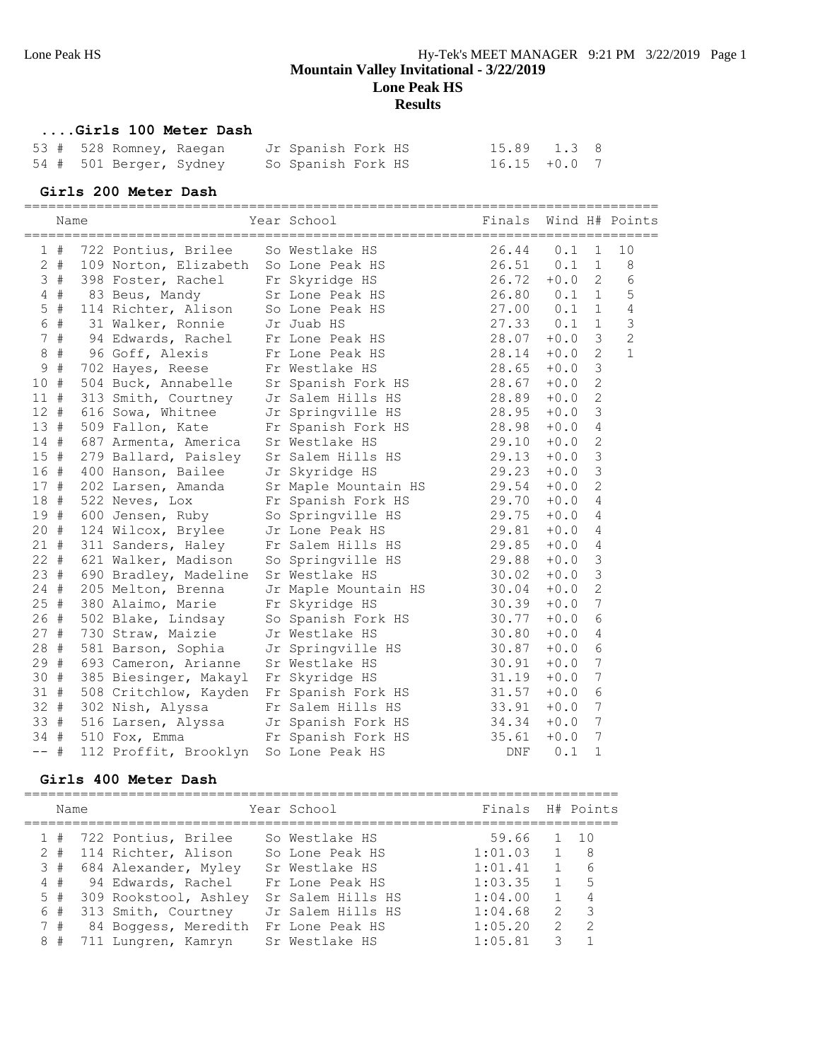#### **....Girls 100 Meter Dash**

|  | 53 # 528 Romney, Raegan |  | Jr Spanish Fork HS |  | 15.89 1.3 8     |  |
|--|-------------------------|--|--------------------|--|-----------------|--|
|  | 54 # 501 Berger, Sydney |  | So Spanish Fork HS |  | $16.15 + 0.0$ 7 |  |

#### **Girls 200 Meter Dash**

|               | Name  |  | Year School and the School and the School                           | Finals Wind H# Points                                                 |                                                     |               |                  |                |
|---------------|-------|--|---------------------------------------------------------------------|-----------------------------------------------------------------------|-----------------------------------------------------|---------------|------------------|----------------|
| $\mathbf{1}$  | #     |  | 722 Pontius, Brilee                                                 | So Westlake HS                                                        | 26.44                                               | 0.1           | $\mathbf{1}$     | 10             |
|               | $2 +$ |  | 109 Norton, Elizabeth So Lone Peak HS                               |                                                                       | 26.51                                               | $0.1 \quad 1$ |                  | $\,8\,$        |
|               | 3#    |  | 398 Foster, Rachel Fr Skyridge HS                                   |                                                                       | 26.72                                               | $+0.0$        | $\overline{2}$   | $6\,$          |
|               | $4$ # |  | 83 Beus, Mandy Sr Lone Peak HS                                      |                                                                       | 26.80 0.1 1                                         |               |                  | 5              |
|               | $5$ # |  | 114 Richter, Alison So Lone Peak HS<br>31 Walker, Ronnie Jr Juab HS |                                                                       | 27.00 0.1                                           |               | $\mathbf{1}$     | $\sqrt{4}$     |
|               | 6 #   |  | 31 Walker, Ronnie Jr Juab HS                                        |                                                                       | 27.33 0.1                                           |               | $\mathbf{1}$     | 3              |
|               | 7#    |  | 94 Edwards, Rachel Fr Lone Peak HS                                  |                                                                       | 28.07                                               | $+0.0$        | 3                | $\overline{c}$ |
| $\,8\,$       | $\#$  |  | 96 Goff, Alexis                                                     | Fr Lone Peak HS                                                       | 28.14                                               | $+0.0$        | $\overline{2}$   | $\mathbf{1}$   |
| $\mathcal{G}$ | $\#$  |  | 702 Hayes, Reese Fr Westlake HS                                     |                                                                       | 28.65                                               | $+0.0$        | 3                |                |
| 10 #          |       |  | 504 Buck, Annabelle                                                 | Sr Spanish Fork HS 28.67                                              |                                                     | $+0.0$        | $\overline{c}$   |                |
| 11#           |       |  |                                                                     | 313 Smith, Courtney Jr Salem Hills HS 28.89                           |                                                     | $+0.0$        | $\overline{2}$   |                |
| $12 +$        |       |  |                                                                     | 616 Sowa, Whitnee Jr Springville HS 28.95                             |                                                     | $+0.0$        | 3                |                |
| 13#           |       |  |                                                                     | 509 Fallon, Kate Fr Spanish Fork HS 28.98                             |                                                     | $+0.0$        | 4                |                |
| 14#           |       |  | 687 Armenta, America Sr Westlake HS                                 | 29.10                                                                 |                                                     | $+0.0$        | $\mathbf{2}$     |                |
| 15#           |       |  |                                                                     | 279 Ballard, Paisley Sr Salem Hills HS 29.13                          |                                                     | $+0.0$        | 3                |                |
| 16#           |       |  | 400 Hanson, Bailee                                                  | Jr Skyridge HS                                                        | 29.23                                               | $+0.0$        | 3                |                |
| 17#           |       |  | 202 Larsen, Amanda                                                  | Sr Maple Mountain HS 29.54                                            |                                                     | $+0.0$        | $\overline{2}$   |                |
| 18#           |       |  | 522 Neves, Lox                                                      | Fr Spanish Fork HS 29.70                                              |                                                     | $+0.0$        | 4                |                |
| 19#           |       |  |                                                                     | 600 Jensen, Ruby So Springville HS 29.75                              |                                                     | $+0.0$        | 4                |                |
| $20 +$        |       |  | 124 Wilcox, Brylee Jr Lone Peak HS                                  | 29.81                                                                 |                                                     | $+0.0$        | 4                |                |
| $21 +$        |       |  |                                                                     | 311 Sanders, Haley Fr Salem Hills HS 29.85                            |                                                     | $+0.0$        | 4                |                |
| $22 +$        |       |  |                                                                     | 621 Walker, Madison So Springville HS 29.88                           |                                                     | $+0.0$        | 3                |                |
| 23#           |       |  | 690 Bradley, Madeline Sr Westlake HS                                |                                                                       | 30.02                                               | $+0.0$        | 3                |                |
| $24 +$        |       |  | 205 Melton, Brenna                                                  | Jr Maple Mountain HS 30.04                                            |                                                     | $+0.0$        | $\overline{c}$   |                |
| 25#           |       |  | 380 Alaimo, Marie                                                   | Fr Skyridge HS                                                        | 30.39                                               | $+0.0$        | 7                |                |
| 26#           |       |  | 502 Blake, Lindsay                                                  | So Spanish Fork HS                                                    | $30.77$<br>$30.80$<br>$30.87$<br>$30.91$<br>$31.19$ | $+0.0$        | 6                |                |
| $27 +$        |       |  | 730 Straw, Maizie                                                   | Jr Westlake HS                                                        |                                                     | $+0.0$        | 4                |                |
| 28 #          |       |  | 581 Barson, Sophia                                                  | Jr Springville HS<br>Sr Mostlabu II                                   |                                                     | $+0.0$        | 6                |                |
| 29 #          |       |  | 693 Cameron, Arianne                                                | Sr Westlake HS                                                        |                                                     | $+0.0$        | 7                |                |
| 30 #          |       |  | 385 Biesinger, Makayl Fr Skyridge HS                                |                                                                       |                                                     | $+0.0$        | 7                |                |
| 31#           |       |  |                                                                     | 508 Critchlow, Kayden Fr Spanish Fork HS 31.57                        |                                                     | $+0.0$        | 6                |                |
| 32 #          |       |  | 302 Nish, Alyssa                                                    | Fr Salem Hills HS                                                     | 33.91                                               | $+0.0$        | $\boldsymbol{7}$ |                |
| 33#           |       |  |                                                                     | 516 Larsen, Alyssa Jr Spanish Fork HS 34.34                           |                                                     | $+0.0$        | $\boldsymbol{7}$ |                |
| 34#           |       |  | 510 Fox, Emma                                                       |                                                                       |                                                     | $+0.0$        | 7                |                |
| $--$ #        |       |  | 112 Proffit, Brooklyn                                               | Jr Spanish roik ho<br>Fr Spanish Fork HS 35.61<br>Co Jone Peak HS DNF |                                                     | 0.1           | $\mathbf 1$      |                |

#### **Girls 400 Meter Dash**

|   | Name |                           | Year School       | Finals H# Points |                |                |
|---|------|---------------------------|-------------------|------------------|----------------|----------------|
|   |      | 1 # 722 Pontius, Brilee   | So Westlake HS    | 59.66            |                | $1 \quad 10$   |
|   |      | 2 # 114 Richter, Alison   | So Lone Peak HS   | 1:01.03          | $\mathbf{1}$   | - 8            |
|   |      | 3 # 684 Alexander, Myley  | Sr Westlake HS    | 1:01.41          | $\mathbf{1}$   | 6              |
|   |      | 4 # 94 Edwards, Rachel    | Fr Lone Peak HS   | 1:03.35          | $\mathbf{1}$   | $5^{\circ}$    |
|   |      | 5 # 309 Rookstool, Ashley | Sr Salem Hills HS | 1:04.00          | $\mathbf{1}$   | $\overline{4}$ |
|   | 6#   | 313 Smith, Courtney       | Jr Salem Hills HS | 1:04.68          |                | $2 \quad 3$    |
|   | 7#   | 84 Boggess, Meredith      | Fr Lone Peak HS   | 1:05.20          | $\overline{2}$ | $\overline{2}$ |
| 8 | #    | 711 Lungren, Kamryn       | Sr Westlake HS    | 1:05.81          | 3              |                |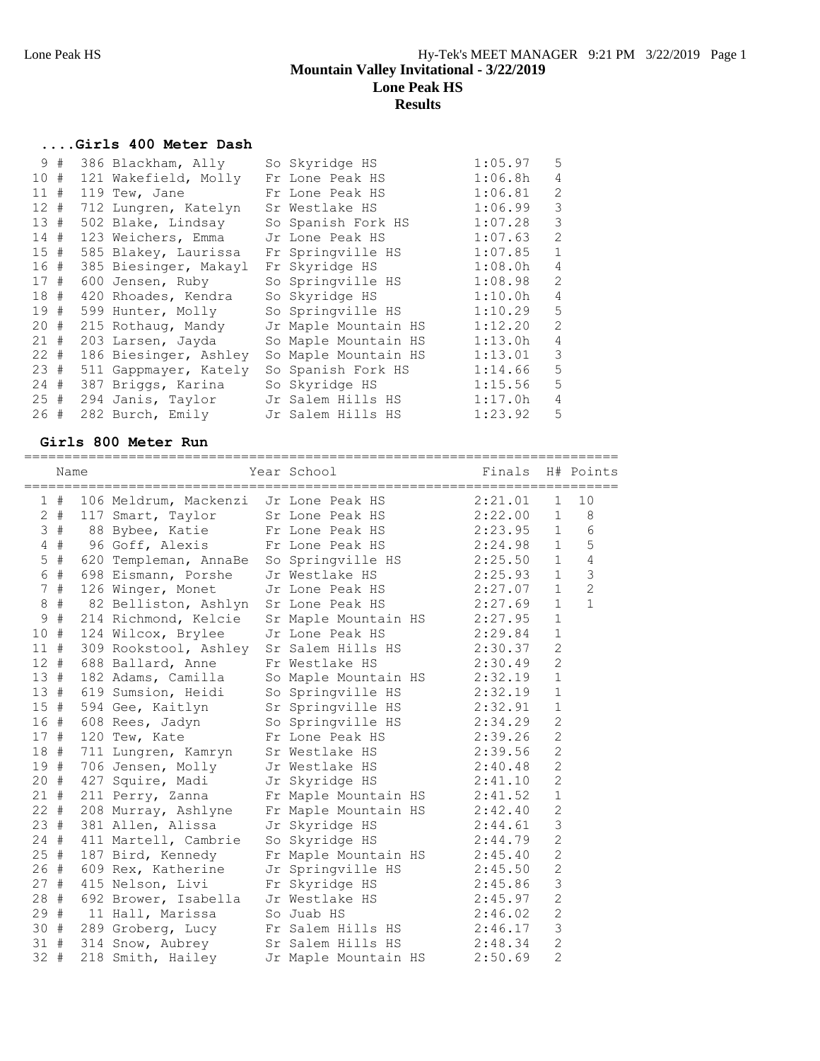# **....Girls 400 Meter Dash**

|        | 9# | 386 Blackham, Ally    | So Skyridge HS       | 1:05.97 | 5              |
|--------|----|-----------------------|----------------------|---------|----------------|
| 10#    |    | 121 Wakefield, Molly  | Fr Lone Peak HS      | 1:06.8h | 4              |
| 11#    |    | 119 Tew, Jane         | Fr Lone Peak HS      | 1:06.81 | $\mathfrak{D}$ |
| $12 +$ |    | 712 Lungren, Katelyn  | Sr Westlake HS       | 1:06.99 | 3              |
| 13#    |    | 502 Blake, Lindsay    | So Spanish Fork HS   | 1:07.28 | 3              |
| 14#    |    | 123 Weichers, Emma    | Jr Lone Peak HS      | 1:07.63 | $\overline{2}$ |
| 15#    |    | 585 Blakey, Laurissa  | Fr Springville HS    | 1:07.85 | $\mathbf{1}$   |
| 16#    |    | 385 Biesinger, Makayl | Fr Skyridge HS       | 1:08.0h | 4              |
| 17#    |    | 600 Jensen, Ruby      | So Springville HS    | 1:08.98 | $\mathfrak{D}$ |
| 18#    |    | 420 Rhoades, Kendra   | So Skyridge HS       | 1:10.0h | 4              |
| 19#    |    | 599 Hunter, Molly     | So Springville HS    | 1:10.29 | 5              |
| 20#    |    | 215 Rothaug, Mandy    | Jr Maple Mountain HS | 1:12.20 | $\overline{2}$ |
| 21#    |    | 203 Larsen, Jayda     | So Maple Mountain HS | 1:13.0h | 4              |
| $22 +$ |    | 186 Biesinger, Ashley | So Maple Mountain HS | 1:13.01 | 3              |
| 23#    |    | 511 Gappmayer, Kately | So Spanish Fork HS   | 1:14.66 | 5              |
| 24#    |    | 387 Briggs, Karina    | So Skyridge HS       | 1:15.56 | 5              |
| 25#    |    | 294 Janis, Taylor     | Jr Salem Hills HS    | 1:17.0h | 4              |
| 26#    |    | 282 Burch, Emily      | Jr Salem Hills HS    | 1:23.92 | 5              |

#### **Girls 800 Meter Run**

|             | Name   |  | Year School <a> Finals H# Points</a>                                                                |                                  |                        |                |                |
|-------------|--------|--|-----------------------------------------------------------------------------------------------------|----------------------------------|------------------------|----------------|----------------|
|             | 1#     |  | 106 Meldrum, Mackenzi Jr Lone Peak HS                                                               |                                  | 2:21.01                | 1              | 10             |
|             |        |  | 2 # 117 Smart, Taylor Sr Lone Peak HS 2:22.00 1                                                     |                                  |                        |                | 8 <sup>8</sup> |
|             |        |  | 3 # 88 Bybee, Katie                                                                                 | Fr Lone Peak HS 2:23.95 1        |                        |                | - 6            |
|             | $4$ #  |  | 96 Goff, Alexis                                                                                     | Fr Lone Peak HS 2:24.98          |                        | 1              | 5              |
|             |        |  | 5 # 620 Templeman, AnnaBe So Springville HS 2:25.50                                                 |                                  |                        | 1              | $\overline{4}$ |
|             | 6 #    |  | 698 Eismann, Porshe                                                                                 | Jr Westlake HS 2:25.93           |                        | 1              | $\mathcal{S}$  |
|             | 7#     |  | 126 Winger, Monet                                                                                   | Jr Lone Peak HS 2:27.07          |                        | 1              | $\overline{2}$ |
| $\,8\,$     | $\#$   |  | 82 Belliston, Ashlyn Sr Lone Peak HS 2:27.69                                                        |                                  |                        | $\mathbf{1}$   | $\mathbf{1}$   |
| $\mathsf 9$ | $\#$   |  | 214 Richmond, Kelcie                                                                                | Sr Maple Mountain HS 2:27.95     |                        | $\mathbf{1}$   |                |
| 10#         |        |  | 124 Wilcox, Brylee                                                                                  | Jr Lone Peak HS                  | 2:29.84                | $\mathbf{1}$   |                |
| 11#         |        |  | 309 Rookstool, Ashley Sr Salem Hills HS 2:30.37                                                     |                                  |                        | $\overline{c}$ |                |
|             |        |  | 12 # 688 Ballard, Anne                                                                              | Fr Westlake HS                   | 2:30.49                | $\overline{2}$ |                |
|             | 13#    |  | 182 Adams, Camilla So Maple Mountain HS 2:32.19                                                     |                                  |                        | $\mathbf{1}$   |                |
|             |        |  | 13 # 619 Sumsion, Heidi So Springville HS 2:32.19                                                   |                                  |                        | $\mathbf{1}$   |                |
|             | 15#    |  | 594 Gee, Kaitlyn Sr Springville HS 2:32.91                                                          |                                  |                        | $\mathbf{1}$   |                |
|             | 16 #   |  | 608 Rees, Jadyn                                                                                     | So Springville HS                | 2:34.29                | $\overline{2}$ |                |
|             | 17#    |  | 120 Tew, Kate                                                                                       | Fr Lone Peak HS 2:39.26          |                        | 2              |                |
|             |        |  | 18 # 711 Lungren, Kamryn Sr Westlake HS                                                             |                                  | $2:39.56$<br>$2:40.48$ | $\mathbf{2}$   |                |
|             | 19 #   |  | 706 Jensen, Molly                                                                                   | Jr Westlake HS                   |                        | $\overline{c}$ |                |
|             | 20 #   |  | 427 Squire, Madi                                                                                    | Jr Skyridge HS 2:41.10           |                        | $\overline{c}$ |                |
|             | $21$ # |  | 211 Perry, Zanna                                                                                    | Fr Maple Mountain HS 2:41.52     |                        | $1\,$          |                |
|             | 22 #   |  | 208 Murray, Ashlyne                                                                                 | Fr Maple Mountain HS 2:42.40     |                        | $\overline{2}$ |                |
|             | 23 #   |  | 381 Allen, Alissa                                                                                   | Jr Skyridge HS<br>So Skyridge HS | 2:44.61                | 3              |                |
|             |        |  | 24 # 411 Martell, Cambrie                                                                           |                                  | 2:44.79                | $\overline{c}$ |                |
|             | 25#    |  | 187 Bird, Kennedy                                                                                   | Fr Maple Mountain HS 2:45.40     |                        | $\overline{c}$ |                |
|             | 26 #   |  | 609 Rex, Katherine                                                                                  | Jr Springville HS 2:45.50        |                        | $\overline{2}$ |                |
|             | 27#    |  | 415 Nelson, Livi                                                                                    | Fr Skyridge HS 2:45.86           |                        | 3              |                |
|             | 28 #   |  | 692 Brower, Isabella                                                                                | Jr Westlake HS 2:45.97           |                        | 2              |                |
|             |        |  | 29 # 11 Hall, Marissa                                                                               | So Juab HS                       | 2:46.02                | 2              |                |
|             |        |  | 30 # 289 Groberg, Lucy Fr Salem Hills HS 2:46.17<br>31 # 314 Show, Aubrey Sr Salem Hills HS 2:48.34 |                                  |                        | $\mathcal{S}$  |                |
|             |        |  |                                                                                                     |                                  |                        | $\overline{c}$ |                |
| $32 +$      |        |  | 218 Smith, Hailey                                                                                   | Jr Maple Mountain HS             | 2:50.69                | $\overline{2}$ |                |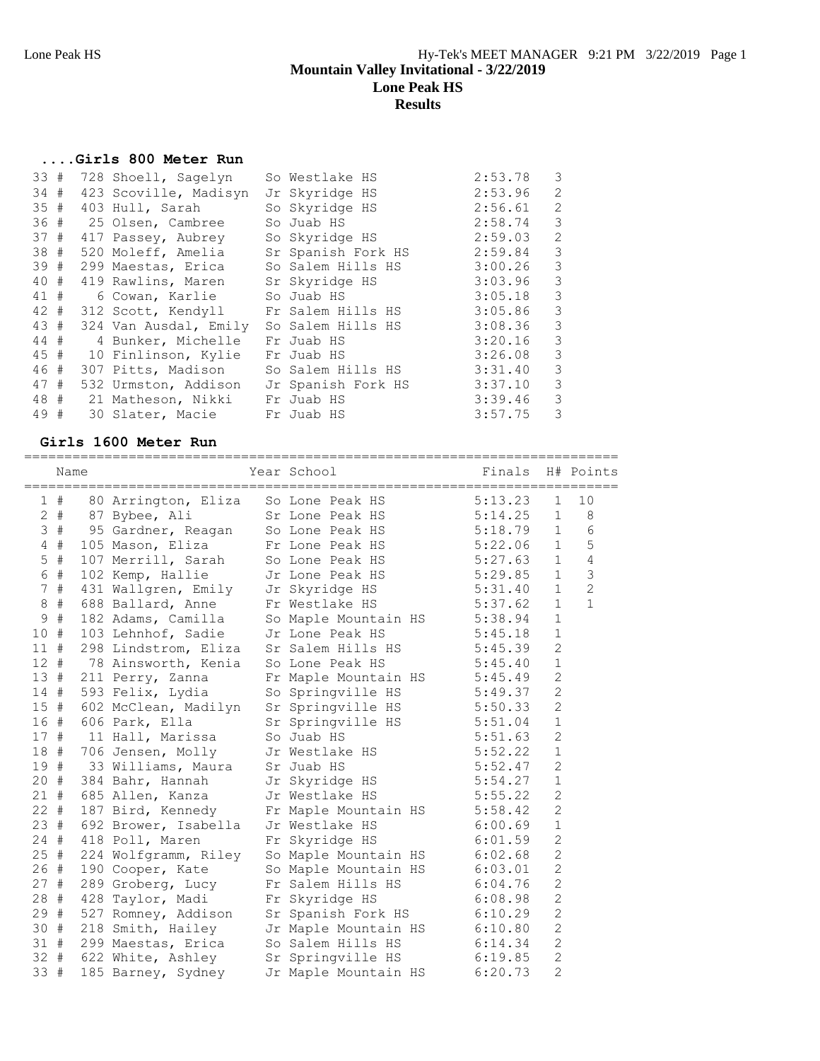### **....Girls 800 Meter Run**

| 33#  |  | 728 Shoell, Sagelyn                       | So Westlake HS            | 2:53.78     | 3                       |
|------|--|-------------------------------------------|---------------------------|-------------|-------------------------|
| 34 # |  | 423 Scoville, Madisyn                     | Jr Skyridge HS            | 2:53.96     | 2                       |
| 35#  |  | 403 Hull, Sarah                           | So Skyridge HS<br>2:56.61 |             | 2                       |
|      |  | 36 # 25 Olsen, Cambree                    | So Juab HS                | 2:58.74     | $\overline{\mathbf{3}}$ |
|      |  | 37 # 417 Passey, Aubrey                   | So Skyridge HS            | 2:59.03     | 2                       |
|      |  | 38 # 520 Moleff, Amelia                   | Sr Spanish Fork HS        | 2:59.84     | 3                       |
|      |  | 39 # 299 Maestas, Erica So Salem Hills HS |                           | 3:00.26     | $\overline{\mathbf{3}}$ |
|      |  | 40 # 419 Rawlins, Maren                   | Sr Skyridge HS            | 3:03.96     | $\overline{\mathbf{3}}$ |
|      |  | 41 # 6 Cowan, Karlie                      | So Juab HS                | 3:05.18     | $\overline{\mathbf{3}}$ |
|      |  | 42 # 312 Scott, Kendyll                   | Fr Salem Hills HS         | 3:05.86     | $\overline{\mathbf{3}}$ |
|      |  | 43 # 324 Van Ausdal, Emily                | So Salem Hills HS         | 3:08.36     | 3                       |
|      |  | 44 # 4 Bunker, Michelle                   | Fr Juab HS                | 3:20.16     | $\overline{\mathbf{3}}$ |
|      |  | 45 # 10 Finlinson, Kylie                  | Fr Juab HS                | $3:26.08$ 3 |                         |
|      |  | 46 # 307 Pitts, Madison                   | So Salem Hills HS         | 3:31.40     | $\overline{\mathbf{3}}$ |
|      |  | 47 # 532 Urmston, Addison                 | Jr Spanish Fork HS        | 3:37.10     | 3                       |
|      |  | 48 # 21 Matheson, Nikki                   | Fr Juab HS                | 3:39.46     | 3                       |
| 49 # |  | 30 Slater, Macie Fr Juab HS               |                           | 3:57.75     | $\overline{\mathbf{3}}$ |

#### **Girls 1600 Meter Run**

|     | 1#    | 80 Arrington, Eliza So Lone Peak HS                                                                                                                                                                           |                              |         | 5:13.23 | 1              | 10             |
|-----|-------|---------------------------------------------------------------------------------------------------------------------------------------------------------------------------------------------------------------|------------------------------|---------|---------|----------------|----------------|
|     |       | 2 # 87 Bybee, Ali                                                                                                                                                                                             | Sr Lone Peak HS 5:14.25      |         |         | $\mathbf{1}$   | 8              |
|     |       | 3 # 95 Gardner, Reagan So Lone Peak HS 5:18.79                                                                                                                                                                |                              |         |         | $\mathbf{1}$   | 6              |
|     |       | 4 # 105 Mason, Eliza Fr Lone Peak HS 5:22.06 1                                                                                                                                                                |                              |         |         |                | 5              |
|     | $5$ # | 107 Merrill, Sarah So Lone Peak HS 5:27.63 1 4                                                                                                                                                                |                              |         |         |                |                |
|     | 6 #   | 102 Kemp, Hallie                                                                                                                                                                                              | Jr Lone Peak HS 5:29.85 1    |         |         |                | $\mathfrak{Z}$ |
|     | 7#    | 431 Wallgren, Emily Jr Skyridge HS 5:31.40 1                                                                                                                                                                  |                              |         |         |                | 2              |
|     |       | 8 # 688 Ballard, Anne Fr Westlake HS 5:37.62<br>9 # 182 Adams, Camilla So Maple Mountain HS 5:38.94<br>10 # 103 Lehnhof, Sadie Jr Lone Peak HS 5:45.18<br>11 # 298 Lindstrom, Eliza Sr Salem Hills HS 5:45.39 |                              |         |         | $\mathbf{1}$   | $\mathbf{1}$   |
|     |       |                                                                                                                                                                                                               |                              |         |         | $\mathbf{1}$   |                |
|     |       |                                                                                                                                                                                                               |                              |         |         | $1\,$          |                |
|     |       |                                                                                                                                                                                                               |                              |         |         | $\overline{c}$ |                |
|     |       | 12 # 78 Ainsworth, Kenia So Lone Peak HS                                                                                                                                                                      |                              |         | 5:45.40 | $\mathbf 1$    |                |
|     |       | 13 # 211 Perry, Zanna                                                                                                                                                                                         | Fr Maple Mountain HS 5:45.49 |         |         | $\overline{c}$ |                |
|     |       | 14 # 593 Felix, Lydia                                                                                                                                                                                         | So Springville HS 5:49.37    |         |         | $\overline{c}$ |                |
|     |       | 15 # 602 McClean, Madilyn                                                                                                                                                                                     | Sr Springville HS 5:50.33    |         |         | $\overline{2}$ |                |
|     | 16 #  | 606 Park, Ella                                                                                                                                                                                                | Sr Springville HS 5:51.04    |         |         | $\,1\,$        |                |
|     |       | 17 # 11 Hall, Marissa                                                                                                                                                                                         | So Juab HS                   | 5:51.63 |         | $\overline{2}$ |                |
|     |       | 18 # 706 Jensen, Molly                                                                                                                                                                                        | Jr Westlake HS               |         | 5:52.22 | $1\,$          |                |
|     |       | 19 # 33 Williams, Maura                                                                                                                                                                                       | Sr Juab HS                   |         | 5:52.47 | $\overline{2}$ |                |
|     | 20#   | 384 Bahr, Hannah                                                                                                                                                                                              | Jr Skyridge HS 5:54.27       |         |         | $\mathbf{1}$   |                |
|     |       | 21 # 685 Allen, Kanza                                                                                                                                                                                         | Jr Westlake HS               |         | 5:55.22 | $\overline{2}$ |                |
|     |       | $22$ # $187$ Bird, Kennedy                                                                                                                                                                                    | Fr Maple Mountain HS 5:58.42 |         |         | $\overline{c}$ |                |
|     |       | 23 # 692 Brower, Isabella Jr Westlake HS                                                                                                                                                                      |                              |         | 6:00.69 | $\mathbf{1}$   |                |
|     |       | 24 # 418 Poll, Maren                                                                                                                                                                                          | Fr Skyridge HS               |         | 6:01.59 | $\overline{2}$ |                |
|     | 25#   | 224 Wolfgramm, Riley So Maple Mountain HS 6:02.68                                                                                                                                                             |                              |         |         | $\overline{c}$ |                |
|     | 26 #  | 190 Cooper, Kate                                                                                                                                                                                              | So Maple Mountain HS 6:03.01 |         |         | $\overline{2}$ |                |
|     | 27#   | 289 Groberg, Lucy                                                                                                                                                                                             | Fr Salem Hills HS 6:04.76    |         |         | $\overline{2}$ |                |
|     | 28 #  | 428 Taylor, Madi                                                                                                                                                                                              | Fr Skyridge HS               | 6:08.98 |         | $\overline{c}$ |                |
|     | 29 #  | 527 Romney, Addison                                                                                                                                                                                           | Sr Spanish Fork HS 6:10.29   |         |         | $\overline{2}$ |                |
|     |       | 30 # 218 Smith, Hailey                                                                                                                                                                                        | Jr Maple Mountain HS 6:10.80 |         |         | $\overline{2}$ |                |
|     |       | 31 # 299 Maestas, Erica                                                                                                                                                                                       | So Salem Hills HS 6:14.34    |         |         | $\overline{c}$ |                |
|     |       | 32 # 622 White, Ashley Sr Springville HS 6:19.85                                                                                                                                                              |                              |         |         | $\overline{2}$ |                |
| 33# |       | 185 Barney, Sydney                                                                                                                                                                                            | Jr Maple Mountain HS 6:20.73 |         |         | $\overline{2}$ |                |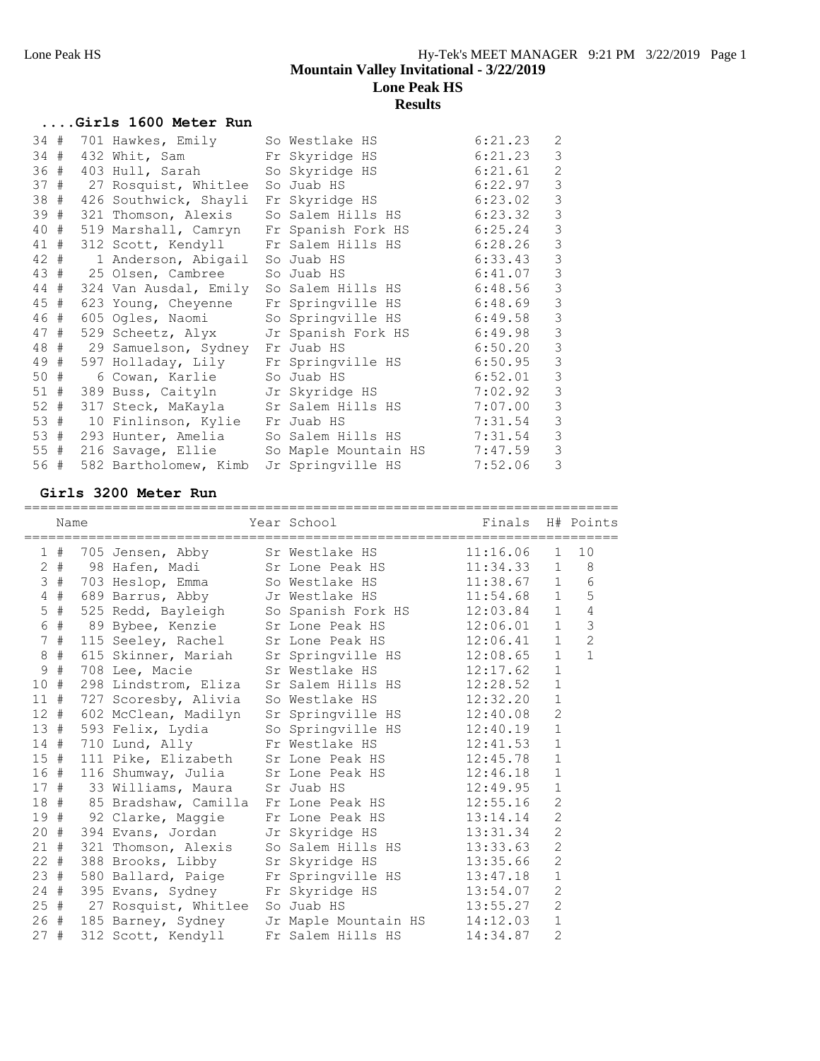|      |     | Girls 1600 Meter Run                      |                                                      |         |                |
|------|-----|-------------------------------------------|------------------------------------------------------|---------|----------------|
|      |     | 34 # 701 Hawkes, Emily                    | So Westlake HS                                       | 6:21.23 | 2              |
|      |     | 34 # 432 Whit, Sam Fr Skyridge HS         |                                                      | 6:21.23 | $\mathcal{S}$  |
|      |     | 36 # 403 Hull, Sarah                      | So Skyridge HS                                       | 6:21.61 | $\overline{2}$ |
|      |     | 37 # 27 Rosquist, Whitlee                 | So Juab HS                                           | 6:22.97 | 3              |
|      |     | 38 # 426 Southwick, Shayli                | Fr Skyridge HS                                       | 6:23.02 | 3              |
|      |     |                                           | 39 # 321 Thomson, Alexis So Salem Hills HS 6:23.32   |         | 3              |
|      |     |                                           | 40 # 519 Marshall, Camryn Fr Spanish Fork HS 6:25.24 |         | 3              |
|      |     |                                           | 41 # 312 Scott, Kendyll Fr Salem Hills HS 6:28.26    |         | 3              |
|      | 42# | 1 Anderson, Abigail So Juab HS            |                                                      | 6:33.43 | 3              |
|      |     | 43 # 25 Olsen, Cambree So Juab HS         |                                                      | 6:41.07 | 3              |
|      |     |                                           | 44 # 324 Van Ausdal, Emily So Salem Hills HS         | 6:48.56 | 3              |
|      |     | 45 # 623 Young, Cheyenne                  | Fr Springville HS 6:48.69                            |         | $\mathcal{S}$  |
|      |     | 46 # 605 Ogles, Naomi                     | So Springville HS 6:49.58                            |         | 3              |
|      |     |                                           | 47 # 529 Scheetz, Alyx Jr Spanish Fork HS 6:49.98    |         | $\mathsf 3$    |
|      |     | 48 # 29 Samuelson, Sydney Fr Juab HS      | 6:50.20                                              |         | 3              |
|      |     |                                           | 49 # 597 Holladay, Lily Fr Springville HS 6:50.95    |         | $\mathsf 3$    |
| 50 # |     | 6 Cowan, Karlie So Juab HS                |                                                      | 6:52.01 | 3              |
|      |     | 51 # 389 Buss, Caityln Jr Skyridge HS     |                                                      | 7:02.92 | $\mathcal{S}$  |
|      |     | 52 # 317 Steck, MaKayla Sr Salem Hills HS |                                                      | 7:07.00 | 3              |
|      |     | 53 # 10 Finlinson, Kylie Fr Juab HS       |                                                      | 7:31.54 | 3              |
|      |     | 53 # 293 Hunter, Amelia So Salem Hills HS |                                                      | 7:31.54 | 3              |
|      |     | 55 # 216 Savage, Ellie                    | So Maple Mountain HS 7:47.59                         |         | 3              |
|      |     | 56 # 582 Bartholomew, Kimb                | Jr Springville HS                                    | 7:52.06 | 3              |

#### **Girls 3200 Meter Run**

|              | Name   | =================================                | Year School       | _______________________________<br>Finals H# Points   |                |                |
|--------------|--------|--------------------------------------------------|-------------------|-------------------------------------------------------|----------------|----------------|
|              | 1#     | 705 Jensen, Abby Sr Westlake HS 11:16.06         |                   |                                                       | $\mathbf{1}$   | 10             |
|              |        | 2 # 98 Hafen, Madi Sr Lone Peak HS 11:34.33      |                   |                                                       |                | $1 \quad 8$    |
|              |        | 3 # 703 Heslop, Emma                             |                   |                                                       |                |                |
|              |        | 4 # 689 Barrus, Abby                             |                   |                                                       |                | 5              |
|              | $5$ #  | 525 Redd, Bayleigh                               |                   | So Spanish Fork HS 12:03.84 1                         |                | $\sqrt{4}$     |
|              |        | 6 # 89 Bybee, Kenzie Sr Lone Peak HS 12:06.01    |                   |                                                       | $\mathbf{1}$   | $\mathfrak{Z}$ |
|              | 7#     | 115 Seeley, Rachel                               |                   |                                                       |                | $\overline{c}$ |
|              | $8$ #  | 615 Skinner, Mariah                              |                   | Sr Springville HS 12:08.65                            | $\mathbf{1}$   | $\mathbf{1}$   |
| $\mathsf{S}$ | #      | 708 Lee, Macie                                   | Sr Westlake HS    | 12:17.62                                              | $\mathbf{1}$   |                |
|              | 10#    | 298 Lindstrom, Eliza                             |                   | Sr Salem Hills HS 12:28.52                            | $\mathbf{1}$   |                |
|              |        | 11 # 727 Scoresby, Alivia                        | So Westlake HS    | 12:32.20                                              | $\mathbf{1}$   |                |
|              |        | 12 # 602 McClean, Madilyn                        |                   | Sr Springville HS 12:40.08                            | $\overline{c}$ |                |
|              | 13#    | 593 Felix, Lydia                                 |                   | So Springville HS 12:40.19                            | $\mathbf{1}$   |                |
|              |        | 14 # 710 Lund, Ally                              |                   | Fr Westlake HS 12:41.53                               | $\mathbf{1}$   |                |
|              | 15#    | 111 Pike, Elizabeth                              |                   | Sr Lone Peak HS 12:45.78                              | $\mathbf{1}$   |                |
|              |        | 16 # 116 Shumway, Julia Sr Lone Peak HS 12:46.18 |                   |                                                       | $\mathbf{1}$   |                |
|              |        | $17$ # 33 Williams, Maura Sr Juab HS $12:49.95$  |                   |                                                       | $\mathbf{1}$   |                |
|              |        | 18 # 85 Bradshaw, Camilla                        |                   | Fr Lone Peak HS 12:55.16                              | $\overline{2}$ |                |
|              |        | 19 # 92 Clarke, Maggie                           |                   | Fr Lone Peak HS 13:14.14                              | $\overline{2}$ |                |
|              | 20 #   | 394 Evans, Jordan                                |                   | Jr Skyridge HS 13:31.34                               | $\overline{2}$ |                |
|              | 21#    | 321 Thomson, Alexis                              |                   | So Salem Hills HS 13:33.63<br>Sr Skyridge HS 13:35.66 | $\overline{c}$ |                |
|              | $22$ # | 388 Brooks, Libby                                | Sr Skyridge HS    |                                                       | $\overline{2}$ |                |
|              |        | 23 # 580 Ballard, Paige                          |                   | Fr Springville HS 13:47.18                            | $\mathbf{1}$   |                |
|              | 24#    | 395 Evans, Sydney                                | Fr Skyridge HS    | 13:54.07                                              | $\overline{2}$ |                |
|              |        | 25 # 27 Rosquist, Whitlee So Juab HS             |                   | 13:55.27                                              | $\overline{2}$ |                |
|              |        | 26 # 185 Barney, Sydney                          |                   | Jr Maple Mountain HS 14:12.03                         | $\mathbf{1}$   |                |
| 27#          |        | 312 Scott, Kendyll                               | Fr Salem Hills HS | 14:34.87                                              | $\overline{2}$ |                |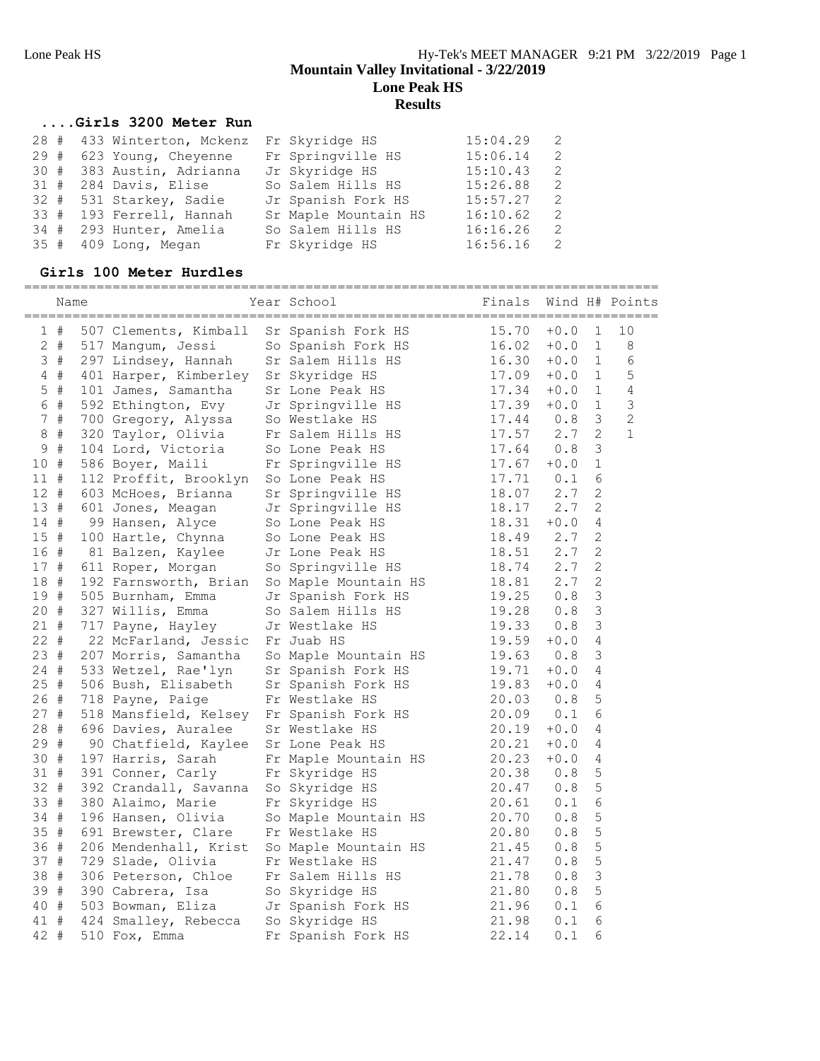#### **....Girls 3200 Meter Run**

|     |  | 28 # 433 Winterton, Mckenz | Fr Skyridge HS       | 15:04.29 | 2  |
|-----|--|----------------------------|----------------------|----------|----|
| 29# |  | 623 Young, Cheyenne        | Fr Springville HS    | 15:06.14 | -2 |
|     |  | 30 # 383 Austin, Adrianna  | Jr Skyridge HS       | 15:10.43 | 2  |
|     |  | 31 # 284 Davis, Elise      | So Salem Hills HS    | 15:26.88 | -2 |
|     |  | 32 # 531 Starkey, Sadie    | Jr Spanish Fork HS   | 15:57.27 | -2 |
|     |  | 33 # 193 Ferrell, Hannah   | Sr Maple Mountain HS | 16:10.62 | 2  |
|     |  | 34 # 293 Hunter, Amelia    | So Salem Hills HS    | 16:16.26 | -2 |
|     |  | 35 # 409 Long, Megan       | Fr Skyridge HS       | 16:56.16 | -2 |

### **Girls 100 Meter Hurdles**

|             | Name  |  |                       |  | Year School          | Finals         |        |              | Wind H# Points |
|-------------|-------|--|-----------------------|--|----------------------|----------------|--------|--------------|----------------|
|             | 1#    |  | 507 Clements, Kimball |  | Sr Spanish Fork HS   | 15.70          | $+0.0$ | $\mathbf 1$  | 10             |
|             | $2 +$ |  | 517 Mangum, Jessi     |  | So Spanish Fork HS   | 16.02          | $+0.0$ | 1            | 8              |
|             | 3#    |  | 297 Lindsey, Hannah   |  | Sr Salem Hills HS    | 16.30          | $+0.0$ | $\mathbf{1}$ | 6              |
|             | $4$ # |  | 401 Harper, Kimberley |  | Sr Skyridge HS       | 17.09          | $+0.0$ | $\mathbf{1}$ | 5              |
|             | $5$ # |  | 101 James, Samantha   |  | Sr Lone Peak HS      | 17.34          | $+0.0$ | 1            | 4              |
|             | 6 #   |  | 592 Ethington, Evy    |  | Jr Springville HS    | 17.39          | $+0.0$ | 1            | $\mathsf 3$    |
|             | 7#    |  | 700 Gregory, Alyssa   |  | So Westlake HS       | 17.44          | 0.8    | 3            | $\sqrt{2}$     |
| 8           | #     |  | 320 Taylor, Olivia    |  | Fr Salem Hills HS    | 17.57          | 2.7    | 2            | $\mathbf 1$    |
| $\mathsf 9$ | #     |  | 104 Lord, Victoria    |  | So Lone Peak HS      | 17.64          | 0.8    | 3            |                |
| 10 #        |       |  | 586 Boyer, Maili      |  | Fr Springville HS    | 17.67          | $+0.0$ | $\mathbf 1$  |                |
| 11#         |       |  | 112 Proffit, Brooklyn |  | So Lone Peak HS      | 17.71          | 0.1    | 6            |                |
| 12#         |       |  | 603 McHoes, Brianna   |  | Sr Springville HS    | 18.07          | 2.7    | 2            |                |
| 13#         |       |  | 601 Jones, Meagan     |  | Jr Springville HS    | 18.17          | 2.7    | $\mathbf{2}$ |                |
| 14 #        |       |  | 99 Hansen, Alyce      |  | So Lone Peak HS      | 18.31          | $+0.0$ | 4            |                |
| 15 #        |       |  | 100 Hartle, Chynna    |  | So Lone Peak HS      | 18.49          | 2.7    | 2            |                |
| 16 #        |       |  | 81 Balzen, Kaylee     |  | Jr Lone Peak HS      | 18.51          | 2.7    | $\mathbf{2}$ |                |
| 17 #        |       |  | 611 Roper, Morgan     |  | So Springville HS    | 18.74          | 2.7    | 2            |                |
| 18          | #     |  | 192 Farnsworth, Brian |  | So Maple Mountain HS | 18.81          | 2.7    | $\mathbf{2}$ |                |
| 19 #        |       |  | 505 Burnham, Emma     |  | Jr Spanish Fork HS   | 19.25          | 0.8    | 3            |                |
| 20 #        |       |  | 327 Willis, Emma      |  | So Salem Hills HS    | 19.28          | 0.8    | 3            |                |
| 21 #        |       |  | 717 Payne, Hayley     |  | Jr Westlake HS       | 19.33          | 0.8    | 3            |                |
| $22 +$      |       |  | 22 McFarland, Jessic  |  | Fr Juab HS           | 19.59          | $+0.0$ | 4            |                |
| 23 #        |       |  | 207 Morris, Samantha  |  | So Maple Mountain HS | 19.63          | 0.8    | 3            |                |
| 24 #        |       |  | 533 Wetzel, Rae'lyn   |  | Sr Spanish Fork HS   | 19.71          | $+0.0$ | 4            |                |
| 25#         |       |  | 506 Bush, Elisabeth   |  | Sr Spanish Fork HS   | 19.83          | $+0.0$ | 4            |                |
| 26#         |       |  | 718 Payne, Paige      |  | Fr Westlake HS       | 20.03          | 0.8    | 5            |                |
| 27#         |       |  | 518 Mansfield, Kelsey |  | Fr Spanish Fork HS   |                | 0.1    | 6            |                |
| 28#         |       |  | 696 Davies, Auralee   |  | Sr Westlake HS       | 20.09<br>20.19 | $+0.0$ | 4            |                |
| 29 #        |       |  | 90 Chatfield, Kaylee  |  | Sr Lone Peak HS      | 20.21          | $+0.0$ | 4            |                |
| 30 #        |       |  | 197 Harris, Sarah     |  | Fr Maple Mountain HS | 20.23          | $+0.0$ | 4            |                |
| 31 #        |       |  | 391 Conner, Carly     |  | Fr Skyridge HS       | 20.38          | 0.8    | 5            |                |
| 32 #        |       |  | 392 Crandall, Savanna |  | So Skyridge HS       | 20.47          | 0.8    | 5            |                |
| 33          | #     |  | 380 Alaimo, Marie     |  | Fr Skyridge HS       | 20.61          | 0.1    | 6            |                |
| 34 #        |       |  | 196 Hansen, Olivia    |  | So Maple Mountain HS | 20.70          | 0.8    | 5            |                |
| 35 #        |       |  | 691 Brewster, Clare   |  | Fr Westlake HS       | 20.80          | 0.8    | 5            |                |
| 36          | #     |  | 206 Mendenhall, Krist |  | So Maple Mountain HS | 21.45          | 0.8    | 5            |                |
| 37 #        |       |  | 729 Slade, Olivia     |  | Fr Westlake HS       | 21.47          | 0.8    | 5            |                |
| 38          | #     |  | 306 Peterson, Chloe   |  | Fr Salem Hills HS    | 21.78          | 0.8    | 3            |                |
| 39 #        |       |  | 390 Cabrera, Isa      |  | So Skyridge HS       | 21.80          | 0.8    | 5            |                |
| 40 #        |       |  | 503 Bowman, Eliza     |  | Jr Spanish Fork HS   | 21.96          | 0.1    | 6            |                |
| 41 #        |       |  | 424 Smalley, Rebecca  |  | So Skyridge HS       | 21.98          | 0.1    | 6            |                |
| 42          | #     |  | 510 Fox, Emma         |  | Fr Spanish Fork HS   | 22.14          | 0.1    | 6            |                |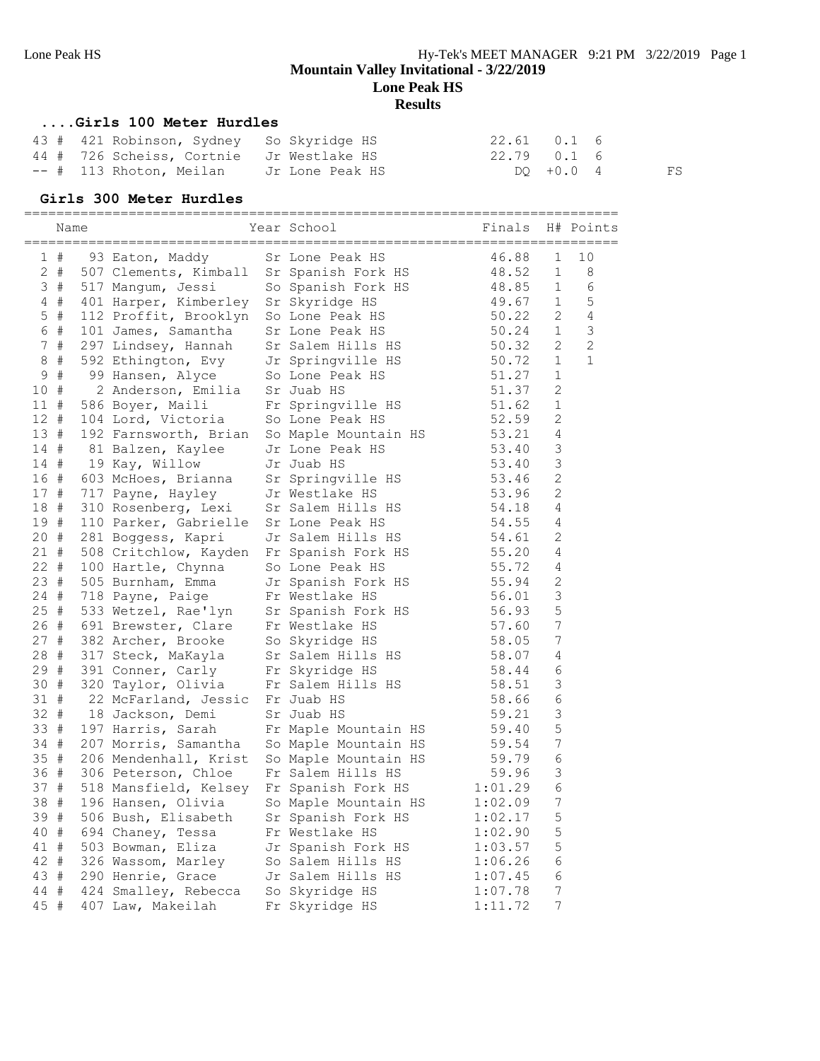#### **....Girls 100 Meter Hurdles**

|  | 43 # 421 Robinson, Sydney So Skyridge HS |                 | 22.61 0.1 6 |             |    |
|--|------------------------------------------|-----------------|-------------|-------------|----|
|  | 44 # 726 Scheiss, Cortnie Jr Westlake HS |                 | 22.79 0.1 6 |             |    |
|  | -- # 113 Rhoton, Meilan                  | Jr Lone Peak HS |             | $DQ + 0.04$ | FS |

### **Girls 300 Meter Hurdles**

### ==========================================================================

|             | Name  |  |                                              | Year School                                | Finals         |                | H# Points      |
|-------------|-------|--|----------------------------------------------|--------------------------------------------|----------------|----------------|----------------|
|             | 1#    |  | 93 Eaton, Maddy                              | Sr Lone Peak HS                            | 46.88          | $\mathbf 1$    | 10             |
|             | $2 +$ |  | 507 Clements, Kimball                        | Sr Spanish Fork HS                         | 48.52          | $\mathbf 1$    | 8              |
|             | 3#    |  | 517 Mangum, Jessi                            | So Spanish Fork HS                         | 48.85          | 1              | 6              |
|             | $4$ # |  | 401 Harper, Kimberley                        | Sr Skyridge HS                             | 49.67          | $\mathbf{1}$   | 5              |
|             | $5$ # |  | 112 Proffit, Brooklyn                        | So Lone Peak HS                            | 50.22          | 2              | 4              |
|             | 6 #   |  | 101 James, Samantha                          | Sr Lone Peak HS                            | 50.24          | $\mathbf{1}$   | $\mathsf 3$    |
|             | 7#    |  | 297 Lindsey, Hannah                          | Sr Salem Hills HS                          | 50.32          | 2              | $\overline{c}$ |
| 8           | $\#$  |  | 592 Ethington, Evy                           | Jr Springville HS                          | 50.72          | $\mathbf{1}$   | $\mathbf{1}$   |
| 9           | $\#$  |  | 99 Hansen, Alyce                             | So Lone Peak HS                            | 51.27          | $\mathbf 1$    |                |
| 10 #        |       |  | 2 Anderson, Emilia                           | Sr Juab HS                                 | 51.37          | $\mathbf{2}$   |                |
| 11#         |       |  | 586 Boyer, Maili                             | Fr Springville HS                          | 51.62          | $\mathbf 1$    |                |
| $12$ #      |       |  | 104 Lord, Victoria                           | So Lone Peak HS                            | 52.59          | 2              |                |
| 13#         |       |  | 192 Farnsworth, Brian                        | So Maple Mountain HS                       | 53.21          | 4              |                |
| 14 #        |       |  | 81 Balzen, Kaylee                            | Jr Lone Peak HS                            | 53.40          | 3              |                |
| 14 #        |       |  | 19 Kay, Willow                               | Jr Juab HS                                 | 53.40          | 3              |                |
| 16 #        |       |  | 603 McHoes, Brianna                          | Sr Springville HS                          | 53.46          | 2              |                |
| 17#         |       |  | 717 Payne, Hayley                            | Jr Westlake HS                             | 53.96          | 2              |                |
| 18 #        |       |  | 310 Rosenberg, Lexi                          | Sr Salem Hills HS                          | 54.18          | 4              |                |
| 19 #        |       |  | 110 Parker, Gabrielle                        | Sr Lone Peak HS                            | 54.55          | 4              |                |
| 20#         |       |  | 281 Boggess, Kapri                           | Jr Salem Hills HS                          | 54.61          | 2              |                |
| $21 +$      |       |  | 508 Critchlow, Kayden                        | Fr Spanish Fork HS                         | 55.20          | 4              |                |
| 22 #        |       |  | 100 Hartle, Chynna                           | So Lone Peak HS                            | 55.72          | 4              |                |
| 23#         |       |  | 505 Burnham, Emma                            | Jr Spanish Fork HS                         | 55.94          | 2              |                |
| 24 #        |       |  | 718 Payne, Paige                             | Fr Westlake HS                             | 56.01          | 3              |                |
| 25#         |       |  | 533 Wetzel, Rae'lyn                          | Sr Spanish Fork HS                         | 56.93          | 5              |                |
| 26 #        |       |  | 691 Brewster, Clare                          | Fr Westlake HS                             | 57.60          | 7              |                |
| 27#         |       |  | 382 Archer, Brooke                           | So Skyridge HS                             | 58.05          | 7              |                |
| 28 #        |       |  | 317 Steck, MaKayla                           | Sr Salem Hills HS                          | 58.07          | 4              |                |
| 29 #        |       |  | 391 Conner, Carly                            | Fr Skyridge HS                             | 58.44          | 6              |                |
| 30#         |       |  | 320 Taylor, Olivia                           | Fr Salem Hills HS                          | 58.51          | 3              |                |
| 31#         |       |  | 22 McFarland, Jessic                         | Fr Juab HS                                 | 58.66          | 6              |                |
| 32 #        |       |  | 18 Jackson, Demi                             | Sr Juab HS                                 | 59.21          | 3<br>5         |                |
| 33 #        |       |  | 197 Harris, Sarah<br>207 Morris, Samantha    | Fr Maple Mountain HS                       | 59.40          | 7              |                |
| 34 #<br>35# |       |  |                                              | So Maple Mountain HS                       | 59.54<br>59.79 | 6              |                |
| 36 #        |       |  | 206 Mendenhall, Krist<br>306 Peterson, Chloe | So Maple Mountain HS<br>Fr Salem Hills HS  | 59.96          | 3              |                |
| 37#         |       |  |                                              |                                            | 1:01.29        | 6              |                |
| 38 #        |       |  | 518 Mansfield, Kelsey<br>196 Hansen, Olivia  | Fr Spanish Fork HS<br>So Maple Mountain HS | 1:02.09        | $\overline{7}$ |                |
| 39#         |       |  | 506 Bush, Elisabeth                          | Sr Spanish Fork HS                         | 1:02.17        | 5              |                |
| 40 #        |       |  | 694 Chaney, Tessa                            | Fr Westlake HS                             | 1:02.90        | 5              |                |
| 41 #        |       |  | 503 Bowman, Eliza                            | Jr Spanish Fork HS                         | 1:03.57        | 5              |                |
| 42 #        |       |  | 326 Wassom, Marley                           | So Salem Hills HS                          | 1:06.26        | 6              |                |
| 43 #        |       |  | 290 Henrie, Grace                            | Jr Salem Hills HS                          | 1:07.45        | 6              |                |
| 44 #        |       |  | 424 Smalley, Rebecca                         | So Skyridge HS                             | 1:07.78        | 7              |                |
| 45 #        |       |  | 407 Law, Makeilah                            | Fr Skyridge HS                             | 1:11.72        | 7              |                |
|             |       |  |                                              |                                            |                |                |                |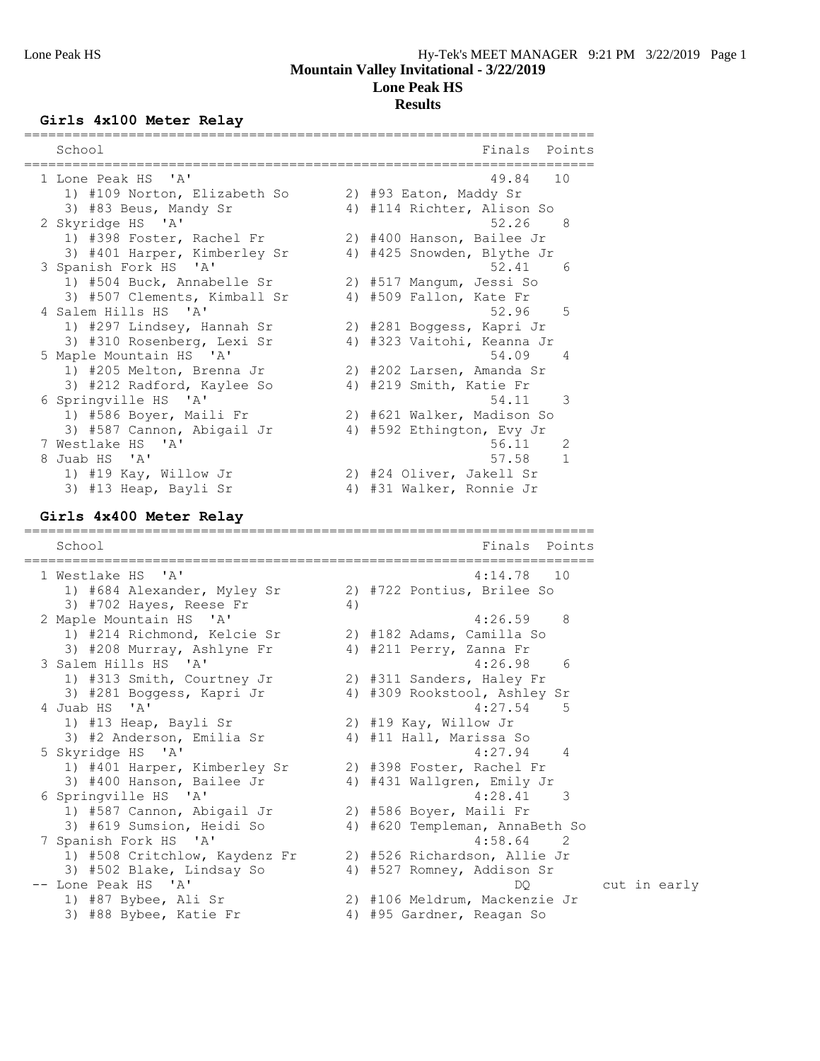#### **Girls 4x100 Meter Relay**

| School                       |    | Finals                     | Points        |
|------------------------------|----|----------------------------|---------------|
| 1 Lone Peak HS 'A'           |    | 49.84 10                   |               |
| 1) #109 Norton, Elizabeth So |    | 2) #93 Eaton, Maddy Sr     |               |
| 3) #83 Beus, Mandy Sr        |    | 4) #114 Richter, Alison So |               |
| 2 Skyridge HS 'A'            |    | 52.26                      | - 8           |
| 1) #398 Foster, Rachel Fr    |    | 2) #400 Hanson, Bailee Jr  |               |
| 3) #401 Harper, Kimberley Sr |    | 4) #425 Snowden, Blythe Jr |               |
| 3 Spanish Fork HS 'A'        |    | 52.41                      | - 6           |
| 1) #504 Buck, Annabelle Sr   |    | 2) #517 Manqum, Jessi So   |               |
| 3) #507 Clements, Kimball Sr | 4) | #509 Fallon, Kate Fr       |               |
| 4 Salem Hills HS 'A'         |    | 52.96 5                    |               |
| 1) #297 Lindsey, Hannah Sr   |    | 2) #281 Boggess, Kapri Jr  |               |
| 3) #310 Rosenberg, Lexi Sr   | 4) | #323 Vaitohi, Keanna Jr    |               |
| 5 Maple Mountain HS 'A'      |    | 54.09<br>$\overline{4}$    |               |
| 1) #205 Melton, Brenna Jr    |    | 2) #202 Larsen, Amanda Sr  |               |
| 3) #212 Radford, Kaylee So   |    | 4) #219 Smith, Katie Fr    |               |
| 6 Springville HS 'A'         |    | 54.11                      | $\mathcal{R}$ |
| 1) #586 Boyer, Maili Fr      |    | 2) #621 Walker, Madison So |               |
| 3) #587 Cannon, Abigail Jr   |    | 4) #592 Ethington, Evy Jr  |               |
| 7 Westlake HS 'A'            |    | 56.11                      | 2             |
| 8 Juab HS 'A'                |    | 57.58                      | $\mathbf{1}$  |
| 1) #19 Kay, Willow Jr        |    | 2) #24 Oliver, Jakell Sr   |               |
| 3) #13 Heap, Bayli Sr        | 4) | #31 Walker, Ronnie Jr      |               |

#### **Girls 4x400 Meter Relay**

======================================================================= School **Finals** Points **Points** ======================================================================= 1 Westlake HS 'A' 4:14.78 10 1) #684 Alexander, Myley Sr 2) #722 Pontius, Brilee So 3) #702 Hayes, Reese Fr 4) 2 Maple Mountain HS 'A' 4:26.59 8 1) #214 Richmond, Kelcie Sr 2) #182 Adams, Camilla So 3) #208 Murray, Ashlyne Fr 4) #211 Perry, Zanna Fr 3 Salem Hills HS 'A' 4:26.98 6 1) #313 Smith, Courtney Jr 2) #311 Sanders, Haley Fr 3) #281 Boggess, Kapri Jr 4) #309 Rookstool, Ashley Sr 4 Juab HS 'A' 4:27.54 5 1) #13 Heap, Bayli Sr 2) #19 Kay, Willow Jr 3) #2 Anderson, Emilia Sr 4) #11 Hall, Marissa So 5 Skyridge HS 'A' 4:27.94 4 1) #401 Harper, Kimberley Sr 2) #398 Foster, Rachel Fr 3) #400 Hanson, Bailee Jr 4) #431 Wallgren, Emily Jr 6 Springville HS 'A' 4:28.41 3 1) #587 Cannon, Abigail Jr 2) #586 Boyer, Maili Fr 3) #619 Sumsion, Heidi So 4) #620 Templeman, AnnaBeth So 7 Spanish Fork HS 'A' 4:58.64 2 1) #508 Critchlow, Kaydenz Fr 2) #526 Richardson, Allie Jr 3) #502 Blake, Lindsay So 4) #527 Romney, Addison Sr -- Lone Peak HS 'A' DQ cut in early 1) #87 Bybee, Ali Sr 2) #106 Meldrum, Mackenzie Jr 3) #88 Bybee, Katie Fr 4) #95 Gardner, Reagan So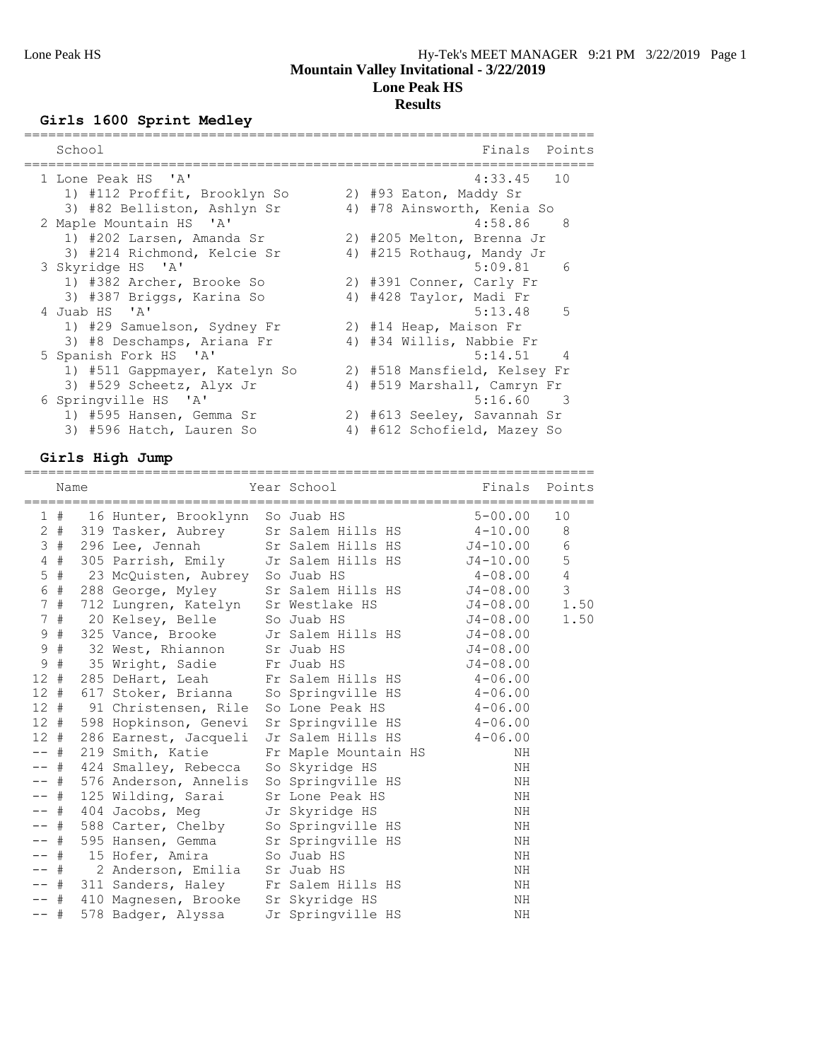# **Girls 1600 Sprint Medley**

| School                        | Finals<br>Points                    |
|-------------------------------|-------------------------------------|
| 1 Lone Peak HS 'A'            | $4:33.45$ 10                        |
| 1) #112 Proffit, Brooklyn So  | 2) #93 Eaton, Maddy Sr              |
| 3) #82 Belliston, Ashlyn Sr   | 4) #78 Ainsworth, Kenia So          |
| 2 Maple Mountain HS 'A'       | 4:58.86<br>- 8                      |
| 1) #202 Larsen, Amanda Sr     | 2) #205 Melton, Brenna Jr           |
| 3) #214 Richmond, Kelcie Sr   | 4) #215 Rothaug, Mandy Jr           |
| 3 Skyridge HS 'A'             | $5:09.81$ 6                         |
| 1) #382 Archer, Brooke So     | 2) #391 Conner, Carly Fr            |
| 3) #387 Briggs, Karina So     | 4) #428 Taylor, Madi Fr             |
| 4 Juab HS 'A'                 | $5:13.48$ 5                         |
| 1) #29 Samuelson, Sydney Fr   | 2) #14 Heap, Maison Fr              |
| 3) #8 Deschamps, Ariana Fr    | 4) #34 Willis, Nabbie Fr            |
| 5 Spanish Fork HS 'A'         | $5:14.51$ 4                         |
| 1) #511 Gappmayer, Katelyn So | 2) #518 Mansfield, Kelsey Fr        |
| 3) #529 Scheetz, Alyx Jr      | 4) #519 Marshall, Camryn Fr         |
| 6 Springville HS 'A'          | 5:16.60<br>$\overline{\phantom{a}}$ |
| 1) #595 Hansen, Gemma Sr      | 2) #613 Seeley, Savannah Sr         |
| 3) #596 Hatch, Lauren So      | 4) #612 Schofield, Mazey So         |

# **Girls High Jump**

|              | Name   |                                                      | Year School               | ======================================<br>Finals Points |                 |
|--------------|--------|------------------------------------------------------|---------------------------|---------------------------------------------------------|-----------------|
|              |        | 1 # 16 Hunter, Brooklynn So Juab HS                  |                           | $5 - 00.00$                                             | 10              |
|              |        | 2 # 319 Tasker, Aubrey Sr Salem Hills HS 4-10.00     |                           |                                                         | - 8             |
|              |        | 3 # 296 Lee, Jennah Sr Salem Hills HS J4-10.00       |                           |                                                         | $6\,$           |
|              |        | 4 # 305 Parrish, Emily Jr Salem Hills HS J4-10.00    |                           |                                                         | $5\phantom{.0}$ |
|              |        | 5 # 23 McQuisten, Aubrey So Juab HS                  |                           | $4 - 08.00$                                             | $\overline{4}$  |
| $\epsilon$   | #      | 288 George, Myley Sr Salem Hills HS J4-08.00         |                           |                                                         | $\overline{3}$  |
|              | 7#     | 712 Lungren, Katelyn Sr Westlake HS                  |                           | J4-08.00                                                | 1.50            |
|              |        | 7 # 20 Kelsey, Belle So Juab HS                      |                           | $J4-08.00$                                              | 1.50            |
| 9            | #      | 325 Vance, Brooke Jr Salem Hills HS J4-08.00         |                           |                                                         |                 |
| $\mathsf 9$  | #      | 32 West, Rhiannon Sr Juab HS                         |                           | $J4 - 08.00$                                            |                 |
| $\mathsf{S}$ | $\#$   | 35 Wright, Sadie Fr Juab HS                          |                           | $J4 - 08.00$                                            |                 |
|              |        | 12 # 285 DeHart, Leah Fr Salem Hills HS 4-06.00      |                           |                                                         |                 |
|              |        | 12 # 617 Stoker, Brianna So Springville HS 4-06.00   |                           |                                                         |                 |
|              |        | 12 # 91 Christensen, Rile So Lone Peak HS 4-06.00    |                           |                                                         |                 |
|              |        | 12 # 598 Hopkinson, Genevi                           | Sr Springville HS 4-06.00 |                                                         |                 |
|              |        | 12 # 286 Earnest, Jacqueli Jr Salem Hills HS 4-06.00 |                           |                                                         |                 |
|              | $--$ # | 219 Smith, Katie Fr Maple Mountain HS                |                           | ΝH                                                      |                 |
|              |        | -- # 424 Smalley, Rebecca So Skyridge HS             |                           | ΝH                                                      |                 |
|              |        | -- # 576 Anderson, Annelis So Springville HS         |                           | ΝH                                                      |                 |
| $- -$        | #      | 125 Wilding, Sarai                                   | Sr Lone Peak HS           | ΝH                                                      |                 |
|              |        | -- # 404 Jacobs, Meg Jr Skyridge HS                  |                           | NH                                                      |                 |
|              |        | -- # 588 Carter, Chelby So Springville HS            |                           | ΝH                                                      |                 |
|              | -- #   | 595 Hansen, Gemma Sr Springville HS                  |                           | NH                                                      |                 |
|              |        | -- # 15 Hofer, Amira So Juab HS                      |                           | ΝH                                                      |                 |
| $--$ #       |        | 2 Anderson, Emilia Sr Juab HS                        |                           | ΝH                                                      |                 |
|              |        | -- # 311 Sanders, Haley Fr Salem Hills HS            |                           | ΝH                                                      |                 |
|              |        | -- # 410 Magnesen, Brooke Sr Skyridge HS             |                           | NH                                                      |                 |
| $--$ #       |        | 578 Badger, Alyssa                                   | Jr Springville HS         | NH                                                      |                 |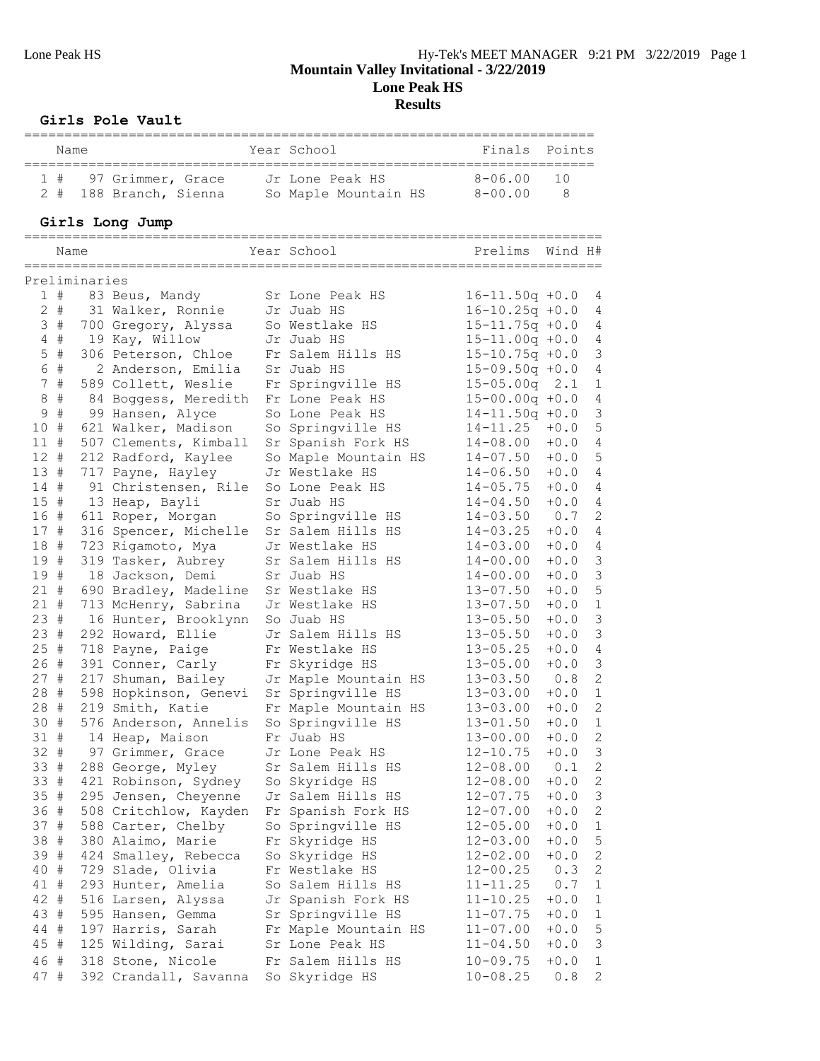## **Girls Pole Vault**

|              |                | Name<br>=============   | ===========================                                  | -------------------------<br>Year School<br>-==================================== | Finals                                     | Points           |                              |
|--------------|----------------|-------------------------|--------------------------------------------------------------|-----------------------------------------------------------------------------------|--------------------------------------------|------------------|------------------------------|
|              | 1#<br>$2 +$    |                         | 97 Grimmer, Grace<br>188 Branch, Sienna So Maple Mountain HS | Jr Lone Peak HS                                                                   | $8 - 06.00$<br>$8 - 00.00$                 | 10<br>8          |                              |
|              |                |                         | Girls Long Jump                                              |                                                                                   |                                            |                  |                              |
|              |                | Name<br>=============== |                                                              | Year School<br>====================                                               | Prelims<br>=======================         | Wind H#          |                              |
|              |                | Preliminaries           |                                                              |                                                                                   |                                            |                  |                              |
|              | 1#             |                         | 83 Beus, Mandy                                               | Sr Lone Peak HS                                                                   | $16 - 11.50q + 0.0$                        |                  | 4                            |
|              | $2 +$          |                         | 31 Walker, Ronnie                                            | Jr Juab HS                                                                        | $16 - 10.25q + 0.0$                        |                  | 4                            |
|              | 3#             |                         | 700 Gregory, Alyssa                                          | So Westlake HS                                                                    | $15 - 11.75q + 0.0$                        |                  | 4                            |
|              | $4$ #<br>$5$ # |                         | 19 Kay, Willow<br>306 Peterson, Chloe                        | Jr Juab HS<br>Fr Salem Hills HS                                                   | $15 - 11.00q + 0.0$<br>$15 - 10.75q + 0.0$ |                  | 4<br>3                       |
|              | 6 #            |                         | 2 Anderson, Emilia                                           | Sr Juab HS                                                                        | $15 - 09.50q + 0.0$                        |                  | 4                            |
|              | 7#             |                         | 589 Collett, Weslie                                          | Fr Springville HS                                                                 | $15 - 05.00q$                              | 2.1              | $\mathbf{1}$                 |
| 8            | #              |                         | 84 Boggess, Meredith                                         | Fr Lone Peak HS                                                                   | $15 - 00.00q + 0.0$                        |                  | 4                            |
| $\mathsf 9$  | $\#$           |                         | 99 Hansen, Alyce                                             | So Lone Peak HS                                                                   | $14 - 11.50q + 0.0$                        |                  | $\mathfrak{Z}$               |
| 10#          |                |                         | 621 Walker, Madison                                          | So Springville HS                                                                 | $14 - 11.25$                               | $+0.0$           | $\mathsf S$                  |
| 11#          |                |                         | 507 Clements, Kimball                                        | Sr Spanish Fork HS                                                                | $14 - 08.00$                               | $+0.0$           | $\overline{4}$               |
| 12#          |                |                         | 212 Radford, Kaylee                                          | So Maple Mountain HS                                                              | $14 - 07.50$                               | $+0.0$           | $\mathsf S$                  |
| 13#          |                |                         | 717 Payne, Hayley                                            | Jr Westlake HS                                                                    | $14 - 06.50$                               | $+0.0$           | 4                            |
| 14 #         |                |                         | 91 Christensen, Rile                                         | So Lone Peak HS                                                                   | $14 - 05.75$                               | $+0.0$           | 4                            |
| 15#          |                |                         | 13 Heap, Bayli                                               | Sr Juab HS                                                                        | $14 - 04.50$                               | $+0.0$           | 4                            |
| 16 #<br>17 # |                |                         | 611 Roper, Morgan<br>316 Spencer, Michelle                   | So Springville HS<br>Sr Salem Hills HS                                            | $14 - 03.50$<br>$14 - 03.25$               | 0.7<br>$+0.0$    | 2<br>4                       |
| 18 #         |                |                         | 723 Rigamoto, Mya                                            | Jr Westlake HS                                                                    | $14 - 03.00$                               | $+0.0$           | 4                            |
| 19 #         |                |                         | 319 Tasker, Aubrey                                           | Sr Salem Hills HS                                                                 | $14 - 00.00$                               | $+0.0$           | 3                            |
| 19 #         |                |                         | 18 Jackson, Demi                                             | Sr Juab HS                                                                        | $14 - 00.00$                               | $+0.0$           | $\mathfrak{Z}$               |
| 21#          |                |                         | 690 Bradley, Madeline                                        | Sr Westlake HS                                                                    | $13 - 07.50$                               | $+0.0$           | $\mathsf S$                  |
| $21 +$       |                |                         | 713 McHenry, Sabrina                                         | Jr Westlake HS                                                                    | $13 - 07.50$                               | $+0.0$           | $\,1\,$                      |
| 23#          |                |                         | 16 Hunter, Brooklynn                                         | So Juab HS                                                                        | $13 - 05.50$                               | $+0.0$           | $\mathcal{S}$                |
| 23#          |                |                         | 292 Howard, Ellie                                            | Jr Salem Hills HS                                                                 | $13 - 05.50$                               | $+0.0$           | $\mathfrak{Z}$               |
| 25#          |                |                         | 718 Payne, Paige                                             | Fr Westlake HS                                                                    | $13 - 05.25$                               | $+0.0$           | 4                            |
| 26#          |                |                         | 391 Conner, Carly                                            | Fr Skyridge HS                                                                    | $13 - 05.00$                               | $+0.0$           | $\mathcal{S}$                |
| 27#          |                |                         | 217 Shuman, Bailey                                           | Jr Maple Mountain HS                                                              | $13 - 03.50$                               | 0.8              | $\sqrt{2}$                   |
| 28#<br>28 #  |                |                         | 598 Hopkinson, Genevi<br>219 Smith, Katie                    | Sr Springville HS<br>Fr Maple Mountain HS                                         | $13 - 03.00$<br>$13 - 03.00$               | $+0.0$<br>$+0.0$ | $\mathbf{1}$<br>$\mathbf{2}$ |
| 30 #         |                |                         | 576 Anderson, Annelis So Springville HS                      |                                                                                   | $13 - 01.50$                               | $+0.0$ 1         |                              |
|              | 31 #           |                         | 14 Heap, Maison                                              | Fr Juab HS                                                                        | $13 - 00.00$                               | $+0.0$           | 2                            |
|              | 32 #           |                         | 97 Grimmer, Grace                                            | Jr Lone Peak HS                                                                   | $12 - 10.75$                               | $+0.0$           | 3                            |
| $33 *$       |                |                         | 288 George, Myley                                            | Sr Salem Hills HS                                                                 | $12 - 08.00$                               | 0.1              | $\sqrt{2}$                   |
| 33 #         |                |                         | 421 Robinson, Sydney                                         | So Skyridge HS                                                                    | $12 - 08.00$                               | $+0.0$           | $\mathbf{2}$                 |
| 35 #         |                |                         | 295 Jensen, Cheyenne                                         | Jr Salem Hills HS                                                                 | $12 - 07.75$                               | $+0.0$           | $\mathcal{S}$                |
| 36 #         |                |                         | 508 Critchlow, Kayden                                        | Fr Spanish Fork HS                                                                | $12 - 07.00$                               | $+0.0$           | $\mathbf{2}$                 |
| 37 #         |                |                         | 588 Carter, Chelby                                           | So Springville HS                                                                 | $12 - 05.00$                               | $+0.0$           | $\mathbf{1}$                 |
| 38 #         |                |                         | 380 Alaimo, Marie                                            | Fr Skyridge HS                                                                    | $12 - 03.00$                               | $+0.0$           | $\mathsf S$                  |
| 39 #         |                |                         | 424 Smalley, Rebecca                                         | So Skyridge HS                                                                    | $12 - 02.00$                               | $+0.0$           | $\mathbf{2}$                 |
| 40 #<br>41 # |                |                         | 729 Slade, Olivia<br>293 Hunter, Amelia                      | Fr Westlake HS<br>So Salem Hills HS                                               | $12 - 00.25$<br>$11 - 11.25$               | 0.3<br>0.7       | 2<br>$\mathbf{1}$            |
| 42 #         |                |                         | 516 Larsen, Alyssa                                           | Jr Spanish Fork HS                                                                | $11 - 10.25$                               | $+0.0$           | $\mathbf{1}$                 |
| 43 #         |                |                         | 595 Hansen, Gemma                                            | Sr Springville HS                                                                 | $11 - 07.75$                               | $+0.0$           | $\mathbf{1}$                 |
| 44 #         |                |                         | 197 Harris, Sarah                                            | Fr Maple Mountain HS                                                              | $11 - 07.00$                               | $+0.0$           | 5                            |
| 45 #         |                |                         | 125 Wilding, Sarai                                           | Sr Lone Peak HS                                                                   | $11 - 04.50$                               | $+0.0$           | 3                            |
| 46 #         |                |                         | 318 Stone, Nicole                                            | Fr Salem Hills HS                                                                 | $10 - 09.75$                               | $+0.0$           | $\mathbf{1}$                 |

47 # 392 Crandall, Savanna So Skyridge HS 10-08.25 0.8 2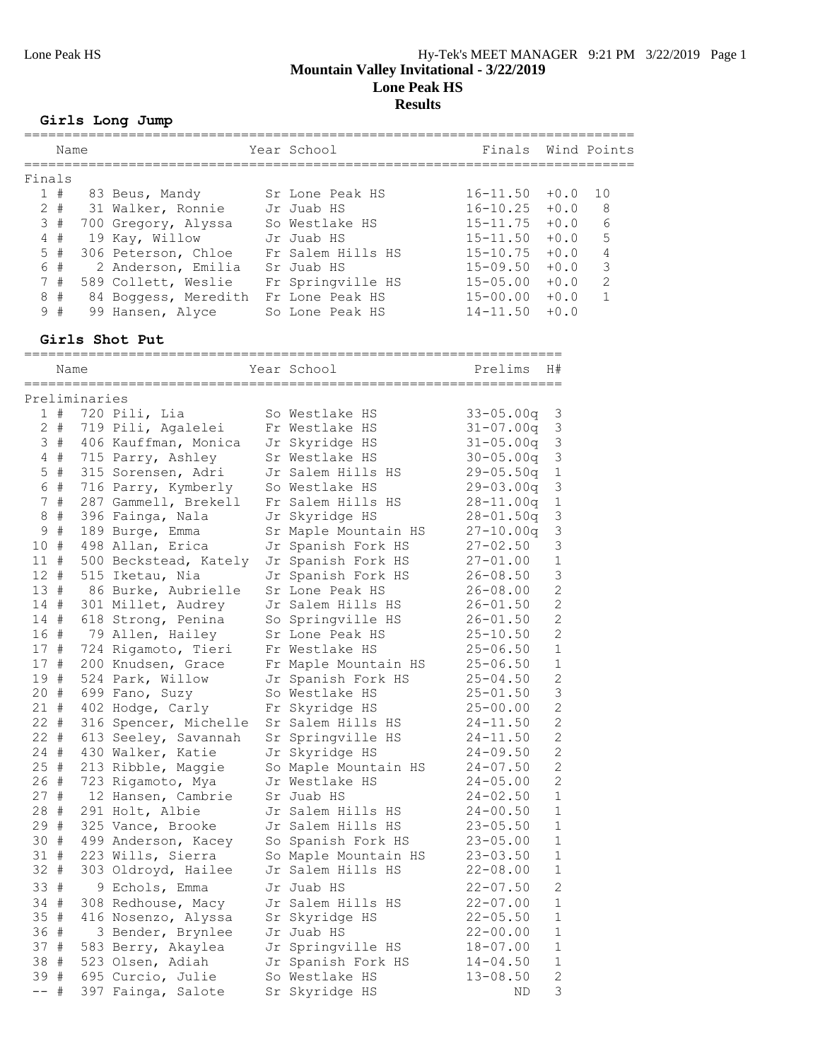### **Girls Long Jump**

|   |                                                      |      |                                                                                                                                                                                              | Finals                                                                                                                                                                     |        | Wind Points   |
|---|------------------------------------------------------|------|----------------------------------------------------------------------------------------------------------------------------------------------------------------------------------------------|----------------------------------------------------------------------------------------------------------------------------------------------------------------------------|--------|---------------|
|   |                                                      |      |                                                                                                                                                                                              |                                                                                                                                                                            |        |               |
|   |                                                      |      |                                                                                                                                                                                              | $16 - 11.50$                                                                                                                                                               | $+0.0$ | 10            |
|   |                                                      |      |                                                                                                                                                                                              | $16 - 10.25$                                                                                                                                                               | $+0.0$ | 8             |
|   |                                                      |      |                                                                                                                                                                                              | $15 - 11.75$                                                                                                                                                               | $+0.0$ | 6             |
|   |                                                      |      |                                                                                                                                                                                              | $15 - 11.50$                                                                                                                                                               | $+0.0$ | 5             |
|   |                                                      |      |                                                                                                                                                                                              | $15 - 10.75$                                                                                                                                                               | $+0.0$ | 4             |
|   |                                                      |      |                                                                                                                                                                                              | $15 - 09.50$                                                                                                                                                               | $+0.0$ | 3             |
|   |                                                      |      |                                                                                                                                                                                              | $15 - 05.00$                                                                                                                                                               | $+0.0$ | $\mathcal{L}$ |
| # |                                                      |      |                                                                                                                                                                                              | $15 - 00.00$                                                                                                                                                               | $+0.0$ |               |
| # |                                                      |      |                                                                                                                                                                                              | $14 - 11.50$                                                                                                                                                               | $+0.0$ |               |
|   | Finals<br>1#<br>$2 +$<br>3#<br>4#<br>5#<br>6 #<br>7# | Name | 83 Beus, Mandy<br>31 Walker, Ronnie<br>700 Gregory, Alyssa<br>19 Kay, Willow<br>306 Peterson, Chloe<br>2 Anderson, Emilia<br>589 Collett, Weslie<br>84 Boggess, Meredith<br>99 Hansen, Alyce | Year School<br>Sr Lone Peak HS<br>Jr Juab HS<br>So Westlake HS<br>Jr Juab HS<br>Fr Salem Hills HS<br>Sr Juab HS<br>Fr Springville HS<br>Fr Lone Peak HS<br>So Lone Peak HS |        |               |

### **Girls Shot Put**

|                | Name        |               |                       | Year School          | Prelims       | H#             |
|----------------|-------------|---------------|-----------------------|----------------------|---------------|----------------|
|                |             | Preliminaries |                       | ===========          |               |                |
|                | 1#          |               | 720 Pili, Lia         | So Westlake HS       | $33 - 05.00q$ | $\mathfrak{Z}$ |
|                | $2 +$       |               | 719 Pili, Agalelei    | Fr Westlake HS       | $31 - 07.00q$ | 3              |
| 3              | #           |               | 406 Kauffman, Monica  | Jr Skyridge HS       | $31 - 05.00q$ | 3              |
| 4              | #           |               | 715 Parry, Ashley     | Sr Westlake HS       | $30 - 05.00q$ | 3              |
| 5              | #           |               | 315 Sorensen, Adri    | Jr Salem Hills HS    | $29 - 05.50q$ | $\mathbf 1$    |
| 6              | $\#$        |               | 716 Parry, Kymberly   | So Westlake HS       | 29-03.00q     | 3              |
| $7\phantom{.}$ | $\#$        |               | 287 Gammell, Brekell  | Fr Salem Hills HS    | 28-11.00q     | $1\,$          |
| 8              | $\#$        |               | 396 Fainga, Nala      | Jr Skyridge HS       | 28-01.50q     | 3              |
| $\mathsf 9$    | $\#$        |               | 189 Burge, Emma       | Sr Maple Mountain HS | $27 - 10.00q$ | 3              |
| 10             | #           |               | 498 Allan, Erica      | Jr Spanish Fork HS   | 27-02.50      | 3              |
| 11             | #           |               | 500 Beckstead, Kately | Jr Spanish Fork HS   | 27-01.00      | $\mathbf{1}$   |
| 12             | $_{\rm \#}$ |               | 515 Iketau, Nia       | Jr Spanish Fork HS   | 26-08.50      | 3              |
| 13#            |             |               | 86 Burke, Aubrielle   | Sr Lone Peak HS      | 26-08.00      | $\overline{c}$ |
| 14#            |             |               | 301 Millet, Audrey    | Jr Salem Hills HS    | $26 - 01.50$  | $\overline{c}$ |
| 14 #           |             |               | 618 Strong, Penina    | So Springville HS    | 26-01.50      | $\overline{c}$ |
| 16 #           |             |               | 79 Allen, Hailey      | Sr Lone Peak HS      | 25-10.50      | $\overline{c}$ |
| 17 #           |             |               | 724 Rigamoto, Tieri   | Fr Westlake HS       | $25 - 06.50$  | $1\,$          |
| 17             | #           |               | 200 Knudsen, Grace    | Fr Maple Mountain HS | $25 - 06.50$  | $\mathbf{1}$   |
| 19             | #           |               | 524 Park, Willow      | Jr Spanish Fork HS   | 25-04.50      | $\overline{c}$ |
| 20             | #           |               | 699 Fano, Suzy        | So Westlake HS       | $25 - 01.50$  | $\overline{3}$ |
| 21             | $_{\rm \#}$ |               | 402 Hodge, Carly      | Fr Skyridge HS       | $25 - 00.00$  | $\overline{c}$ |
| 22             | #           |               | 316 Spencer, Michelle | Sr Salem Hills HS    | 24-11.50      | $\overline{c}$ |
| 22             | #           |               | 613 Seeley, Savannah  | Sr Springville HS    | $24 - 11.50$  | $\overline{c}$ |
| 24             | #           |               | 430 Walker, Katie     | Jr Skyridge HS       | $24 - 09.50$  | $\overline{2}$ |
| 25             | $^{\rm \#}$ |               | 213 Ribble, Maggie    | So Maple Mountain HS | 24-07.50      | $\overline{c}$ |
| 26 #           |             |               | 723 Rigamoto, Mya     | Jr Westlake HS       | $24 - 05.00$  | $\overline{c}$ |
| 27             | #           |               | 12 Hansen, Cambrie    | Sr Juab HS           | 24-02.50      | $\mathbf{1}$   |
| 28 #           |             |               | 291 Holt, Albie       | Jr Salem Hills HS    | 24-00.50      | $\mathbf{1}$   |
| 29             | #           |               | 325 Vance, Brooke     | Jr Salem Hills HS    | $23 - 05.50$  | $\mathbf{1}$   |
| 30             | #           |               | 499 Anderson, Kacey   | So Spanish Fork HS   | $23 - 05.00$  | $\mathbf{1}$   |
| 31             | $\#$        |               | 223 Wills, Sierra     | So Maple Mountain HS | 23-03.50      | $\mathbf 1$    |
| $32 +$         |             |               | 303 Oldroyd, Hailee   | Jr Salem Hills HS    | $22 - 08.00$  | $\mathbf{1}$   |
| 33             | #           |               | 9 Echols, Emma        | Jr Juab HS           | $22 - 07.50$  | $\overline{c}$ |
| 34 #           |             |               | 308 Redhouse, Macy    | Jr Salem Hills HS    | $22 - 07.00$  | $\mathbf{1}$   |
| 35             | #           |               | 416 Nosenzo, Alyssa   | Sr Skyridge HS       | $22 - 05.50$  | $\mathbf 1$    |
| 36 #           |             |               | 3 Bender, Brynlee     | Jr Juab HS           | $22 - 00.00$  | $\mathbf{1}$   |
| 37 #           |             |               | 583 Berry, Akaylea    | Jr Springville HS    | 18-07.00      | $\mathbf{1}$   |
| 38 #           |             |               | 523 Olsen, Adiah      | Jr Spanish Fork HS   | $14 - 04.50$  | $\mathbf 1$    |
| 39 #           |             |               | 695 Curcio, Julie     | So Westlake HS       | $13 - 08.50$  | $\overline{2}$ |
| $- -$          | $\#$        |               | 397 Fainga, Salote    | Sr Skyridge HS       | ΝD            | 3              |
|                |             |               |                       |                      |               |                |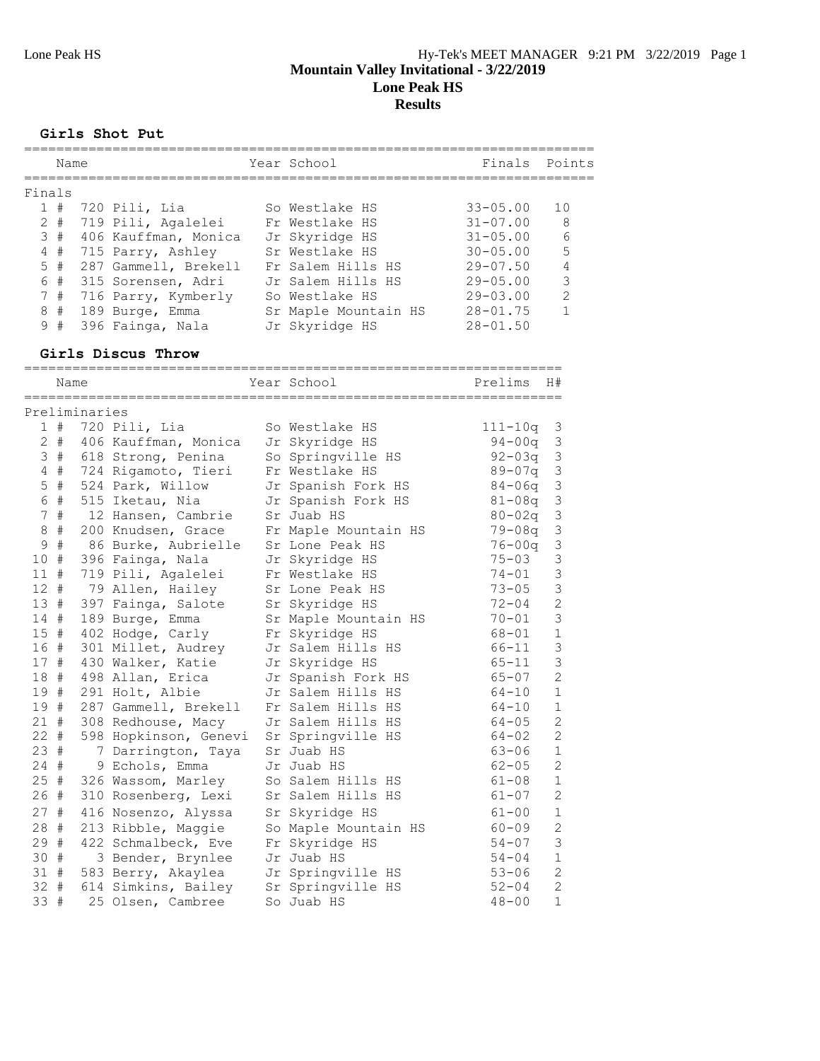**Girls Shot Put**

|        | Name |  |                          |  | Year School          | Finals Points   |               |  |  |  |  |
|--------|------|--|--------------------------|--|----------------------|-----------------|---------------|--|--|--|--|
| Finals |      |  |                          |  |                      |                 |               |  |  |  |  |
|        |      |  | 1 # 720 Pili, Lia        |  | So Westlake HS       | $33 - 05.00$    | 10            |  |  |  |  |
|        |      |  | 2 # 719 Pili, Agalelei   |  | Fr Westlake HS       | $31 - 07.00$    | 8             |  |  |  |  |
|        |      |  | 3 # 406 Kauffman, Monica |  | Jr Skyridge HS       | $31 - 0.5$ , 00 | 6             |  |  |  |  |
|        |      |  | 4 # 715 Parry, Ashley    |  | Sr Westlake HS       | $30 - 05.00$    | 5             |  |  |  |  |
|        | 5#   |  | 287 Gammell, Brekell     |  | Fr Salem Hills HS    | $29 - 07.50$    | 4             |  |  |  |  |
|        | 6#   |  | 315 Sorensen, Adri       |  | Jr Salem Hills HS    | $29 - 0.5$ , 00 | 3             |  |  |  |  |
|        | 7#   |  | 716 Parry, Kymberly      |  | So Westlake HS       | $29 - 03.00$    | $\mathcal{P}$ |  |  |  |  |
|        | 8#   |  | 189 Burge, Emma          |  | Sr Maple Mountain HS | $28 - 01.75$    |               |  |  |  |  |
|        | 9#   |  | 396 Fainga, Nala         |  | Jr Skyridge HS       | $28 - 01.50$    |               |  |  |  |  |
|        |      |  |                          |  |                      |                 |               |  |  |  |  |

#### **Girls Discus Throw**

|                 | Name  |               |                       | Year School          | Prelims     | H#             |
|-----------------|-------|---------------|-----------------------|----------------------|-------------|----------------|
|                 |       | Preliminaries |                       |                      |             |                |
|                 | 1#    |               | 720 Pili, Lia         | So Westlake HS       | $111 - 10q$ | 3              |
|                 | $2 +$ |               | 406 Kauffman, Monica  | Jr Skyridge HS       | $94 - 00q$  | $\mathfrak{Z}$ |
|                 | 3#    |               | 618 Strong, Penina    | So Springville HS    | $92 - 03q$  | $\mathfrak{Z}$ |
| $\overline{4}$  | $\#$  |               | 724 Rigamoto, Tieri   | Fr Westlake HS       | $89 - 07q$  | $\mathsf 3$    |
| 5               | $\#$  |               | 524 Park, Willow      | Jr Spanish Fork HS   | $84 - 06q$  | $\mathsf 3$    |
|                 | 6 #   |               | 515 Iketau, Nia       | Jr Spanish Fork HS   | $81 - 08q$  | $\mathfrak{Z}$ |
|                 | 7#    |               | 12 Hansen, Cambrie    | Sr Juab HS           | $80 - 02q$  | $\mathfrak{Z}$ |
| $\,8\,$         | $\#$  |               | 200 Knudsen, Grace    | Fr Maple Mountain HS | $79 - 08q$  | $\mathfrak{Z}$ |
| 9               | $\#$  |               | 86 Burke, Aubrielle   | Sr Lone Peak HS      | $76 - 00q$  | $\mathfrak{Z}$ |
| 10 <sub>o</sub> | #     |               | 396 Fainga, Nala      | Jr Skyridge HS       | $75 - 03$   | 3              |
| 11#             |       |               | 719 Pili, Agalelei    | Fr Westlake HS       | $74 - 01$   | 3              |
| 12 <sup>7</sup> | #     |               | 79 Allen, Hailey      | Sr Lone Peak HS      | $73 - 05$   | 3              |
| 13#             |       |               | 397 Fainga, Salote    | Sr Skyridge HS       | $72 - 04$   | $\overline{c}$ |
| 14#             |       |               | 189 Burge, Emma       | Sr Maple Mountain HS | $70 - 01$   | $\mathcal{S}$  |
| 15#             |       |               | 402 Hodge, Carly      | Fr Skyridge HS       | 68-01       | $\mathbf 1$    |
| 16 #            |       |               | 301 Millet, Audrey    | Jr Salem Hills HS    | 66-11       | $\mathcal{S}$  |
| 17#             |       |               | 430 Walker, Katie     | Jr Skyridge HS       | $65 - 11$   | 3              |
| 18 #            |       |               | 498 Allan, Erica      | Jr Spanish Fork HS   | $65 - 07$   | $\overline{2}$ |
| 19#             |       |               | 291 Holt, Albie       | Jr Salem Hills HS    | 64-10       | $\mathbf{1}$   |
| 19#             |       |               | 287 Gammell, Brekell  | Fr Salem Hills HS    | $64 - 10$   | $\mathbf{1}$   |
| $21 +$          |       |               | 308 Redhouse, Macy    | Jr Salem Hills HS    | $64 - 05$   | $\overline{2}$ |
| $22 +$          |       |               | 598 Hopkinson, Genevi | Sr Springville HS    | $64 - 02$   | $\mathbf{2}$   |
| 23#             |       |               | 7 Darrington, Taya    | Sr Juab HS           | $63 - 06$   | $\mathbf{1}$   |
| $24 +$          |       |               | 9 Echols, Emma        | Jr Juab HS           | $62 - 05$   | $\overline{2}$ |
| 25#             |       |               | 326 Wassom, Marley    | So Salem Hills HS    | $61 - 08$   | $\mathbf{1}$   |
| 26#             |       |               | 310 Rosenberg, Lexi   | Sr Salem Hills HS    | $61 - 07$   | $\overline{2}$ |
| $27 +$          |       |               | 416 Nosenzo, Alyssa   | Sr Skyridge HS       | $61 - 00$   | $1\,$          |
| 28 #            |       |               | 213 Ribble, Maggie    | So Maple Mountain HS | $60 - 09$   | $\overline{c}$ |
| 29 #            |       |               | 422 Schmalbeck, Eve   | Fr Skyridge HS       | $54 - 07$   | 3              |
| 30#             |       |               | 3 Bender, Brynlee     | Jr Juab HS           | $54 - 04$   | $\mathbf{1}$   |
| 31#             |       |               | 583 Berry, Akaylea    | Jr Springville HS    | $53 - 06$   | $\overline{c}$ |
| $32 +$          |       |               | 614 Simkins, Bailey   | Sr Springville HS    | $52 - 04$   | $\overline{2}$ |
| 33              | #     |               | 25 Olsen, Cambree     | So Juab HS           | $48 - 00$   | $\mathbf{1}$   |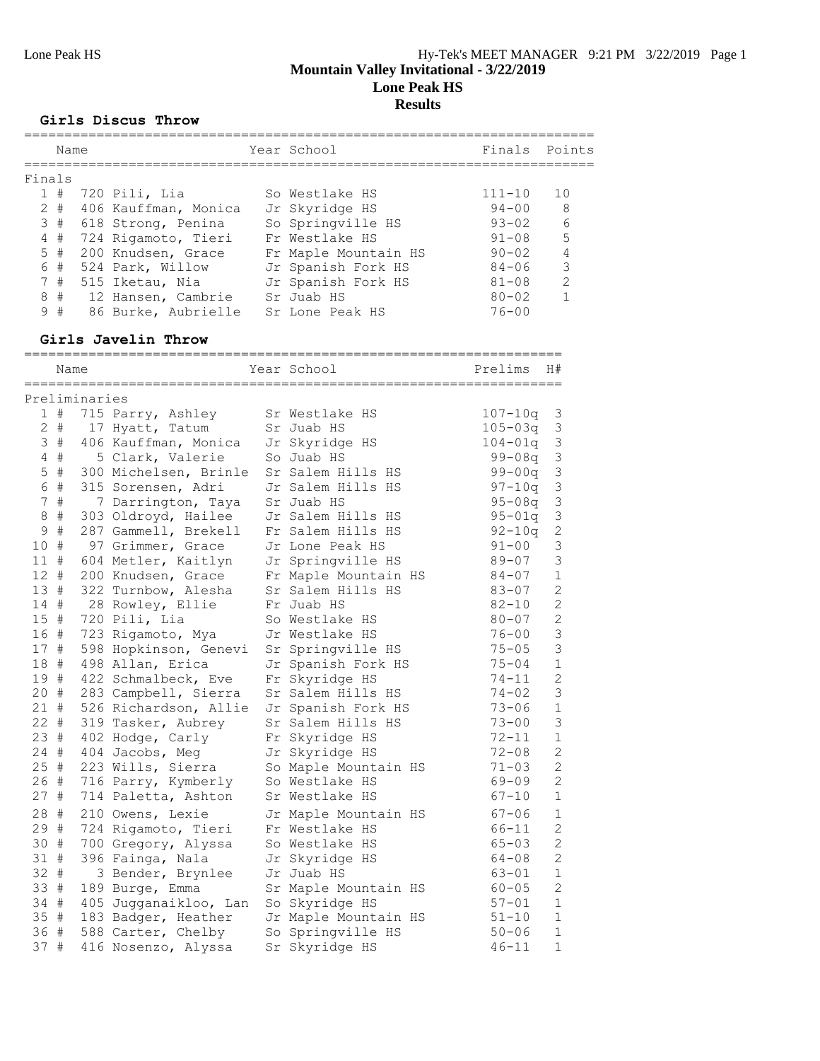#### **Girls Discus Throw**

|        | Name      |                      | Year School          | Finals Points |                |
|--------|-----------|----------------------|----------------------|---------------|----------------|
| Finals |           |                      |                      |               |                |
|        | 1#        | 720 Pili, Lia        | So Westlake HS       | $111 - 10$    | 1 O            |
|        | $2 \pm 1$ | 406 Kauffman, Monica | Jr Skyridge HS       | $94 - 00$     | - 8            |
|        | 3#        | 618 Strong, Penina   | So Springville HS    | $93 - 02$     | - 6            |
|        | 4#        | 724 Rigamoto, Tieri  | Fr Westlake HS       | $91 - 08$     | .5             |
|        | $5 +$     | 200 Knudsen, Grace   | Fr Maple Mountain HS | $90 - 02$     | $\overline{4}$ |
|        | 6#        | 524 Park, Willow     | Jr Spanish Fork HS   | $84 - 06$     | 3              |
|        | 7#        | 515 Iketau, Nia      | Jr Spanish Fork HS   | $81 - 08$     | $\mathcal{L}$  |
|        | 8#        | 12 Hansen, Cambrie   | Sr Juab HS           | $80 - 02$     |                |
| 9      | #         | 86 Burke, Aubrielle  | Sr Lone Peak HS      | $76 - 00$     |                |
|        |           |                      |                      |               |                |

### **Girls Javelin Throw**

|                 | Name        |               | =================     | Year School          | Prelims     | H#             |
|-----------------|-------------|---------------|-----------------------|----------------------|-------------|----------------|
|                 |             | Preliminaries |                       |                      |             |                |
|                 | $1$ #       |               | 715 Parry, Ashley     | Sr Westlake HS       | $107 - 10q$ | $\mathfrak{Z}$ |
| $\mathbf{2}$    | #           |               | 17 Hyatt, Tatum       | Sr Juab HS           | $105 - 03q$ | $\mathfrak{Z}$ |
| 3               | #           |               | 406 Kauffman, Monica  | Jr Skyridge HS       | $104 - 01q$ | $\mathfrak{Z}$ |
| 4               | #           |               | 5 Clark, Valerie      | So Juab HS           | 99-08q      | 3              |
| 5               | $\#$        |               | 300 Michelsen, Brinle | Sr Salem Hills HS    | $99 - 00q$  | $\mathfrak{Z}$ |
| $6\,$           | $\#$        |               | 315 Sorensen, Adri    | Jr Salem Hills HS    | $97 - 10q$  | 3              |
| $\overline{7}$  | $\#$        |               | 7 Darrington, Taya    | Sr Juab HS           | $95 - 08q$  | 3              |
| $\,8\,$         | $\#$        |               | 303 Oldroyd, Hailee   | Jr Salem Hills HS    | $95 - 01q$  | $\mathfrak{Z}$ |
| 9               | $\#$        |               | 287 Gammell, Brekell  | Fr Salem Hills HS    | $92 - 10q$  | $\overline{c}$ |
| 10              | $\#$        |               | 97 Grimmer, Grace     | Jr Lone Peak HS      | $91 - 00$   | 3              |
| 11              | #           |               | 604 Metler, Kaitlyn   | Jr Springville HS    | $89 - 07$   | 3              |
| $12$ #          |             |               | 200 Knudsen, Grace    | Fr Maple Mountain HS | $84 - 07$   | $\mathbf 1$    |
| 13#             |             |               | 322 Turnbow, Alesha   | Sr Salem Hills HS    | $83 - 07$   | $\overline{c}$ |
| 14#             |             |               | 28 Rowley, Ellie      | Fr Juab HS           | $82 - 10$   | $\overline{c}$ |
| 15 <sub>1</sub> | $\#$        |               | 720 Pili, Lia         | So Westlake HS       | $80 - 07$   | $\overline{c}$ |
| 16 #            |             |               | 723 Rigamoto, Mya     | Jr Westlake HS       | $76 - 00$   | 3              |
| 17              | #           |               | 598 Hopkinson, Genevi | Sr Springville HS    | $75 - 05$   | $\mathcal{S}$  |
| 18              | #           |               | 498 Allan, Erica      | Jr Spanish Fork HS   | $75 - 04$   | $\mathbf{1}$   |
| 19              | #           |               | 422 Schmalbeck, Eve   | Fr Skyridge HS       | $74 - 11$   | $\overline{2}$ |
| 20              | $\#$        |               | 283 Campbell, Sierra  | Sr Salem Hills HS    | $74 - 02$   | $\mathfrak{Z}$ |
| 21              | #           |               | 526 Richardson, Allie | Jr Spanish Fork HS   | $73 - 06$   | $\mathbf 1$    |
| $22 +$          |             |               | 319 Tasker, Aubrey    | Sr Salem Hills HS    | $73 - 00$   | 3              |
| 23#             |             |               | 402 Hodge, Carly      | Fr Skyridge HS       | $72 - 11$   | $\mathbf{1}$   |
| 24              | $_{\rm \#}$ |               | 404 Jacobs, Meg       | Jr Skyridge HS       | $72 - 08$   | $\overline{c}$ |
| 25              | $_{\rm \#}$ |               | 223 Wills, Sierra     | So Maple Mountain HS | $71 - 03$   | $\overline{c}$ |
| 26              | $\#$        |               | 716 Parry, Kymberly   | So Westlake HS       | $69 - 09$   | $\overline{2}$ |
| 27              | #           |               | 714 Paletta, Ashton   | Sr Westlake HS       | $67 - 10$   | $\mathbf{1}$   |
| 28              | $\#$        |               | 210 Owens, Lexie      | Jr Maple Mountain HS | $67 - 06$   | $\mathbf{1}$   |
| 29              | #           |               | 724 Rigamoto, Tieri   | Fr Westlake HS       | 66-11       | $\overline{c}$ |
| 30              | #           |               | 700 Gregory, Alyssa   | So Westlake HS       | $65 - 03$   | $\overline{c}$ |
| 31 #            |             |               | 396 Fainga, Nala      | Jr Skyridge HS       | $64 - 08$   | $\overline{c}$ |
| 32              | #           |               | 3 Bender, Brynlee     | Jr Juab HS           | $63 - 01$   | $\mathbf{1}$   |
| 33              | $\#$        |               | 189 Burge, Emma       | Sr Maple Mountain HS | $60 - 05$   | $\overline{c}$ |
| 34 #            |             |               | 405 Jugganaikloo, Lan | So Skyridge HS       | $57 - 01$   | $\mathbf{1}$   |
| 35#             |             |               | 183 Badger, Heather   | Jr Maple Mountain HS | $51 - 10$   | $\mathbf{1}$   |
| 36              | #           |               | 588 Carter, Chelby    | So Springville HS    | $50 - 06$   | $\mathbf{1}$   |
| 37              | #           |               | 416 Nosenzo, Alyssa   | Sr Skyridge HS       | $46 - 11$   | $\mathbf{1}$   |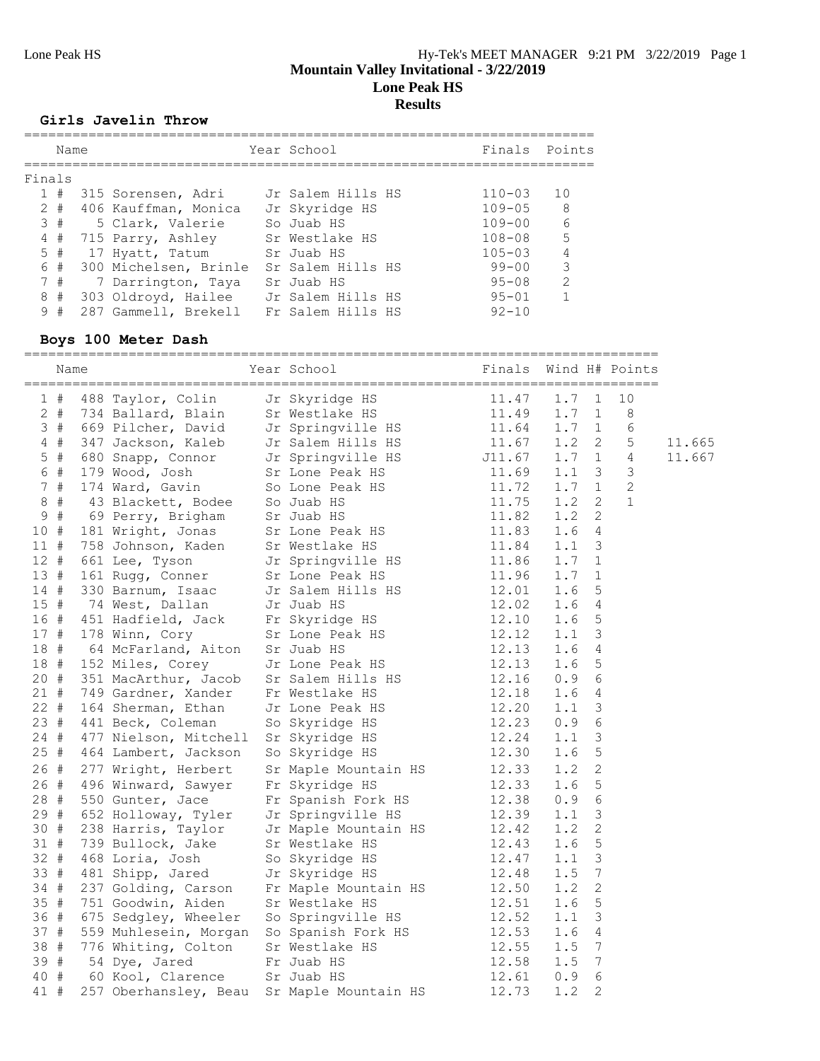#### **Girls Javelin Throw**

|        | Name  |                       | Year School       | Finals Points |                |
|--------|-------|-----------------------|-------------------|---------------|----------------|
| Finals |       |                       |                   |               |                |
|        | 1#    | 315 Sorensen, Adri    | Jr Salem Hills HS | $110 - 03$    | 10             |
|        | $2 +$ | 406 Kauffman, Monica  | Jr Skyridge HS    | $109 - 05$    | - 8            |
|        | 3#    | 5 Clark, Valerie      | So Juab HS        | $109 - 00$    | - 6            |
|        | 4#    | 715 Parry, Ashley     | Sr Westlake HS    | $108 - 08$    | $\overline{5}$ |
|        | 5#    | 17 Hyatt, Tatum       | Sr Juab HS        | $105 - 03$    | $\overline{4}$ |
|        | 6 #   | 300 Michelsen, Brinle | Sr Salem Hills HS | 99-00         | 3              |
|        | 7#    | 7 Darrington, Taya    | Sr Juab HS        | $95 - 08$     | $\mathcal{L}$  |
|        | 8#    | 303 Oldroyd, Hailee   | Jr Salem Hills HS | $95 - 01$     |                |
| 9      | #     | 287 Gammell, Brekell  | Fr Salem Hills HS | $92 - 10$     |                |
|        |       |                       |                   |               |                |

### **Boys 100 Meter Dash**

|             | Name  |                     | Year School Theory                                                                                                                                                                                                                                                                                                         | Finals Wind H# Points |               |                       |             |        |
|-------------|-------|---------------------|----------------------------------------------------------------------------------------------------------------------------------------------------------------------------------------------------------------------------------------------------------------------------------------------------------------------------|-----------------------|---------------|-----------------------|-------------|--------|
|             | 1#    |                     | 488 Taylor, Colin Jr Skyridge HS 11.47 1.7 1<br>734 Ballard, Blain Sr Westlake HS 11.49 1.7 1<br>669 Pilcher, David Jr Springville HS 11.64 1.7 1<br>347 Jackson, Kaleb Jr Salem Hills HS 11.67 1.2 2<br>680 Snapp, Conor Jr Springvil                                                                                     |                       |               |                       | 10          |        |
|             | $2 +$ |                     |                                                                                                                                                                                                                                                                                                                            |                       |               |                       | $\,8\,$     |        |
|             | 3#    |                     |                                                                                                                                                                                                                                                                                                                            |                       |               |                       | 6           |        |
|             | $4$ # |                     |                                                                                                                                                                                                                                                                                                                            |                       |               |                       | 5           | 11.665 |
|             | $5$ # |                     |                                                                                                                                                                                                                                                                                                                            |                       | $1.7 \quad 1$ |                       | 4           | 11.667 |
|             | 6 #   |                     |                                                                                                                                                                                                                                                                                                                            |                       | $1.1 \quad 3$ |                       | 3           |        |
|             | 7#    |                     |                                                                                                                                                                                                                                                                                                                            |                       | $1.7 \quad 1$ |                       | $\mathbf 2$ |        |
| 8           | #     |                     |                                                                                                                                                                                                                                                                                                                            |                       | 1.2           | $\mathbf{2}^{\prime}$ | $\mathbf 1$ |        |
| $\mathsf 9$ | #     |                     |                                                                                                                                                                                                                                                                                                                            |                       | 1.2           | 2                     |             |        |
| 10#         |       |                     |                                                                                                                                                                                                                                                                                                                            |                       | 1.6           | 4                     |             |        |
| $11$ #      |       |                     |                                                                                                                                                                                                                                                                                                                            |                       | 1.1           | 3                     |             |        |
| $12 +$      |       |                     |                                                                                                                                                                                                                                                                                                                            |                       | 1.7           | 1                     |             |        |
| 13#         |       |                     |                                                                                                                                                                                                                                                                                                                            |                       | 1.7           | $\mathbf{1}$          |             |        |
| $14$ #      |       |                     |                                                                                                                                                                                                                                                                                                                            |                       | 1.6           | 5                     |             |        |
| 15#         |       |                     |                                                                                                                                                                                                                                                                                                                            |                       | 1.6           | 4                     |             |        |
|             | 16 #  |                     |                                                                                                                                                                                                                                                                                                                            |                       | 1.6           | 5                     |             |        |
| 17#         |       |                     |                                                                                                                                                                                                                                                                                                                            |                       | 1.1           | $\mathcal{S}$         |             |        |
| 18#         |       |                     |                                                                                                                                                                                                                                                                                                                            |                       | 1.6           | 4                     |             |        |
| 18 #        |       |                     |                                                                                                                                                                                                                                                                                                                            |                       | 1.6           | 5                     |             |        |
| $20 +$      |       |                     |                                                                                                                                                                                                                                                                                                                            |                       | 0.9           | 6                     |             |        |
| $21 +$      |       |                     |                                                                                                                                                                                                                                                                                                                            |                       | 1.6           | 4                     |             |        |
| $22 +$      |       |                     |                                                                                                                                                                                                                                                                                                                            |                       | 1.1           | 3                     |             |        |
| 23#         |       |                     |                                                                                                                                                                                                                                                                                                                            |                       | 0.9           | 6                     |             |        |
| $24 +$      |       |                     |                                                                                                                                                                                                                                                                                                                            |                       | 1.1           | 3                     |             |        |
| 25#         |       |                     |                                                                                                                                                                                                                                                                                                                            |                       | 1.6           | 5                     |             |        |
| 26 #        |       | 277 Wright, Herbert | 680 Shapp, Connor Tr Springwille HS 11.67<br>179 Wood, Josh Sr Lone Peak HS 11.67<br>179 Wood, Josh Sr Lone Peak HS 11.75<br>43 Blackett, Bodee So Juab HS 11.75<br>69 Perry, Brigham Sr Juab HS 11.75<br>69 Perry, Brigham Sr Juab HS 1<br>Sr Maple Mountain HS 12.33<br>Fr Skyridge HS 12.33<br>Fr Spanish Fork HS 12.38 |                       | 1.2           | $\overline{c}$        |             |        |
| 26#         |       | 496 Winward, Sawyer |                                                                                                                                                                                                                                                                                                                            |                       | 1.6           | 5                     |             |        |
| 28#         |       | 550 Gunter, Jace    |                                                                                                                                                                                                                                                                                                                            |                       | 0.9           | 6                     |             |        |
| 29 #        |       |                     |                                                                                                                                                                                                                                                                                                                            |                       | 1.1           | 3                     |             |        |
| 30#         |       |                     |                                                                                                                                                                                                                                                                                                                            |                       | 1.2           | $\overline{c}$        |             |        |
| 31 #        |       |                     |                                                                                                                                                                                                                                                                                                                            |                       | 1.6           | 5                     |             |        |
| 32 #        |       |                     |                                                                                                                                                                                                                                                                                                                            |                       | 1.1           | 3                     |             |        |
| 33 #        |       |                     |                                                                                                                                                                                                                                                                                                                            |                       | 1.5           | $\overline{7}$        |             |        |
| $34 +$      |       |                     |                                                                                                                                                                                                                                                                                                                            |                       | 1.2           | $\overline{2}$        |             |        |
| 35 #        |       |                     |                                                                                                                                                                                                                                                                                                                            |                       | 1.6           | 5                     |             |        |
| 36 #        |       |                     |                                                                                                                                                                                                                                                                                                                            |                       | 1.1           | 3                     |             |        |
| 37#         |       |                     |                                                                                                                                                                                                                                                                                                                            |                       | 1.6           | 4                     |             |        |
| 38 #        |       |                     |                                                                                                                                                                                                                                                                                                                            |                       | 1.5           | $\overline{7}$        |             |        |
| 39#         |       |                     |                                                                                                                                                                                                                                                                                                                            |                       | 1.5           | $7\phantom{.0}$       |             |        |
| 40 #        |       |                     |                                                                                                                                                                                                                                                                                                                            |                       | 0.9           | 6                     |             |        |
| 41 #        |       |                     | 550 Gunter, Jace Fr Spanish Fork HS 12.38<br>652 Holloway, Tyler Jr Springville HS 12.39<br>738 Harris, Taylor Jr Maple Mountain HS 12.42<br>739 Bullock, Jake Sr Westlake HS 12.43<br>468 Loria, Josh So Skyridge HS 12.47<br>481 Shipp                                                                                   |                       | 1.2           | 2                     |             |        |
|             |       |                     |                                                                                                                                                                                                                                                                                                                            |                       |               |                       |             |        |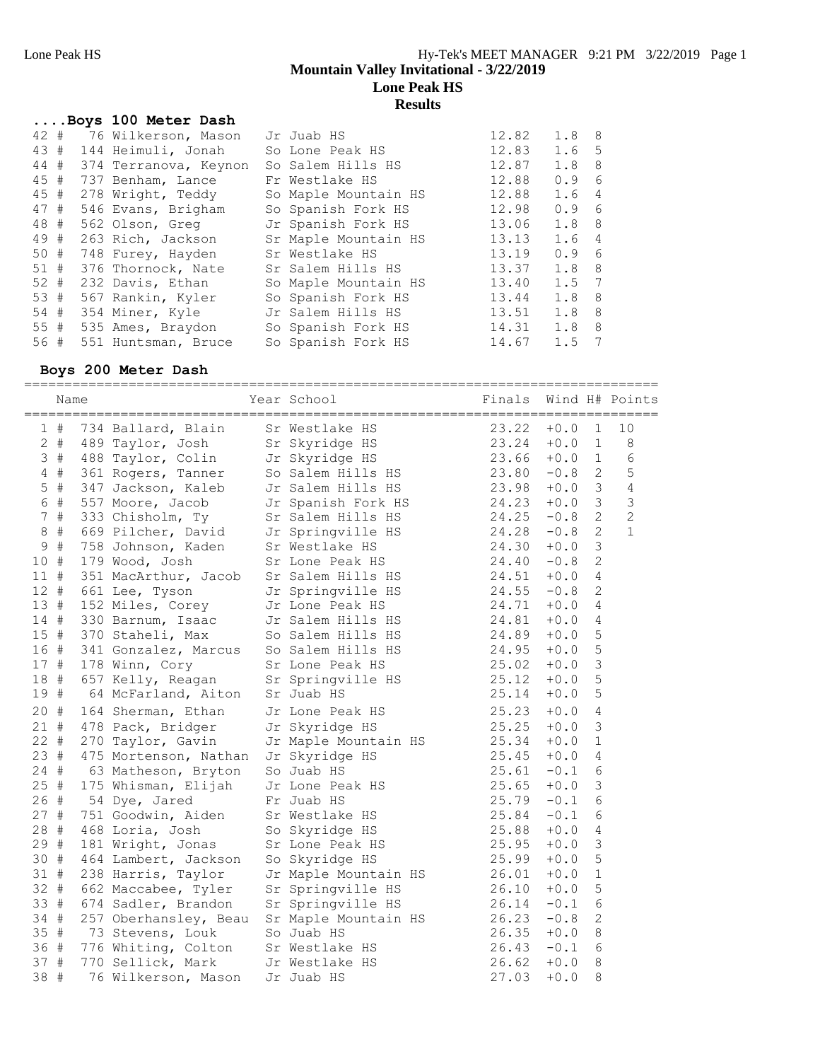|                                                                                                                             |                                                                                                                                                                                                                                                                                                                                                      | wouw |                                                                                                                                                                                                                                                                                                                        |                  |                                                    |
|-----------------------------------------------------------------------------------------------------------------------------|------------------------------------------------------------------------------------------------------------------------------------------------------------------------------------------------------------------------------------------------------------------------------------------------------------------------------------------------------|------|------------------------------------------------------------------------------------------------------------------------------------------------------------------------------------------------------------------------------------------------------------------------------------------------------------------------|------------------|----------------------------------------------------|
|                                                                                                                             |                                                                                                                                                                                                                                                                                                                                                      |      |                                                                                                                                                                                                                                                                                                                        |                  |                                                    |
|                                                                                                                             |                                                                                                                                                                                                                                                                                                                                                      |      | 12.82                                                                                                                                                                                                                                                                                                                  | 1.8 8            |                                                    |
|                                                                                                                             |                                                                                                                                                                                                                                                                                                                                                      |      | 12.83                                                                                                                                                                                                                                                                                                                  | 1.6 <sub>5</sub> |                                                    |
|                                                                                                                             |                                                                                                                                                                                                                                                                                                                                                      |      | 12.87                                                                                                                                                                                                                                                                                                                  | 1.8              | -8                                                 |
|                                                                                                                             |                                                                                                                                                                                                                                                                                                                                                      |      | 12.88                                                                                                                                                                                                                                                                                                                  | 0.9              | 6                                                  |
|                                                                                                                             |                                                                                                                                                                                                                                                                                                                                                      |      | 12.88                                                                                                                                                                                                                                                                                                                  | 1.6              | $\overline{4}$                                     |
|                                                                                                                             |                                                                                                                                                                                                                                                                                                                                                      |      | 12.98                                                                                                                                                                                                                                                                                                                  | 0.9              | 6                                                  |
|                                                                                                                             |                                                                                                                                                                                                                                                                                                                                                      |      |                                                                                                                                                                                                                                                                                                                        | 1.8 <sub>8</sub> |                                                    |
|                                                                                                                             |                                                                                                                                                                                                                                                                                                                                                      |      |                                                                                                                                                                                                                                                                                                                        | 1.6              | $\overline{4}$                                     |
|                                                                                                                             |                                                                                                                                                                                                                                                                                                                                                      |      | 13.19                                                                                                                                                                                                                                                                                                                  | 0.9              | - 6                                                |
|                                                                                                                             |                                                                                                                                                                                                                                                                                                                                                      |      |                                                                                                                                                                                                                                                                                                                        | 1.8              | 8                                                  |
|                                                                                                                             |                                                                                                                                                                                                                                                                                                                                                      |      | 13.40                                                                                                                                                                                                                                                                                                                  | $1.5 \quad 7$    |                                                    |
|                                                                                                                             |                                                                                                                                                                                                                                                                                                                                                      |      | 13.44                                                                                                                                                                                                                                                                                                                  | 1.8 <sub>8</sub> |                                                    |
|                                                                                                                             |                                                                                                                                                                                                                                                                                                                                                      |      |                                                                                                                                                                                                                                                                                                                        | 1.8 <sub>8</sub> |                                                    |
|                                                                                                                             |                                                                                                                                                                                                                                                                                                                                                      |      |                                                                                                                                                                                                                                                                                                                        | 1.8              | 8                                                  |
|                                                                                                                             |                                                                                                                                                                                                                                                                                                                                                      |      |                                                                                                                                                                                                                                                                                                                        | 1.5              | 7                                                  |
| $42 +$<br>43#<br>44 #<br>45 #<br>45#<br>47 #<br>48 #<br>49 #<br>$50 +$<br>51#<br>$52 +$<br>53#<br>54 #<br>$55 \; #$<br>56 # | Boys 100 Meter Dash<br>76 Wilkerson, Mason<br>144 Heimuli, Jonah<br>374 Terranova, Keynon<br>737 Benham, Lance<br>278 Wright, Teddy<br>546 Evans, Brigham<br>562 Olson, Greg<br>263 Rich, Jackson<br>748 Furey, Hayden<br>376 Thornock, Nate<br>232 Davis, Ethan<br>567 Rankin, Kyler<br>354 Miner, Kyle<br>535 Ames, Braydon<br>551 Huntsman, Bruce |      | Jr Juab HS<br>So Lone Peak HS<br>So Salem Hills HS<br>Fr Westlake HS<br>So Maple Mountain HS<br>So Spanish Fork HS<br>Jr Spanish Fork HS<br>Sr Maple Mountain HS<br>Sr Westlake HS<br>Sr Salem Hills HS<br>So Maple Mountain HS<br>So Spanish Fork HS<br>Jr Salem Hills HS<br>So Spanish Fork HS<br>So Spanish Fork HS |                  | 13.06<br>13.13<br>13.37<br>13.51<br>14.31<br>14.67 |

# **Boys 200 Meter Dash**

| Year School<br>Name<br>1#<br>734 Ballard, Blain                                         | Sr Westlake HS<br>$23.22$<br>$23.24$<br>$23.66$<br>Sr Skyridge HS<br>Jr Skyridge HS<br>So Salem Hills HS 23.80 | Finals         | $+0.0$      |                | Wind H# Points |
|-----------------------------------------------------------------------------------------|----------------------------------------------------------------------------------------------------------------|----------------|-------------|----------------|----------------|
|                                                                                         |                                                                                                                |                |             |                |                |
|                                                                                         |                                                                                                                |                |             | 1              | 10             |
| $2 +$<br>489 Taylor, Josh                                                               |                                                                                                                |                | $+0.0$      | $\mathbf{1}$   | 8              |
| 3#<br>488 Taylor, Colin                                                                 |                                                                                                                |                | $+0.0$      | $\mathbf{1}$   | 6              |
| 361 Rogers, Tanner<br>$4$ #                                                             |                                                                                                                |                | $-0.8$      | $\mathbf{2}$   | 5              |
| $5$ #<br>347 Jackson, Kaleb                                                             | Jr Salem Hills HS 23.98                                                                                        |                | $+0.0$      | 3              | 4              |
| 6 #<br>557 Moore, Jacob                                                                 | Jr Spanish Fork HS 24.23                                                                                       |                | $+0.0$      | 3              | 3              |
| 7#                                                                                      | Sr Salem Hills HS                                                                                              | 24.25          | $-0.8$      | $\overline{c}$ | $\overline{c}$ |
| 8#                                                                                      |                                                                                                                | 24.28          | $-0.8$      | $\overline{2}$ | $\mathbf{1}$   |
| 333 Chisholm, Ty<br>669 Pilcher, David<br>758 Johnson, Kaden<br>81 Sr Westlake HS<br>9# |                                                                                                                | 24.30          | $+0.0$      | 3              |                |
| 10#<br>179 Wood, Josh                                                                   | Sr Lone Peak HS                                                                                                | 24.40          | $-0.8$      | 2              |                |
| 11#<br>351 MacArthur, Jacob                                                             | 24.51<br>Sr Salem Hills HS                                                                                     |                | $\bf{+0.0}$ | 4              |                |
| $12$ #<br>661 Lee, Tyson                                                                | Jr Springville HS                                                                                              | 24.55          | $-0.8$      | $\overline{2}$ |                |
| 13#<br>152 Miles, Corey                                                                 | Jr Lone Peak HS                                                                                                | 24.71          | $+0.0$      | 4              |                |
| 14#<br>330 Barnum, Isaac                                                                | Jr Salem Hills HS                                                                                              | 24.81          | $+0.0$      | 4              |                |
| 15#<br>370 Staheli, Max                                                                 | So Salem Hills HS                                                                                              | 24.89          | $+0.0$      | 5              |                |
| 16#<br>341 Gonzalez, Marcus                                                             | So Salem Hills HS                                                                                              | 24.95          | $+0.0$      | 5              |                |
| 17#<br>178 Winn, Cory                                                                   | Sr Lone Peak HS                                                                                                | 25.02          | $+0.0$      | 3              |                |
| 18 #<br>657 Kelly, Reagan                                                               | Sr Springville HS                                                                                              | 25.12          | $+0.0$      | 5              |                |
| 19#<br>64 McFarland, Aiton                                                              | Sr Juab HS                                                                                                     | 25.14          | $+0.0$      | 5              |                |
| 20#<br>164 Sherman, Ethan                                                               | Jr Lone Peak HS                                                                                                | 25.23          | $+0.0$      | 4              |                |
| $21 +$<br>478 Pack, Bridger                                                             | Jr Skyridge HS                                                                                                 | 25.25          | $+0.0$      | 3              |                |
| $22 +$<br>270 Taylor, Gavin                                                             | Jr Maple Mountain HS 25.34                                                                                     |                | $+0.0$      | 1              |                |
| 23#<br>475 Mortenson, Nathan                                                            | 25.45<br>Jr Skyridge HS                                                                                        |                | $\bf{+0.0}$ | 4              |                |
| $24 +$<br>63 Matheson, Bryton                                                           | So Juab HS                                                                                                     | 25.61          | $-0.1$      | 6              |                |
| 25#<br>175 Whisman, Elijah                                                              | Jr Lone Peak HS                                                                                                | 25.65<br>25.79 | $+0.0$      | 3              |                |
| 26#<br>54 Dye, Jared                                                                    | Fr Juab HS                                                                                                     |                | $-0.1$      | 6              |                |
| 27#<br>751 Goodwin, Aiden                                                               | Sr Westlake HS                                                                                                 | 25.84          | $-0.1$      | 6              |                |
| 28#<br>468 Loria, Josh                                                                  | 25.88<br>So Skyridge HS                                                                                        |                | $+0.0$      | 4              |                |
| 29#<br>181 Wright, Jonas                                                                | Sr Lone Peak HS<br>25.95                                                                                       |                | $+0.0$      | 3              |                |
| 30 #<br>464 Lambert, Jackson                                                            | So Skyridge HS                                                                                                 | 25.99          | $+0.0$      | 5              |                |
| 31#<br>238 Harris, Taylor                                                               | Jr Maple Mountain HS                                                                                           | 26.01<br>26.10 | $+0.0$      | 1              |                |
| $32 +$<br>662 Maccabee, Tyler                                                           | Sr Springville HS                                                                                              |                | $+0.0$      | 5              |                |
| 33 #<br>674 Sadler, Brandon                                                             | Sr Springville HS                                                                                              | 26.14          | $-0.1$      | 6              |                |
| 34 #<br>257 Oberhansley, Beau                                                           | Sr Maple Mountain HS 26.23                                                                                     |                | $-0.8$      | 2              |                |
| 35#<br>73 Stevens, Louk                                                                 | 26.35<br>So Juab HS                                                                                            |                | $+0.0$      | 8              |                |
| 36 #<br>776 Whiting, Colton                                                             | Sr Westlake HS                                                                                                 | 26.43          | $-0.1$      | 6              |                |
| 37#<br>770 Sellick, Mark                                                                | Jr Westlake HS                                                                                                 | 26.62          | $+0.0$      | 8              |                |
| 38 #<br>76 Wilkerson, Mason                                                             | Jr Juab HS                                                                                                     | 27.03          | $+0.0$      | 8              |                |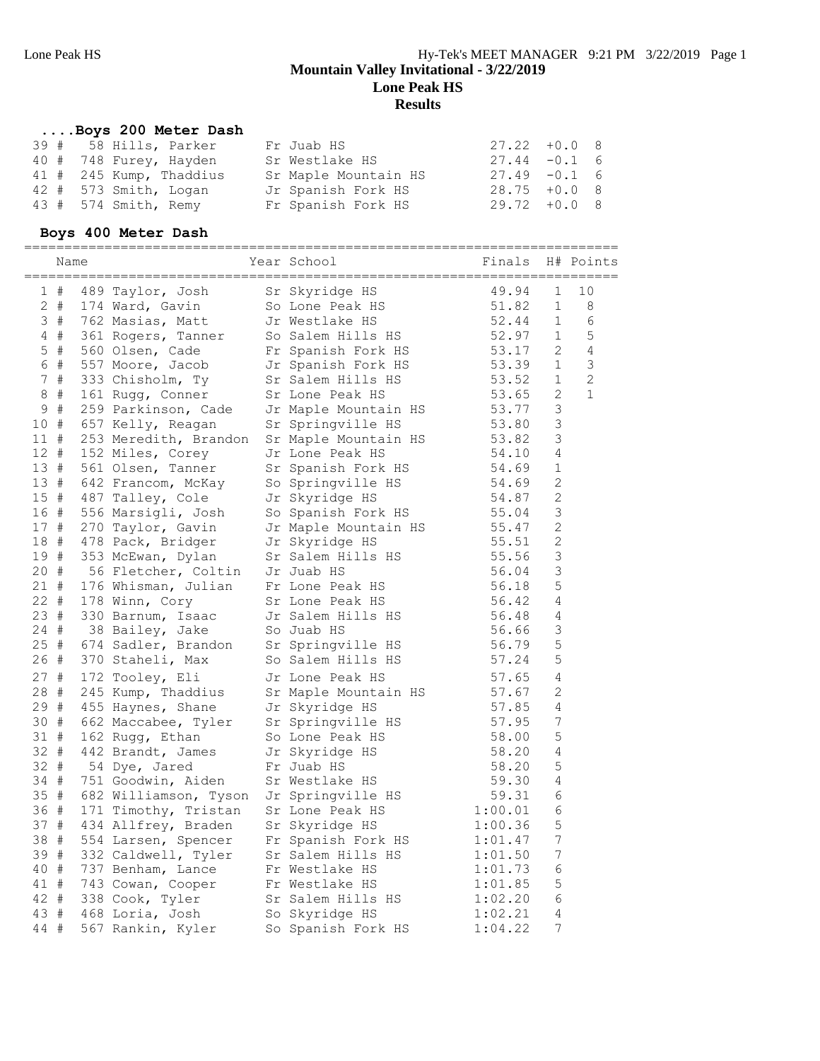# **....Boys 200 Meter Dash**

|  | 39 # 58 Hills, Parker   | Fr Juab HS           | $27.22 + 0.0$ 8 |  |
|--|-------------------------|----------------------|-----------------|--|
|  | 40 # 748 Furey, Hayden  | Sr Westlake HS       | $27.44 - 0.1$ 6 |  |
|  | 41 # 245 Kump, Thaddius | Sr Maple Mountain HS | $27.49 - 0.1$ 6 |  |
|  | 42 # 573 Smith, Logan   | Jr Spanish Fork HS   | $28.75 + 0.08$  |  |
|  | 43 # 574 Smith, Remy    | Fr Spanish Fork HS   | $29.72 + 0.0$ 8 |  |

# **Boys 400 Meter Dash**

|              | Name  |                                        | Year School                                 | Finals H# Points       |                  |             |
|--------------|-------|----------------------------------------|---------------------------------------------|------------------------|------------------|-------------|
|              | 1#    | 489 Taylor, Josh                       | Sr Skyridge HS                              | 49.94                  | 1                | 10          |
|              | $2$ # | 174 Ward, Gavin                        | So Lone Peak HS 51.82                       |                        | $\mathbf 1$      | 8           |
|              |       | 3 # 762 Masias, Matt                   | Jr Westlake HS                              | 52.44                  | $\mathbf{1}$     | 6           |
|              |       | 4 # 361 Rogers, Tanner                 | So Salem Hills HS                           | 52.97                  | $\mathbf{1}$     | 5           |
|              | $5$ # | 560 Olsen, Cade                        | Fr Spanish Fork HS                          | 53.17                  | 2                | 4           |
|              | 6 #   | 557 Moore, Jacob                       | Jr Spanish Fork HS                          | 53.39                  | $\mathbf{1}$     | 3           |
|              | 7#    | 333 Chisholm, Ty                       | Sr Salem Hills HS                           | 53.52                  | $\mathbf 1$      | 2           |
|              | $8 +$ | 161 Rugg, Conner                       | Sr Lone Peak HS                             | 53.65                  | 2                | $\mathbf 1$ |
| 9            | #     | 259 Parkinson, Cade                    | Jr Maple Mountain HS 53.77                  |                        | 3                |             |
| 10#          |       | 657 Kelly, Reagan                      | Sr Springville HS                           | 53.80                  | 3                |             |
| 11#          |       | 253 Meredith, Brandon                  | Sr Maple Mountain HS                        | 53.82                  | 3                |             |
| 12#          |       | 152 Miles, Corey                       | Jr Lone Peak HS                             | 54.10                  | 4                |             |
| 13#          |       | 561 Olsen, Tanner                      | Sr Spanish Fork HS                          | 54.69                  | $\mathbf 1$      |             |
| 13#          |       | 642 Francom, McKay                     | So Springville HS                           | 54.69                  | 2                |             |
| $15$ #       |       | 487 Talley, Cole                       | Jr Skyridge HS                              | 54.87                  | $\mathbf{2}$     |             |
| 16 #         |       | 556 Marsigli, Josh                     | So Spanish Fork HS                          | 55.04                  | 3                |             |
| 17#          |       | 270 Taylor, Gavin                      | Jr Maple Mountain HS                        | 55.47                  | 2                |             |
| 18 #         |       | 478 Pack, Bridger                      | Jr Skyridge HS                              | 55.51                  | $\mathbf{2}$     |             |
| 19 #         |       | 353 McEwan, Dylan                      | Sr Salem Hills HS                           | 55.56                  | 3                |             |
| 20#          |       | 56 Fletcher, Coltin                    | Jr Juab HS                                  | 56.04                  | $\mathsf 3$      |             |
| 21#          |       | 176 Whisman, Julian                    | Fr Lone Peak HS                             | 56.18                  | 5                |             |
| $22 +$       |       | 178 Winn, Cory                         | Sr Lone Peak HS                             | 56.42                  | 4                |             |
| 23#          |       | 330 Barnum, Isaac                      | Jr Salem Hills HS                           | 56.48                  | 4                |             |
| 24 #         |       | 38 Bailey, Jake                        | So Juab HS                                  | 56.66                  | 3                |             |
| $25$ #       |       | 674 Sadler, Brandon                    | Sr Springville HS                           | 56.79                  | 5                |             |
| 26 #         |       | 370 Staheli, Max                       | So Salem Hills HS                           | 57.24                  | 5                |             |
| 27#          |       | 172 Tooley, Eli                        | Jr Lone Peak HS                             | 57.65                  | 4                |             |
| 28 #         |       | 245 Kump, Thaddius                     | Sr Maple Mountain HS                        | 57.67                  | $\mathbf{2}$     |             |
| 29#          |       |                                        |                                             | 57.85                  | 4                |             |
| 30 #         |       | 455 Haynes, Shane                      | Jr Skyridge HS                              | 57.95                  | $\overline{7}$   |             |
| 31 #         |       | 662 Maccabee, Tyler<br>162 Rugg, Ethan | Sr Springville HS<br>So Lone Peak HS        | 58.00                  | 5                |             |
| $32 +$       |       | 442 Brandt, James                      |                                             | 58.20                  | 4                |             |
| 32 #         |       | 54 Dye, Jared                          | Jr Skyridge HS<br>Fr Juab HS                | 58.20                  | 5                |             |
| 34 #         |       | 751 Goodwin, Aiden                     | Sr Westlake HS                              | 59.30                  | 4                |             |
| 35#          |       | 682 Williamson, Tyson                  | Jr Springville HS                           |                        | 6                |             |
| 36 #         |       | 171 Timothy, Tristan                   | Sr Lone Peak HS                             | 1:00.01                | 6                |             |
| 37#          |       | 434 Allfrey, Braden                    | Sr Skyridge HS                              | 1:00.36                | 5                |             |
| 38 #         |       | 554 Larsen, Spencer                    | Fr Spanish Fork HS                          | 1:01.47                | $\boldsymbol{7}$ |             |
| 39 #         |       |                                        |                                             |                        | $\boldsymbol{7}$ |             |
| 40 #         |       | 332 Caldwell, Tyler                    | Sr Salem Hills HS 1:01.50<br>Fr Westlake HS | 1:01.73                | 6                |             |
| 41 #         |       | 737 Benham, Lance                      |                                             | 1:01.85                | 5                |             |
| 42 #         |       | 743 Cowan, Cooper                      | Fr Westlake HS<br>Sr Salem Hills HS         |                        | 6                |             |
|              |       | 338 Cook, Tyler                        |                                             | $1:02.20$<br>$1:02.21$ | 4                |             |
| 43 #<br>44 # |       | 468 Loria, Josh                        | So Skyridge HS                              |                        | 7                |             |
|              |       | 567 Rankin, Kyler                      | So Spanish Fork HS                          | 1:04.22                |                  |             |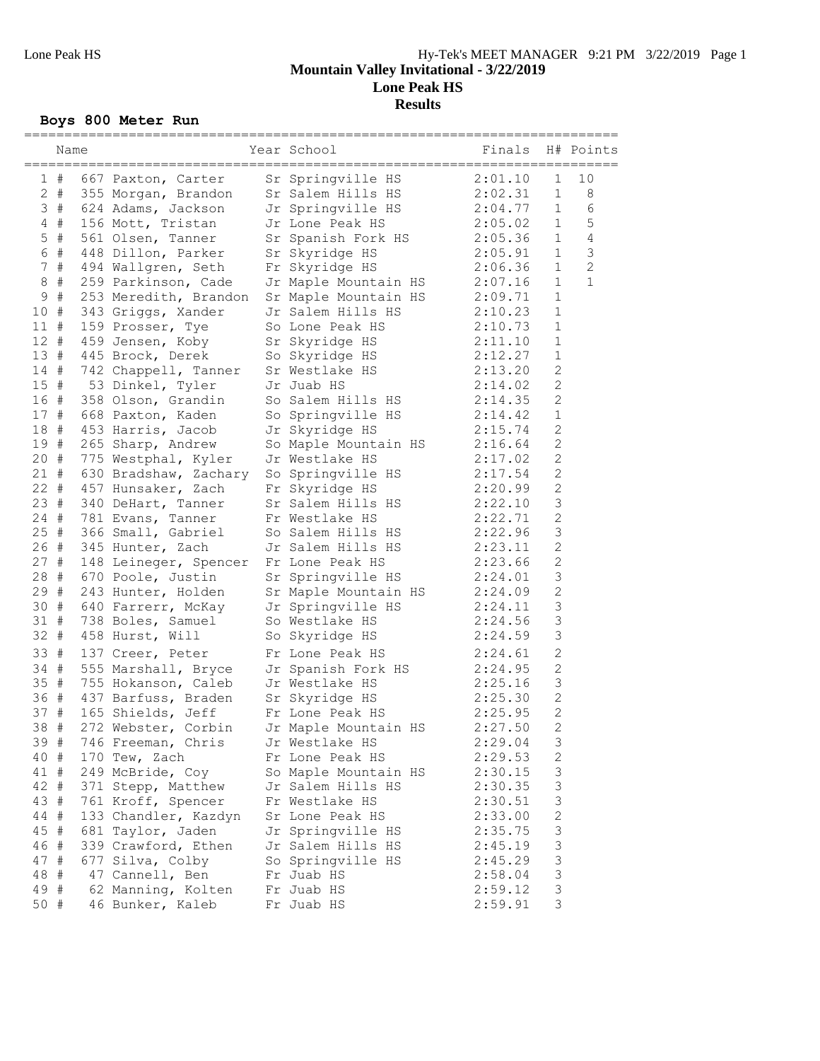# **Boys 800 Meter Run**

|        | Name        |                                             | Year School                                  | Finals  |                           | H# Points      |
|--------|-------------|---------------------------------------------|----------------------------------------------|---------|---------------------------|----------------|
|        | 1#          |                                             | Sr Springville HS                            | 2:01.10 | $\mathbf 1$               | 10             |
|        | $2$ #       | 667 Paxton, Carter<br>355 Morgan, Brandon   | Sr Salem Hills HS                            | 2:02.31 | $\mathbf 1$               | 8              |
|        | 3#          | 624 Adams, Jackson                          | Jr Springville HS                            | 2:04.77 | $\mathbf{1}$              | 6              |
|        | $4$ #       | 156 Mott, Tristan                           | Jr Lone Peak HS                              | 2:05.02 | $\mathbf{1}$              | $\mathsf S$    |
| 5      | $\#$        | 561 Olsen, Tanner                           | Sr Spanish Fork HS                           | 2:05.36 | $\mathbf{1}$              | 4              |
| 6      | #           | 448 Dillon, Parker                          | Sr Skyridge HS                               | 2:05.91 | $\mathbf{1}$              | $\mathfrak{Z}$ |
| 7      | $_{\rm \#}$ |                                             | Fr Skyridge HS                               | 2:06.36 | $\mathbf{1}$              | $\overline{c}$ |
| 8      | $\#$        | 494 Wallgren, Seth<br>259 Parkinson, Cade   |                                              | 2:07.16 | $\mathbf{1}$              | $\mathbf{1}$   |
| 9      | $\#$        |                                             | Jr Maple Mountain HS<br>Sr Maple Mountain HS | 2:09.71 | $\mathbf{1}$              |                |
| 10     | #           | 253 Meredith, Brandon<br>343 Griggs, Xander | Jr Salem Hills HS                            | 2:10.23 | $\mathbf 1$               |                |
| 11#    |             | 159 Prosser, Tye                            | So Lone Peak HS                              | 2:10.73 | $1\,$                     |                |
| $12 +$ |             |                                             |                                              | 2:11.10 | $\mathbf 1$               |                |
| 13#    |             | 459 Jensen, Koby                            | Sr Skyridge HS                               |         | $\mathbf 1$               |                |
|        |             | 445 Brock, Derek                            | So Skyridge HS                               | 2:12.27 | $\overline{c}$            |                |
| 14#    |             | 742 Chappell, Tanner                        | Sr Westlake HS                               | 2:13.20 | $\overline{c}$            |                |
| 15#    |             | 53 Dinkel, Tyler                            | Jr Juab HS                                   | 2:14.02 |                           |                |
| 16 #   |             | 358 Olson, Grandin                          | So Salem Hills HS                            | 2:14.35 | $\overline{2}$            |                |
| 17#    |             | 668 Paxton, Kaden                           | So Springville HS                            | 2:14.42 | $1\,$                     |                |
| 18#    |             | 453 Harris, Jacob                           | Jr Skyridge HS                               | 2:15.74 | $\mathbf{2}$              |                |
| 19#    |             | 265 Sharp, Andrew                           | So Maple Mountain HS                         | 2:16.64 | $\mathbf{2}$              |                |
| 20#    |             | 775 Westphal, Kyler                         | Jr Westlake HS                               | 2:17.02 | $\overline{c}$            |                |
| 21#    |             | 630 Bradshaw, Zachary                       | So Springville HS                            | 2:17.54 | $\overline{c}$            |                |
| $22 +$ |             | 457 Hunsaker, Zach                          | Fr Skyridge HS                               | 2:20.99 | $\overline{c}$            |                |
| 23#    |             | 340 DeHart, Tanner                          | Sr Salem Hills HS                            | 2:22.10 | 3                         |                |
| $24 +$ |             | 781 Evans, Tanner                           | Fr Westlake HS                               | 2:22.71 | $\mathbf{2}$              |                |
| 25#    |             | 366 Small, Gabriel                          | So Salem Hills HS                            | 2:22.96 | 3                         |                |
| 26#    |             | 345 Hunter, Zach                            | Jr Salem Hills HS                            | 2:23.11 | $\overline{c}$            |                |
| 27#    |             | 148 Leineger, Spencer                       | Fr Lone Peak HS                              | 2:23.66 | $\overline{c}$            |                |
| 28 #   |             | 670 Poole, Justin                           | Sr Springville HS                            | 2:24.01 | 3                         |                |
| 29#    |             | 243 Hunter, Holden                          | Sr Maple Mountain HS                         | 2:24.09 | $\mathbf{2}$              |                |
| 30#    |             | 640 Farrerr, McKay                          | Jr Springville HS                            | 2:24.11 | 3                         |                |
| 31#    |             | 738 Boles, Samuel                           | So Westlake HS                               | 2:24.56 | 3                         |                |
| $32 +$ |             | 458 Hurst, Will                             | So Skyridge HS                               | 2:24.59 | 3                         |                |
| 33     | #           | 137 Creer, Peter                            | Fr Lone Peak HS                              | 2:24.61 | $\overline{c}$            |                |
| 34 #   |             | 555 Marshall, Bryce                         | Jr Spanish Fork HS                           | 2:24.95 | $\overline{c}$            |                |
| 35#    |             | 755 Hokanson, Caleb                         | Jr Westlake HS                               | 2:25.16 | 3                         |                |
| 36#    |             | 437 Barfuss, Braden                         | Sr Skyridge HS                               | 2:25.30 | $\overline{c}$            |                |
| 37#    |             | 165 Shields, Jeff                           | Fr Lone Peak HS                              | 2:25.95 | $\mathbf{2}$              |                |
| 38     | $\#$        | 272 Webster, Corbin                         | Jr Maple Mountain HS                         | 2:27.50 | $\overline{2}$            |                |
| 39 #   |             | 746 Freeman, Chris                          | Jr Westlake HS                               | 2:29.04 | 3                         |                |
| 40 #   |             | 170 Tew, Zach                               | Fr Lone Peak HS                              | 2:29.53 | 2                         |                |
| 41 #   |             | 249 McBride, Coy                            | So Maple Mountain HS                         | 2:30.15 | 3                         |                |
| 42 #   |             | 371 Stepp, Matthew                          | Jr Salem Hills HS                            | 2:30.35 | $\ensuremath{\mathsf{3}}$ |                |
| 43 #   |             | 761 Kroff, Spencer                          | Fr Westlake HS                               | 2:30.51 | 3                         |                |
| 44 #   |             | 133 Chandler, Kazdyn                        | Sr Lone Peak HS                              | 2:33.00 | $\sqrt{2}$                |                |
| 45 #   |             | 681 Taylor, Jaden                           | Jr Springville HS                            | 2:35.75 | $\ensuremath{\mathsf{3}}$ |                |
| 46#    |             | 339 Crawford, Ethen                         | Jr Salem Hills HS                            | 2:45.19 | 3                         |                |
| 47 #   |             | 677 Silva, Colby                            | So Springville HS                            | 2:45.29 | $\mathsf 3$               |                |
| 48 #   |             | 47 Cannell, Ben                             | Fr Juab HS                                   | 2:58.04 | $\mathsf 3$               |                |
| 49#    |             | 62 Manning, Kolten                          | Fr Juab HS                                   | 2:59.12 | $\mathsf 3$               |                |
| 50 #   |             | 46 Bunker, Kaleb                            | Fr Juab HS                                   | 2:59.91 | 3                         |                |
|        |             |                                             |                                              |         |                           |                |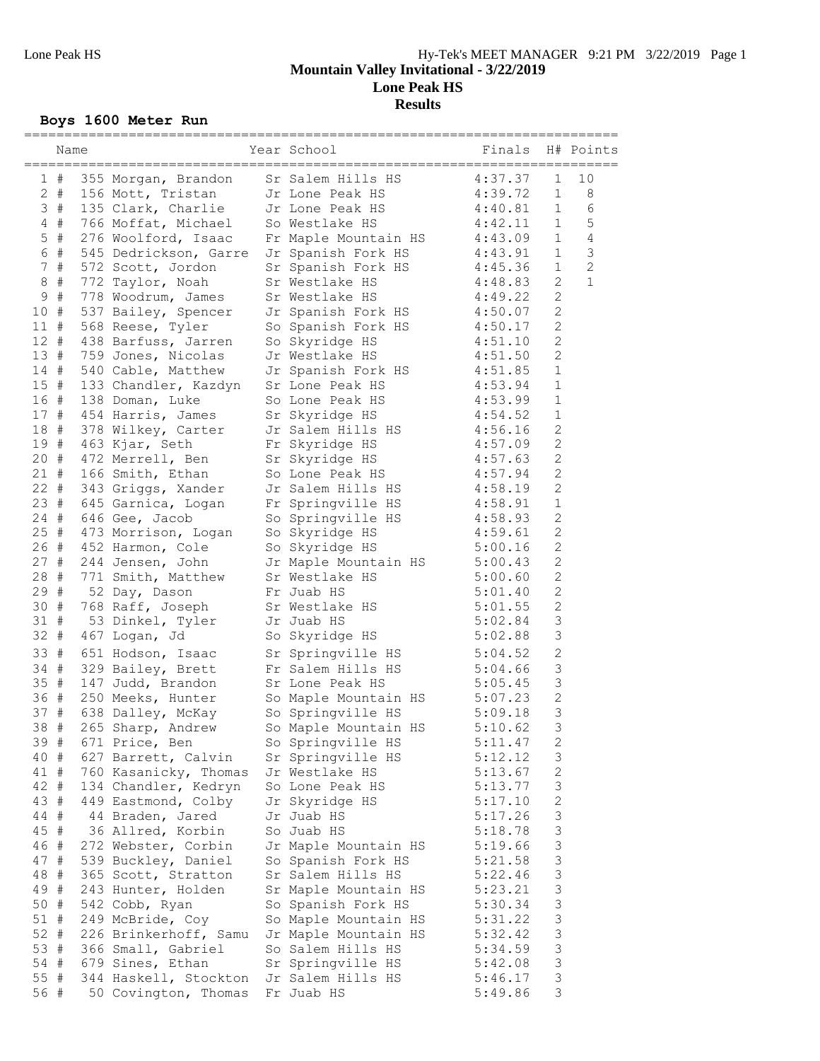# **Boys 1600 Meter Run**

|        | Name  |                                         | Year School               | Finals  |                           | H# Points      |
|--------|-------|-----------------------------------------|---------------------------|---------|---------------------------|----------------|
|        | 1#    | 355 Morgan, Brandon                     | Sr Salem Hills HS         | 4:37.37 | $\mathbf 1$               | 10             |
|        | $2 +$ | 156 Mott, Tristan                       | Jr Lone Peak HS           | 4:39.72 | $\mathbf 1$               | 8              |
|        | 3#    | 135 Clark, Charlie                      | Jr Lone Peak HS           | 4:40.81 | $\mathbf{1}$              | 6              |
|        | $4$ # | 766 Moffat, Michael                     | So Westlake HS            | 4:42.11 | $\mathbf{1}$              | $\mathsf S$    |
| 5      | #     | 276 Woolford, Isaac                     |                           | 4:43.09 | $\mathbf 1$               | $\overline{4}$ |
| 6      | #     |                                         | Fr Maple Mountain HS      |         | $\mathbf 1$               | $\mathfrak{Z}$ |
|        |       | 545 Dedrickson, Garre                   | Jr Spanish Fork HS        | 4:43.91 |                           | $\mathbf{2}$   |
| 7      | #     | 572 Scott, Jordon                       | Sr Spanish Fork HS        | 4:45.36 | $\mathbf{1}$<br>2         | $\mathbf{1}$   |
| 8      | $\#$  | 772 Taylor, Noah                        | Sr Westlake HS            | 4:48.83 |                           |                |
| 9      | #     | 778 Woodrum, James                      | Sr Westlake HS            | 4:49.22 | $\overline{c}$            |                |
| 10     | #     | 537 Bailey, Spencer                     | Jr Spanish Fork HS        | 4:50.07 | $\mathbf{2}$              |                |
| $11$ # |       | 568 Reese, Tyler                        | So Spanish Fork HS        | 4:50.17 | $\mathbf{2}$              |                |
| 12#    |       | 438 Barfuss, Jarren                     | So Skyridge HS            | 4:51.10 | $\mathbf{2}$              |                |
| 13#    |       | 759 Jones, Nicolas                      | Jr Westlake HS            | 4:51.50 | $\mathbf{2}$              |                |
| 14#    |       | 540 Cable, Matthew                      | Jr Spanish Fork HS        | 4:51.85 | $\mathbf{1}$              |                |
| 15#    |       | 133 Chandler, Kazdyn                    | Sr Lone Peak HS           | 4:53.94 | $1\,$                     |                |
| 16#    |       | 138 Doman, Luke                         | So Lone Peak HS           | 4:53.99 | $\mathbf{1}$              |                |
| 17#    |       | 454 Harris, James                       | Sr Skyridge HS            | 4:54.52 | $\mathbf{1}$              |                |
| 18 #   |       | 378 Wilkey, Carter                      | Jr Salem Hills HS         | 4:56.16 | $\mathbf{2}$              |                |
| 19#    |       | 463 Kjar, Seth                          | Fr Skyridge HS            | 4:57.09 | $\mathbf{2}$              |                |
| 20#    |       | 472 Merrell, Ben                        | Sr Skyridge HS            | 4:57.63 | $\overline{2}$            |                |
| $21 +$ |       | 166 Smith, Ethan                        | So Lone Peak HS           | 4:57.94 | $\overline{c}$            |                |
| $22 +$ |       | 343 Griggs, Xander                      | Jr Salem Hills HS         | 4:58.19 | $\overline{2}$            |                |
| 23#    |       | 645 Garnica, Logan                      | Fr Springville HS         | 4:58.91 | $1\,$                     |                |
| $24$ # |       | 646 Gee, Jacob                          | So Springville HS 4:58.93 |         | $\mathbf{2}$              |                |
| 25#    |       | 473 Morrison, Logan                     | So Skyridge HS            | 4:59.61 | $\mathbf{2}$              |                |
| 26#    |       | 452 Harmon, Cole                        | So Skyridge HS            | 5:00.16 | $\overline{c}$            |                |
| 27#    |       | 244 Jensen, John                        | Jr Maple Mountain HS      | 5:00.43 | $\overline{2}$            |                |
| 28#    |       | 771 Smith, Matthew                      | Sr Westlake HS            | 5:00.60 | $\mathbf{2}$              |                |
| 29#    |       | 52 Day, Dason                           | Fr Juab HS                | 5:01.40 | $\mathbf{2}$              |                |
| 30#    |       | 768 Raff, Joseph                        | Sr Westlake HS            | 5:01.55 | $\mathbf{2}$              |                |
| 31#    |       | 53 Dinkel, Tyler                        | Jr Juab HS                | 5:02.84 | 3                         |                |
| 32     | #     | 467 Logan, Jd                           | So Skyridge HS            | 5:02.88 | 3                         |                |
| 33 #   |       | 651 Hodson, Isaac                       | Sr Springville HS         | 5:04.52 | $\overline{c}$            |                |
| $34 +$ |       | 329 Bailey, Brett                       | Fr Salem Hills HS         | 5:04.66 | 3                         |                |
| 35#    |       | 147 Judd, Brandon                       | Sr Lone Peak HS           | 5:05.45 | $\mathsf 3$               |                |
| 36 #   |       | 250 Meeks, Hunter                       | So Maple Mountain HS      | 5:07.23 | $\overline{c}$            |                |
| 37#    |       | 638 Dalley, McKay                       | So Springville HS         | 5:09.18 | 3                         |                |
| 38     | #     | 265 Sharp, Andrew                       | So Maple Mountain HS      | 5:10.62 | 3                         |                |
| 39 #   |       | 671 Price, Ben                          | So Springville HS         | 5:11.47 | 2                         |                |
|        |       | 40 # 627 Barrett, Calvin                | Sr Springville HS         | 5:12.12 | 3                         |                |
| 41 #   |       | 760 Kasanicky, Thomas                   | Jr Westlake HS            | 5:13.67 | $\sqrt{2}$                |                |
| 42 #   |       | 134 Chandler, Kedryn                    | So Lone Peak HS           | 5:13.77 | $\mathfrak{Z}$            |                |
| 43 #   |       | 449 Eastmond, Colby                     | Jr Skyridge HS            | 5:17.10 | $\sqrt{2}$                |                |
| 44 #   |       | 44 Braden, Jared                        | Jr Juab HS                | 5:17.26 | 3                         |                |
| 45 #   |       | 36 Allred, Korbin                       | So Juab HS                | 5:18.78 | $\ensuremath{\mathsf{3}}$ |                |
| 46 #   |       | 272 Webster, Corbin                     | Jr Maple Mountain HS      | 5:19.66 | $\mathfrak{Z}$            |                |
| 47 #   |       | 539 Buckley, Daniel                     | So Spanish Fork HS        | 5:21.58 | $\mathsf 3$               |                |
| 48 #   |       | 365 Scott, Stratton                     | Sr Salem Hills HS         | 5:22.46 | $\mathsf 3$               |                |
| 49 #   |       | 243 Hunter, Holden                      | Sr Maple Mountain HS      | 5:23.21 | $\mathfrak{Z}$            |                |
| 50 #   |       | 542 Cobb, Ryan                          | So Spanish Fork HS        | 5:30.34 | $\mathfrak{Z}$            |                |
| $51$ # |       | 249 McBride, Coy                        | So Maple Mountain HS      | 5:31.22 | $\ensuremath{\mathsf{3}}$ |                |
| 52 #   |       | 226 Brinkerhoff, Samu                   | Jr Maple Mountain HS      | 5:32.42 | $\mathfrak{Z}$            |                |
| 53#    |       | 366 Small, Gabriel                      | So Salem Hills HS         | 5:34.59 | $\mathsf 3$               |                |
| 54 #   |       | 679 Sines, Ethan                        | Sr Springville HS         | 5:42.08 | $\mathsf 3$               |                |
| 55 #   |       | 344 Haskell, Stockton Jr Salem Hills HS |                           | 5:46.17 | $\mathfrak{Z}$            |                |
| 56 #   |       | 50 Covington, Thomas                    | Fr Juab HS                | 5:49.86 | 3                         |                |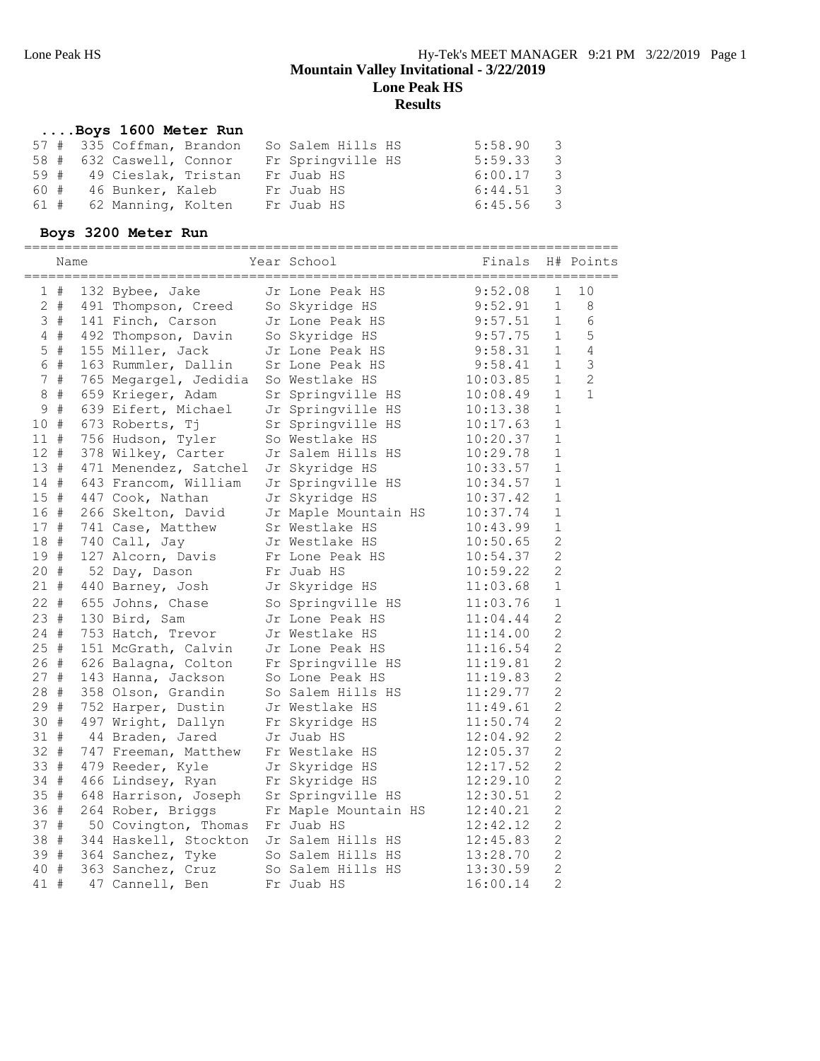# **....Boys 1600 Meter Run**

|  | 57 # 335 Coffman, Brandon | So Salem Hills HS | $5:58.90$ 3 |
|--|---------------------------|-------------------|-------------|
|  | 58 # 632 Caswell, Connor  | Fr Springville HS | $5:59.33$ 3 |
|  | 59 # 49 Cieslak, Tristan  | Fr Juab HS        | $6:00.17$ 3 |
|  | 60 # 46 Bunker, Kaleb     | Fr Juab HS        | 6:44.51 3   |
|  | 61 # 62 Manning, Kolten   | Fr Juab HS        | 6:45.56 3   |

### **Boys 3200 Meter Run**

|             | Name  |                                                                               | Year School          | --<br>Finals H# Points                                 |                |                |
|-------------|-------|-------------------------------------------------------------------------------|----------------------|--------------------------------------------------------|----------------|----------------|
|             |       |                                                                               |                      |                                                        | $\mathbf 1$    | 10             |
|             |       | 1 # 132 Bybee, Jake Jr Lone Peak HS<br>2 # 491 Thompson, Creed So Skyridge HS |                      | $9:52.08$<br>$9:52.91$                                 | $\mathbf{1}$   | 8              |
|             | 3#    | 141 Finch, Carson                                                             | Jr Lone Peak HS      | 9:57.51                                                | $\mathbf{1}$   | 6              |
|             | $4$ # | 492 Thompson, Davin                                                           | So Skyridge HS       |                                                        | $\mathbf{1}$   | 5              |
|             | $5$ # | 155 Miller, Jack                                                              | Jr Lone Peak HS      | 9:57.75<br>9:58.31                                     | $\mathbf{1}$   | 4              |
|             | 6#    | 163 Rummler, Dallin                                                           | Sr Lone Peak HS      | 9:58.41<br>9:58.41<br>10:03.85<br>10:08.40<br>10:08.40 | $\mathbf{1}$   | $\mathcal{S}$  |
|             | 7#    | 765 Megargel, Jedidia                                                         | So Westlake HS       |                                                        | $\mathbf 1$    | $\overline{c}$ |
| $\,8\,$     | #     | 659 Krieger, Adam                                                             | Sr Springville HS    | 10:08.49                                               | $\mathbf{1}$   | $\mathbf{1}$   |
| $\mathsf 9$ | #     | 639 Eifert, Michael                                                           | Jr Springville HS    |                                                        | $\mathbf{1}$   |                |
| 10#         |       | 673 Roberts, Tj                                                               | Sr Springville HS    | 10:17.63                                               | $\mathbf 1$    |                |
| $11$ #      |       | 756 Hudson, Tyler                                                             | So Westlake HS       | 10:20.37                                               | $\mathbf{1}$   |                |
| $12 +$      |       | 378 Wilkey, Carter                                                            | Jr Salem Hills HS    | 10:29.78                                               | $\mathbf 1$    |                |
| 13#         |       | 471 Menendez, Satchel                                                         | Jr Skyridge HS       | 10:33.57                                               | $\mathbf 1$    |                |
| 14#         |       | 643 Francom, William                                                          | Jr Springville HS    | 10:34.57                                               | $\mathbf 1$    |                |
| 15#         |       | 447 Cook, Nathan                                                              | Jr Skyridge HS       | 10:37.42                                               | $\mathbf 1$    |                |
| 16 #        |       | 266 Skelton, David                                                            | Jr Maple Mountain HS | 10:37.74                                               | $\mathbf 1$    |                |
| 17#         |       | 741 Case, Matthew                                                             | Sr Westlake HS       | 10:43.99                                               | $\mathbf 1$    |                |
| 18 #        |       | 740 Call, Jay                                                                 | Jr Westlake HS       | 10:50.65                                               | $\overline{2}$ |                |
| 19#         |       | 127 Alcorn, Davis                                                             | Fr Lone Peak HS      | 10:54.37                                               | $\overline{c}$ |                |
| 20 #        |       | 52 Day, Dason                                                                 | Fr Juab HS           | 10:59.22                                               | $\overline{c}$ |                |
| 21 #        |       | 440 Barney, Josh                                                              | Jr Skyridge HS       | 11:03.68                                               | $1\,$          |                |
| $22 +$      |       | 655 Johns, Chase                                                              | So Springville HS    | 11:03.76                                               | $\mathbf 1$    |                |
| 23#         |       | 130 Bird, Sam                                                                 | Jr Lone Peak HS      | 11:04.44                                               | $\overline{2}$ |                |
| 24 #        |       | 753 Hatch, Trevor                                                             | Jr Westlake HS       | 11:14.00                                               | $\overline{2}$ |                |
| 25#         |       | 151 McGrath, Calvin                                                           | Jr Lone Peak HS      | 11:16.54                                               | $\overline{c}$ |                |
| 26 #        |       | 626 Balagna, Colton                                                           | Fr Springville HS    | 11:19.81                                               | $\overline{c}$ |                |
| 27#         |       | 143 Hanna, Jackson                                                            | So Lone Peak HS      | 11:19.83                                               | $\mathbf{2}$   |                |
| 28#         |       | 358 Olson, Grandin                                                            | So Salem Hills HS    | 11:29.77                                               | $\overline{c}$ |                |
| 29#         |       | 752 Harper, Dustin                                                            | Jr Westlake HS       | 11:49.61                                               | $\overline{c}$ |                |
| 30#         |       | 497 Wright, Dallyn                                                            | Fr Skyridge HS       | 11:50.74                                               | 2              |                |
| 31 #        |       | 44 Braden, Jared                                                              | Jr Juab HS           | 12:04.92                                               | $\overline{c}$ |                |
| $32 +$      |       | 747 Freeman, Matthew                                                          | Fr Westlake HS       | 12:05.37                                               | $\overline{c}$ |                |
| 33#         |       | 479 Reeder, Kyle                                                              | Jr Skyridge HS       | 12:17.52                                               | $\mathbf{2}$   |                |
| 34 #        |       | 466 Lindsey, Ryan                                                             | Fr Skyridge HS       | 12:29.10                                               | $\overline{c}$ |                |
| 35#         |       | 648 Harrison, Joseph                                                          | Sr Springville HS    | 12:30.51                                               | $\overline{c}$ |                |
| 36 #        |       | 264 Rober, Briggs                                                             | Fr Maple Mountain HS | 12:40.21                                               | $\overline{c}$ |                |
| 37 #        |       | 50 Covington, Thomas                                                          | Fr Juab HS           | 12:42.12                                               | $\overline{c}$ |                |
|             |       | 38 # 344 Haskell, Stockton                                                    | Jr Salem Hills HS    | 12:45.83                                               | $\overline{c}$ |                |
| 39 #        |       | 364 Sanchez, Tyke So Salem Hills HS                                           |                      | 13:28.70                                               | $\overline{c}$ |                |
| 40 #        |       | 363 Sanchez, Cruz                                                             | So Salem Hills HS    | 13:30.59                                               | $\overline{c}$ |                |
| 41          | #     | 47 Cannell, Ben                                                               | Fr Juab HS           | 16:00.14                                               | $\overline{2}$ |                |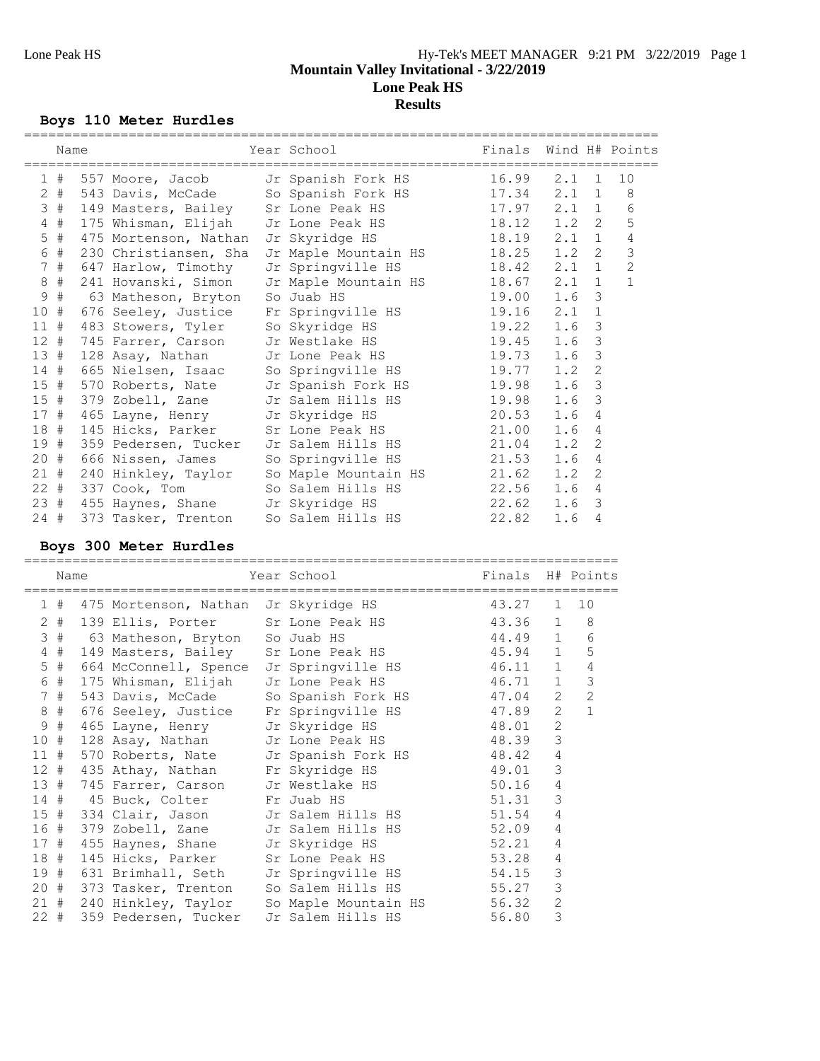# **Boys 110 Meter Hurdles**

|                 | Name  |                                       | Year School                                            | Finals Wind H# Points |       |                |                |
|-----------------|-------|---------------------------------------|--------------------------------------------------------|-----------------------|-------|----------------|----------------|
|                 | 1#    |                                       | 557 Moore, Jacob Jr Spanish Fork HS 16.99 2.1 1        |                       |       |                | 10             |
| $\mathbf{2}$    | #     |                                       | 543 Davis, McCade So Spanish Fork HS 17.34 2.1 1       |                       |       |                | 8              |
|                 | 3#    |                                       | 149 Masters, Bailey Sr Lone Peak HS 17.97 2.1 1        |                       |       |                | 6              |
| $\overline{4}$  | #     |                                       | 175 Whisman, Elijah Jr Lone Peak HS 18.12 1.2 2        |                       |       |                | 5              |
|                 | $5$ # | 475 Mortenson, Nathan Jr Skyridge HS  | 18.19                                                  |                       | 2.1 1 |                | 4              |
| 6               | #     |                                       | 230 Christiansen, Sha Jr Maple Mountain HS 18.25 1.2 2 |                       |       |                | 3              |
| $7\phantom{.0}$ | $\#$  | 647 Harlow, Timothy                   | Jr Springville HS                                      | 18.42 2.1             |       | $\mathbf{1}$   | $\overline{c}$ |
|                 | $8 +$ |                                       | 241 Hovanski, Simon Jr Maple Mountain HS 18.67 2.1     |                       |       | $\mathbf{1}$   | $\mathbf{1}$   |
| $\mathsf 9$     | $\#$  | 63 Matheson, Bryton                   | So Juab HS                                             | 19.00 1.6             |       | 3              |                |
| 10 <sub>o</sub> | #     |                                       | 676 Seeley, Justice Fr Springville HS 19.16            |                       | 2.1   | $\mathbf{1}$   |                |
| 11#             |       | 483 Stowers, Tyler So Skyridge HS     | 19.22                                                  |                       | 1.6   | 3              |                |
| $12$ #          |       |                                       | 745 Farrer, Carson Jr Westlake HS 19.45                |                       | 1.6   | 3              |                |
| 13#             |       |                                       | 128 Asay, Nathan Jr Lone Peak HS 19.73                 |                       | 1.6   | $\mathcal{S}$  |                |
|                 |       |                                       | 14 # 665 Nielsen, Isaac So Springville HS 19.77        |                       | 1.2   | $\mathbf{2}$   |                |
|                 | 15#   |                                       | 570 Roberts, Nate Jr Spanish Fork HS 19.98             |                       | 1.6   | 3              |                |
|                 |       |                                       | 15 # 379 Zobell, Zane Jr Salem Hills HS 19.98          |                       | 1.6   | 3              |                |
| 17#             |       | 465 Layne, Henry Jr Skyridge HS       | 20.53                                                  |                       | 1.6   | 4              |                |
| 18#             |       |                                       | 145 Hicks, Parker Sr Lone Peak HS 21.00                |                       | 1.6   | 4              |                |
|                 |       |                                       | 19 # 359 Pedersen, Tucker Jr Salem Hills HS 21.04      |                       | 1.2   | $\overline{2}$ |                |
| $20 +$          |       | 666 Nissen, James So Springville HS   |                                                        | 21.53                 | 1.6   | 4              |                |
|                 |       |                                       | 21 # 240 Hinkley, Taylor So Maple Mountain HS 21.62    |                       | 1.2   | $\overline{2}$ |                |
|                 |       | 22 # 337 Cook, Tom So Salem Hills HS  |                                                        | 22.56                 | 1.6   | 4              |                |
|                 |       | 23 # 455 Haynes, Shane Jr Skyridge HS | 22.62                                                  |                       | 1.6   | 3              |                |
|                 | 24#   |                                       | 373 Tasker, Trenton So Salem Hills HS 22.82            |                       | 1.6   | 4              |                |

# **Boys 300 Meter Hurdles**

| Name   |                                       | Year School Finals H# Points                        |       |                |                |
|--------|---------------------------------------|-----------------------------------------------------|-------|----------------|----------------|
|        |                                       | 1 # 475 Mortenson, Nathan Jr Skyridge HS 43.27 1 10 |       |                |                |
|        |                                       | 2 # 139 Ellis, Porter Sr Lone Peak HS 43.36 1 8     |       |                |                |
|        |                                       | 3 # 63 Matheson, Bryton So Juab HS 44.49 1 6        |       |                |                |
| $4$ #  |                                       | 149 Masters, Bailey Sr Lone Peak HS 45.94 1 5       |       |                |                |
| $5$ #  |                                       | 664 McConnell, Spence Jr Springville HS 46.11 1 4   |       |                |                |
| 6 #    |                                       | 175 Whisman, Elijah Jr Lone Peak HS 46.71 1         |       |                | $\mathfrak{Z}$ |
| 7#     |                                       | 543 Davis, McCade So Spanish Fork HS 47.04 2        |       |                | $\overline{c}$ |
| $8$ #  |                                       | 676 Seeley, Justice Fr Springville HS 47.89 2       |       |                | $\mathbf{1}$   |
| 9#     |                                       | 465 Layne, Henry Jr Skyridge HS 48.01               |       | $\overline{2}$ |                |
| 10#    |                                       | 128 Asay, Nathan Jr Lone Peak HS 48.39 3            |       |                |                |
|        |                                       | 11 # 570 Roberts, Nate Jr Spanish Fork HS 48.42     |       | $\overline{4}$ |                |
|        |                                       | 12 # 435 Athay, Nathan Fr Skyridge HS 49.01         |       | 3              |                |
|        |                                       | 13 # 745 Farrer, Carson Jr Westlake HS 50.16        |       | $\overline{4}$ |                |
|        | 14 # 45 Buck, Colter Fr Juab HS       |                                                     | 51.31 | 3              |                |
|        |                                       | 15 # 334 Clair, Jason Jr Salem Hills HS 51.54       |       | $\overline{4}$ |                |
|        |                                       | 16 # 379 Zobell, Zane Jr Salem Hills HS 52.09       |       | $\overline{4}$ |                |
|        | 17 # 455 Haynes, Shane Jr Skyridge HS |                                                     | 52.21 | 4              |                |
|        | 18 # 145 Hicks, Parker                | Sr Lone Peak HS 53.28                               |       | 4              |                |
|        |                                       | 19 # 631 Brimhall, Seth Jr Springville HS 54.15     |       | 3              |                |
|        |                                       | 20 # 373 Tasker, Trenton So Salem Hills HS 55.27    |       | 3              |                |
|        |                                       | 21 # 240 Hinkley, Taylor So Maple Mountain HS 56.32 |       | $\overline{c}$ |                |
| $22 +$ | 359 Pedersen, Tucker                  | Jr Salem Hills HS                                   | 56.80 | 3              |                |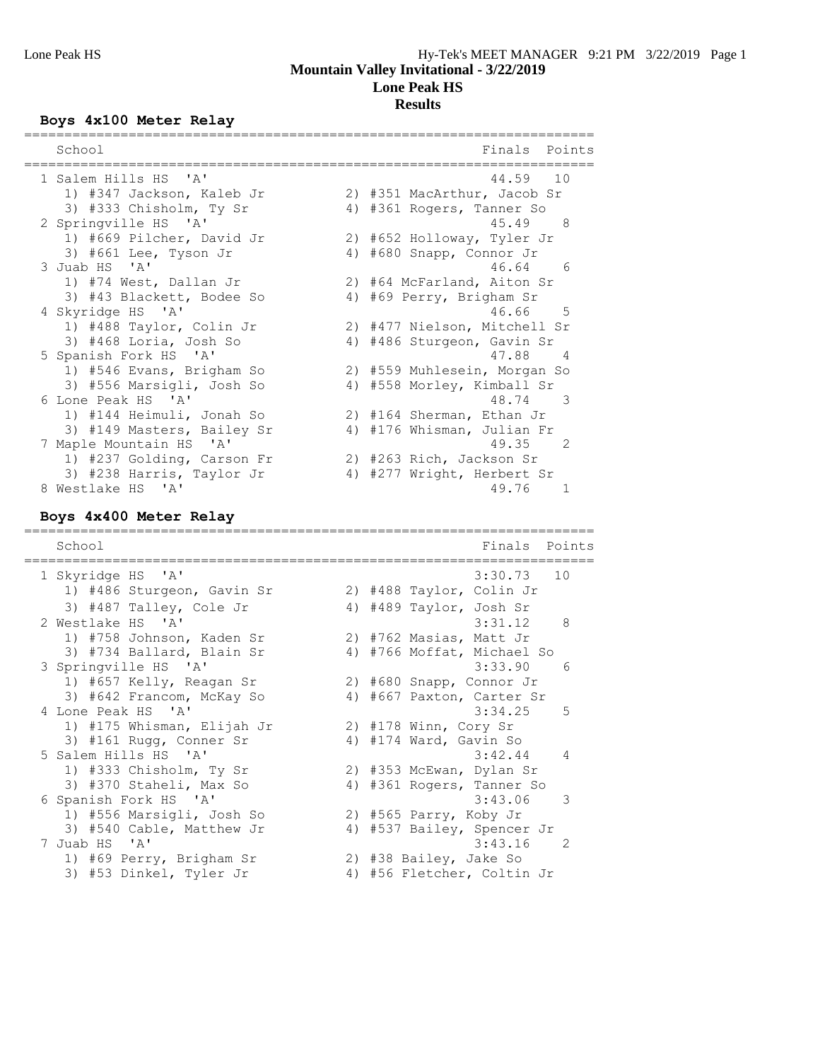# **Boys 4x100 Meter Relay**

| School                     |    | Points<br>Finals                  |
|----------------------------|----|-----------------------------------|
| 1 Salem Hills HS 'A'       |    | 44.59 10                          |
| 1) #347 Jackson, Kaleb Jr  |    | 2) #351 MacArthur, Jacob Sr       |
| 3) #333 Chisholm, Ty Sr    |    | 4) #361 Rogers, Tanner So         |
| 2 Springville HS 'A'       |    | 45.49<br>- 8                      |
| 1) #669 Pilcher, David Jr  |    | 2) #652 Holloway, Tyler Jr        |
| 3) #661 Lee, Tyson Jr      | 4) | #680 Snapp, Connor Jr             |
| 3 Juab HS 'A'              |    | 46.64 6                           |
| 1) #74 West, Dallan Jr     |    | 2) #64 McFarland, Aiton Sr        |
| 3) #43 Blackett, Bodee So  | 4) | #69 Perry, Brigham Sr             |
| 4 Skyridge HS 'A'          |    | 46.66 5                           |
| 1) #488 Taylor, Colin Jr   |    | 2) #477 Nielson, Mitchell Sr      |
| 3) #468 Loria, Josh So     | 4) | #486 Sturgeon, Gavin Sr           |
| 5 Spanish Fork HS 'A'      |    | 47.88<br>$\overline{4}$           |
| 1) #546 Evans, Brigham So  |    | 2) #559 Muhlesein, Morgan So      |
| 3) #556 Marsigli, Josh So  |    | 4) #558 Morley, Kimball Sr        |
| 6 Lone Peak HS 'A'         |    | 48.74<br>$\mathcal{R}$            |
| 1) #144 Heimuli, Jonah So  |    | 2) #164 Sherman, Ethan Jr         |
| 3) #149 Masters, Bailey Sr | 4) | #176 Whisman, Julian Fr           |
| 7 Maple Mountain HS 'A'    |    | 49.35<br>$\overline{\phantom{0}}$ |
| 1) #237 Golding, Carson Fr |    | 2) #263 Rich, Jackson Sr          |
| 3) #238 Harris, Taylor Jr  | 4) | #277 Wright, Herbert Sr           |
| 8 Westlake HS 'A'          |    | 49.76<br>$\mathbf{1}$             |

# **Boys 4x400 Meter Relay**

| School                                           | Finals<br>Points                       |
|--------------------------------------------------|----------------------------------------|
| 1 Skyridge HS 'A'                                | $3:30.73$ 10                           |
| 1) #486 Sturgeon, Gavin Sr                       | 2) #488 Taylor, Colin Jr               |
| 3) #487 Talley, Cole Jr                          | 4) #489 Taylor, Josh Sr                |
| 2 Westlake HS 'A'                                | - 8<br>3:31.12                         |
| 1) #758 Johnson, Kaden Sr                        | 2) #762 Masias, Matt Jr                |
| 3) #734 Ballard, Blain Sr                        | 4) #766 Moffat, Michael So             |
| 3 Springville HS 'A'                             | 3:33.90<br>- 6                         |
| 1) #657 Kelly, Reagan Sr                         | 2) #680 Snapp, Connor Jr               |
| 3) #642 Francom, McKay So                        | 4) #667 Paxton, Carter Sr              |
| 4 Lone Peak HS 'A'<br>1) #175 Whisman, Elijah Jr | 3:34.25<br>-5<br>2) #178 Winn, Cory Sr |
| 3) #161 Rugg, Conner Sr                          | 4) #174 Ward, Gavin So                 |
| 5 Salem Hills HS 'A'                             | $3:42.44$ 4                            |
| 1) #333 Chisholm, Ty Sr                          | 2) #353 McEwan, Dylan Sr               |
| 3) #370 Staheli, Max So                          | 4) #361 Rogers, Tanner So              |
| 6 Spanish Fork HS 'A'                            | 3:43.06<br>3                           |
| 1) #556 Marsigli, Josh So                        | 2) #565 Parry, Koby Jr                 |
| 3) #540 Cable, Matthew Jr                        | 4) #537 Bailey, Spencer Jr             |
| 7 Juab HS 'A'                                    | 3:43.16<br>- 2                         |
| 1) #69 Perry, Brigham Sr                         | 2) #38 Bailey, Jake So                 |
| 3) #53 Dinkel, Tyler Jr                          | 4) #56 Fletcher, Coltin Jr             |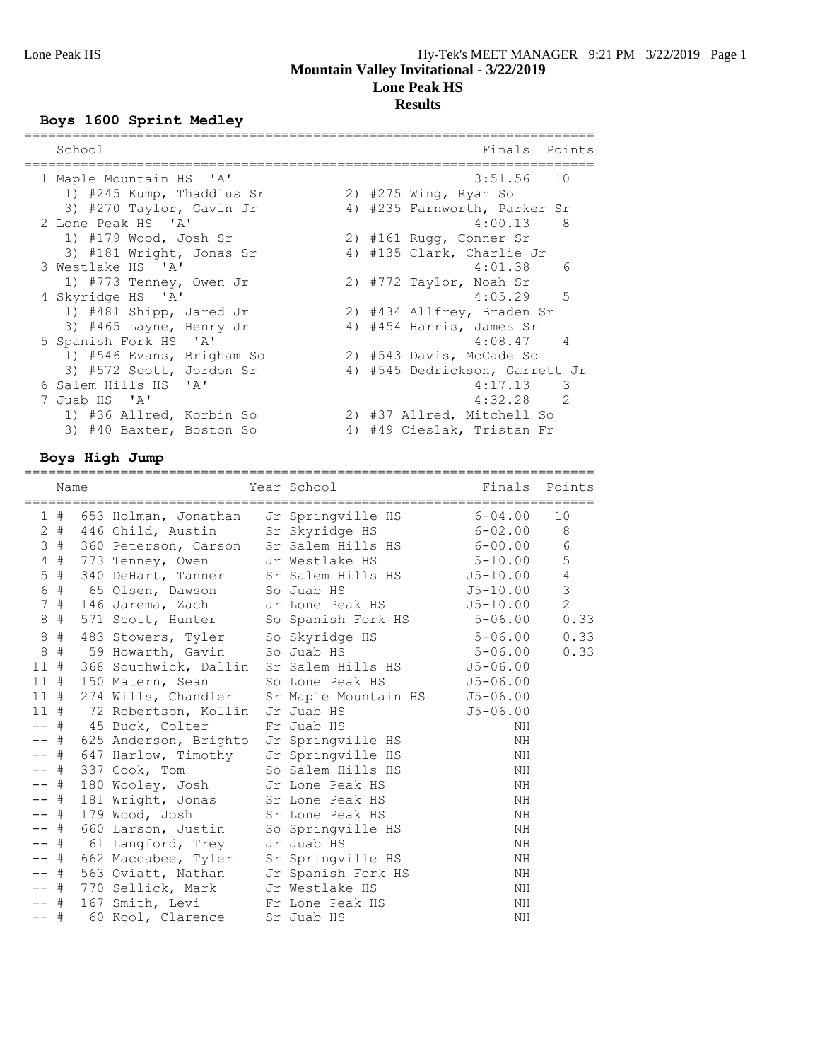# **Boys 1600 Sprint Medley**

| School                    | Finals Points                  |
|---------------------------|--------------------------------|
| 1 Maple Mountain HS 'A'   | $3:51.56$ 10                   |
| 1) #245 Kump, Thaddius Sr | 2) $#275$ Wing, Ryan So        |
| 3) #270 Taylor, Gavin Jr  | 4) #235 Farnworth, Parker Sr   |
| 2 Lone Peak HS 'A'        | 4:00.13<br>- 8                 |
| 1) #179 Wood, Josh Sr     | 2) #161 Rugg, Conner Sr        |
| 3) #181 Wright, Jonas Sr  | 4) #135 Clark, Charlie Jr      |
| 3 Westlake HS 'A'         | 4:01.38<br>6                   |
| 1) #773 Tenney, Owen Jr   | 2) #772 Taylor, Noah Sr        |
| 4 Skyridge HS 'A'         | $4:05.29$ 5                    |
| 1) #481 Shipp, Jared Jr   | 2) #434 Allfrey, Braden Sr     |
| 3) #465 Layne, Henry Jr   | 4) #454 Harris, James Sr       |
| 5 Spanish Fork HS 'A'     | $4:08.47$ 4                    |
| 1) #546 Evans, Brigham So | 2) #543 Davis, McCade So       |
| 3) #572 Scott, Jordon Sr  | 4) #545 Dedrickson, Garrett Jr |
| 6 Salem Hills HS 'A'      | $4:17.13$ 3                    |
| 7 Juab HS 'A'             | $4:32.28$ 2                    |
| 1) #36 Allred, Korbin So  | 2) #37 Allred, Mitchell So     |
| 3) #40 Baxter, Boston So  | 4) #49 Cieslak, Tristan Fr     |
|                           |                                |

# **Boys High Jump**

|            | Name   |                                            | ====================================<br>Year School Louis                                              | Finals Points |                |
|------------|--------|--------------------------------------------|--------------------------------------------------------------------------------------------------------|---------------|----------------|
|            |        |                                            |                                                                                                        |               |                |
|            |        |                                            | 1 # 653 Holman, Jonathan Jr Springville HS 6-04.00                                                     |               | 10             |
|            |        |                                            | 2 # 446 Child, Austin Sr Skyridge HS 6-02.00 8<br>3 # 360 Peterson, Carson Sr Salem Hills HS 6-00.00 6 |               |                |
|            |        |                                            |                                                                                                        |               |                |
|            |        |                                            | 4 # 773 Tenney, Owen Jr Westlake HS 5-10.00                                                            |               | $\overline{5}$ |
|            |        |                                            | 5 # 340 DeHart, Tanner Sr Salem Hills HS 5-10.00                                                       |               | $\overline{4}$ |
| $\epsilon$ |        |                                            |                                                                                                        |               | $\mathsf 3$    |
|            |        |                                            | 7 # 146 Jarema, Zach Jr Lone Peak HS 5-10.00                                                           |               | $\overline{c}$ |
|            |        |                                            | 8 # 571 Scott, Hunter So Spanish Fork HS 5-06.00                                                       |               | 0.33           |
|            | $8$ #  |                                            | 483 Stowers, Tyler So Skyridge HS 5-06.00                                                              |               | 0.33           |
| $\,8\,$    |        |                                            | # 59 Howarth, Gavin So Juab HS 5-06.00                                                                 |               | 0.33           |
|            |        |                                            | 11 # 368 Southwick, Dallin Sr Salem Hills HS 55-06.00                                                  |               |                |
|            |        |                                            | 11 # 150 Matern, Sean So Lone Peak HS 5-06.00                                                          |               |                |
|            |        |                                            | 11 # 274 Wills, Chandler Sr Maple Mountain HS J5-06.00                                                 |               |                |
|            |        |                                            | 11 # 72 Robertson, Kollin Jr Juab HS                                                                   | $J5 - 06.00$  |                |
|            |        | -- # 45 Buck, Colter Fr Juab HS            |                                                                                                        | ΝH            |                |
|            |        |                                            | -- # 625 Anderson, Brighto Jr Springville HS                                                           | ΝH            |                |
|            |        |                                            | -- # 647 Harlow, Timothy Jr Springville HS                                                             | ΝH            |                |
|            |        | -- # 337 Cook, Tom So Salem Hills HS       |                                                                                                        | ΝH            |                |
|            | -- #   | 180 Wooley, Josh Jr Lone Peak HS           |                                                                                                        | ΝH            |                |
| -- #       |        | 181 Wright, Jonas Sr Lone Peak HS          |                                                                                                        | NH            |                |
|            | $--$ # | 179 Wood, Josh Sr Lone Peak HS             |                                                                                                        | ΝH            |                |
|            |        |                                            | -- # 660 Larson, Justin So Springville HS                                                              | ΝH            |                |
|            |        | -- # 61 Langford, Trey Jr Juab HS          |                                                                                                        | ΝH            |                |
|            |        | -- # 662 Maccabee, Tyler Sr Springville HS |                                                                                                        | ΝH            |                |
|            | -- #   |                                            | 563 Oviatt, Nathan Jr Spanish Fork HS                                                                  | ΝH            |                |
|            |        | -- # 770 Sellick, Mark Jr Westlake HS      |                                                                                                        | ΝH            |                |
|            |        | -- # 167 Smith, Levi Fr Lone Peak HS       |                                                                                                        | ΝH            |                |
| $--$ #     |        | 60 Kool, Clarence                          | Sr Juab HS                                                                                             | NH            |                |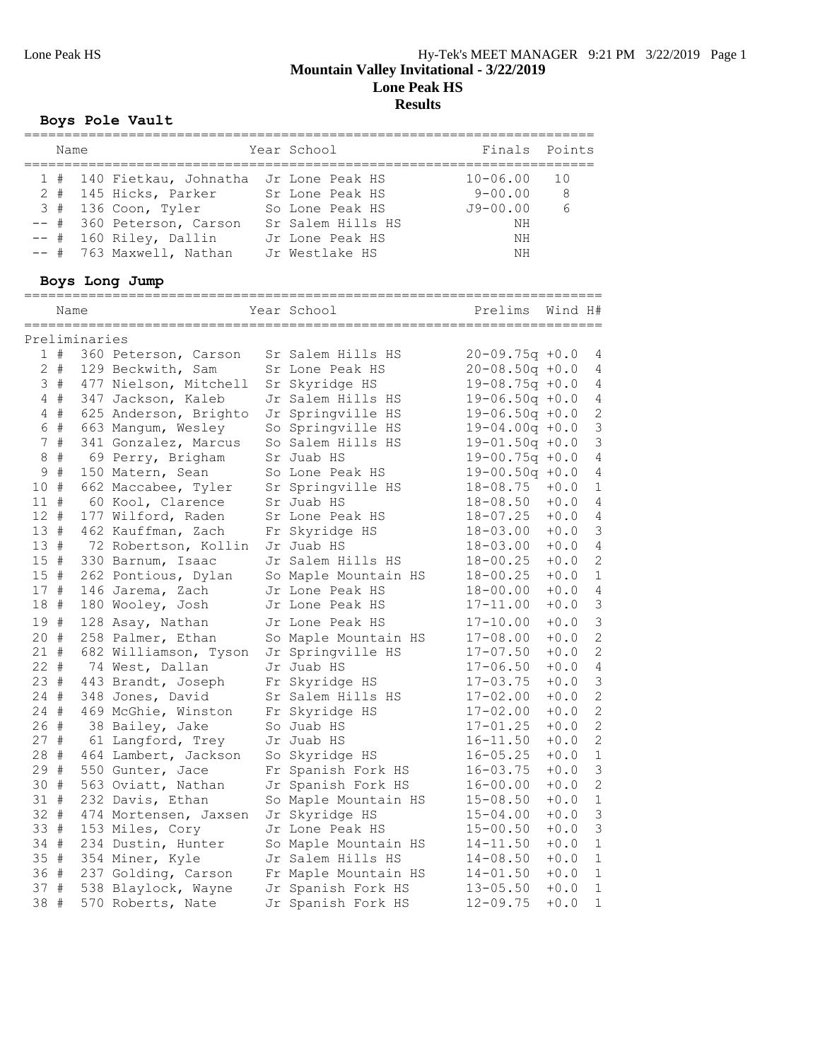# **Boys Pole Vault**

| Name |                                                                                                        | Year School                                                                | Finals Points                                     |               |
|------|--------------------------------------------------------------------------------------------------------|----------------------------------------------------------------------------|---------------------------------------------------|---------------|
|      | 1 # 140 Fietkau, Johnatha<br>2 # 145 Hicks, Parker<br>3 # 136 Coon, Tyler<br>-- # 360 Peterson, Carson | Jr Lone Peak HS<br>Sr Lone Peak HS<br>So Lone Peak HS<br>Sr Salem Hills HS | $10 - 06.00$<br>$9 - 00.00$<br>$J9 - 00.00$<br>NΗ | 10<br>-8<br>6 |
|      | $--$ # 160 Riley, Dallin<br>-- # 763 Maxwell, Nathan                                                   | Jr Lone Peak HS<br>Jr Westlake HS                                          | NH<br>NH                                          |               |

# **Boys Long Jump**

|         | Name  |               |                       | Year School          | Prelims             | Wind H# |                |
|---------|-------|---------------|-----------------------|----------------------|---------------------|---------|----------------|
|         |       | Preliminaries |                       |                      |                     |         |                |
|         | 1#    |               | 360 Peterson, Carson  | Sr Salem Hills HS    | $20 - 09.75q + 0.0$ |         | 4              |
|         | $2 +$ |               | 129 Beckwith, Sam     | Sr Lone Peak HS      | $20 - 08.50q + 0.0$ |         | 4              |
|         | 3#    |               | 477 Nielson, Mitchell | Sr Skyridge HS       | $19 - 08.75q + 0.0$ |         | 4              |
|         | 4#    |               | 347 Jackson, Kaleb    | Jr Salem Hills HS    | $19 - 06.50q + 0.0$ |         | 4              |
|         | $4$ # |               | 625 Anderson, Brighto | Jr Springville HS    | $19 - 06.50q + 0.0$ |         | $\sqrt{2}$     |
|         | 6 #   |               | 663 Mangum, Wesley    | So Springville HS    | $19 - 04.00q + 0.0$ |         | $\mathfrak{Z}$ |
|         | 7#    |               | 341 Gonzalez, Marcus  | So Salem Hills HS    | $19 - 01.50q + 0.0$ |         | $\mathsf 3$    |
| $\,8\,$ | #     |               | 69 Perry, Brigham     | Sr Juab HS           | $19 - 00.75q + 0.0$ |         | 4              |
| 9       | #     |               | 150 Matern, Sean      | So Lone Peak HS      | $19 - 00.50q + 0.0$ |         | $\sqrt{4}$     |
| 10 #    |       |               | 662 Maccabee, Tyler   | Sr Springville HS    | $18 - 08.75$        | $+0.0$  | 1              |
| $11$ #  |       |               | 60 Kool, Clarence     | Sr Juab HS           | $18 - 08.50$        | $+0.0$  | 4              |
| $12 +$  |       |               | 177 Wilford, Raden    | Sr Lone Peak HS      | $18 - 07.25$        | $+0.0$  | 4              |
| 13#     |       |               | 462 Kauffman, Zach    | Fr Skyridge HS       | $18 - 03.00$        | $+0.0$  | 3              |
| 13 #    |       |               | 72 Robertson, Kollin  | Jr Juab HS           | $18 - 03.00$        | $+0.0$  | $\overline{4}$ |
| 15#     |       |               | 330 Barnum, Isaac     | Jr Salem Hills HS    | 18-00.25            | $+0.0$  | $\sqrt{2}$     |
| 15#     |       |               | 262 Pontious, Dylan   | So Maple Mountain HS | $18 - 00.25$        | $+0.0$  | $\mathbf{1}$   |
| 17#     |       |               | 146 Jarema, Zach      | Jr Lone Peak HS      | $18 - 00.00$        | $+0.0$  | 4              |
| 18      | #     |               | 180 Wooley, Josh      | Jr Lone Peak HS      | $17 - 11.00$        | $+0.0$  | $\mathfrak{Z}$ |
| 19#     |       |               | 128 Asay, Nathan      | Jr Lone Peak HS      | $17 - 10.00$        | $+0.0$  | $\mathcal{S}$  |
| 20#     |       |               | 258 Palmer, Ethan     | So Maple Mountain HS | $17 - 08.00$        | $+0.0$  | $\mathbf{2}$   |
| $21 +$  |       |               | 682 Williamson, Tyson | Jr Springville HS    | $17 - 07.50$        | $+0.0$  | $\mathbf{2}$   |
| $22 +$  |       |               | 74 West, Dallan       | Jr Juab HS           | $17 - 06.50$        | $+0.0$  | $\sqrt{4}$     |
| 23#     |       |               | 443 Brandt, Joseph    | Fr Skyridge HS       | $17 - 03.75$        | $+0.0$  | $\mathfrak{Z}$ |
| $24$ #  |       |               | 348 Jones, David      | Sr Salem Hills HS    | $17 - 02.00$        | $+0.0$  | $\sqrt{2}$     |
| $24 +$  |       |               | 469 McGhie, Winston   | Fr Skyridge HS       | $17 - 02.00$        | $+0.0$  | $\sqrt{2}$     |
| 26 #    |       |               | 38 Bailey, Jake       | So Juab HS           | $17 - 01.25$        | $+0.0$  | $\mathbf{2}$   |
| 27#     |       |               | 61 Langford, Trey     | Jr Juab HS           | $16 - 11.50$        | $+0.0$  | $\mathbf{2}$   |
| 28 #    |       |               | 464 Lambert, Jackson  | So Skyridge HS       | $16 - 05.25$        | $+0.0$  | $\mathbf{1}$   |
| 29#     |       |               | 550 Gunter, Jace      | Fr Spanish Fork HS   | $16 - 03.75$        | $+0.0$  | $\mathfrak{Z}$ |
| 30#     |       |               | 563 Oviatt, Nathan    | Jr Spanish Fork HS   | $16 - 00.00$        | $+0.0$  | $\mathbf{2}$   |
| 31 #    |       |               | 232 Davis, Ethan      | So Maple Mountain HS | $15 - 08.50$        | $+0.0$  | $\mathbf 1$    |
| $32 +$  |       |               | 474 Mortensen, Jaxsen | Jr Skyridge HS       | $15 - 04.00$        | $+0.0$  | $\mathfrak{Z}$ |
| 33 #    |       |               | 153 Miles, Cory       | Jr Lone Peak HS      | $15 - 00.50$        | $+0.0$  | $\mathfrak{Z}$ |
| 34 #    |       |               | 234 Dustin, Hunter    | So Maple Mountain HS | $14 - 11.50$        | $+0.0$  | $1\,$          |
| 35 #    |       |               | 354 Miner, Kyle       | Jr Salem Hills HS    | $14 - 08.50$        | $+0.0$  | $\mathbf{1}$   |
| 36 #    |       |               | 237 Golding, Carson   | Fr Maple Mountain HS | $14 - 01.50$        | $+0.0$  | $\mathbf{1}$   |
| 37 #    |       |               | 538 Blaylock, Wayne   | Jr Spanish Fork HS   | $13 - 05.50$        | $+0.0$  | $\mathbf{1}$   |
| 38      | #     |               | 570 Roberts, Nate     | Jr Spanish Fork HS   | 12-09.75            | $+0.0$  | $\mathbf{1}$   |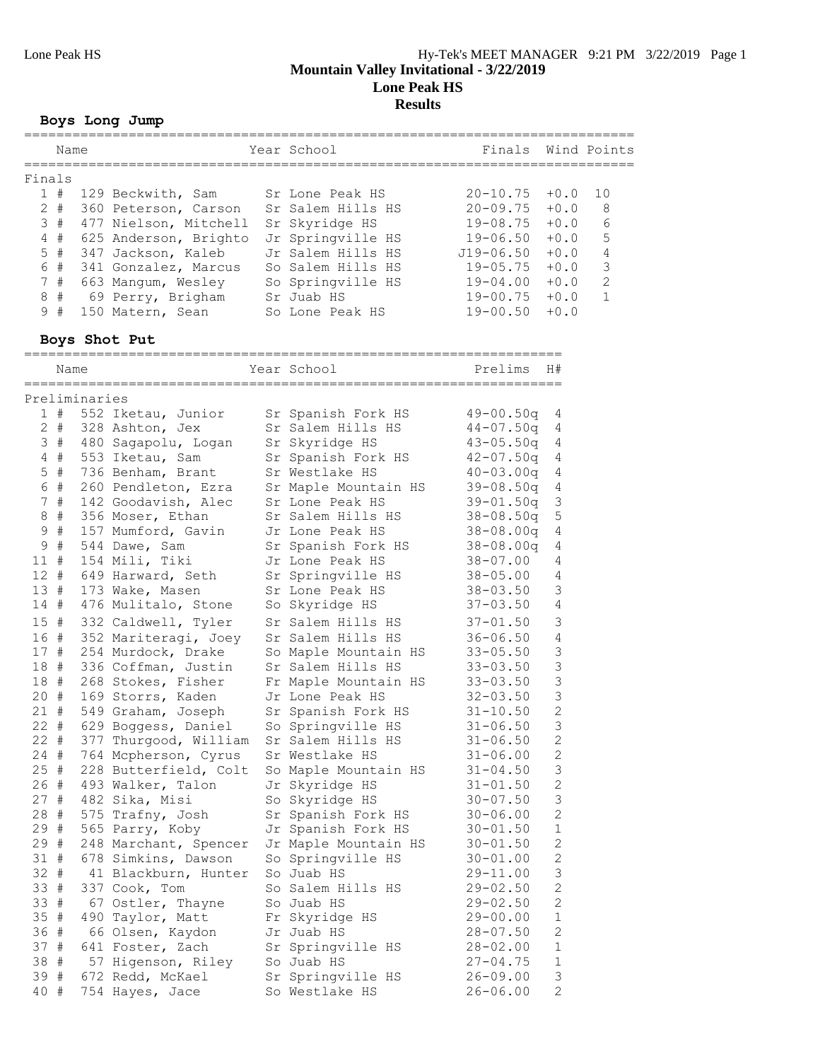#### **Boys Long Jump** ============================================================================

|        | Name        |               |                                         | Year School                            | Finals        |                | Wind Points  |
|--------|-------------|---------------|-----------------------------------------|----------------------------------------|---------------|----------------|--------------|
| Finals |             |               |                                         | ====================================== |               |                |              |
|        | 1#          |               | 129 Beckwith, Sam                       | Sr Lone Peak HS                        | $20 - 10.75$  | $+0.0$         | 10           |
|        | $2 +$       |               | 360 Peterson, Carson                    | Sr Salem Hills HS                      | $20 - 09.75$  | $+0.0$         | 8            |
|        | 3#          |               | 477 Nielson, Mitchell                   | Sr Skyridge HS                         | 19-08.75      | $+0.0$         | 6            |
| 4      | $\#$        |               | 625 Anderson, Brighto                   | Jr Springville HS                      | $19 - 06.50$  | $+0.0$         | 5            |
|        | $5$ #       |               | 347 Jackson, Kaleb                      | Jr Salem Hills HS                      | J19-06.50     | $+0.0$         | 4            |
|        | 6 #         |               | 341 Gonzalez, Marcus                    | So Salem Hills HS                      | $19 - 05.75$  | $+0.0$         | 3            |
|        | 7#          |               | 663 Mangum, Wesley                      | So Springville HS                      | 19-04.00      | $+0.0$         | $\mathbf{2}$ |
| 8      | #           |               | 69 Perry, Brigham                       | Sr Juab HS                             | 19-00.75      | $+0.0$         | $\mathbf 1$  |
|        | 9#          |               | 150 Matern, Sean                        | So Lone Peak HS                        | $19 - 00.50$  | $+0.0$         |              |
|        |             |               | Boys Shot Put                           |                                        |               |                |              |
|        | Name        |               |                                         | Year School                            | Prelims       | H#             |              |
|        |             |               |                                         |                                        |               |                |              |
|        |             | Preliminaries |                                         |                                        |               |                |              |
|        |             |               | 1 # 552 Iketau, Junior                  | Sr Spanish Fork HS                     | $49 - 00.50q$ | 4              |              |
|        | $2 \#$      |               | 328 Ashton, Jex                         | Sr Salem Hills HS                      | $44 - 07.50q$ | 4              |              |
|        | 3#          |               | 480 Sagapolu, Logan                     | Sr Skyridge HS                         | $43 - 05.50q$ | 4              |              |
|        | 4#          |               | 553 Iketau, Sam                         | Sr Spanish Fork HS                     | $42 - 07.50q$ | 4              |              |
|        | $5$ #       |               | 736 Benham, Brant                       | Sr Westlake HS                         | $40 - 03.00q$ | 4              |              |
|        | 6 #         |               | 260 Pendleton, Ezra                     | Sr Maple Mountain HS                   | $39 - 08.50q$ | 4              |              |
|        | 7#          |               | 142 Goodavish, Alec                     | Sr Lone Peak HS                        | $39 - 01.50q$ | 3              |              |
|        | $8 +$       |               | 356 Moser, Ethan                        | Sr Salem Hills HS                      | $38 - 08.50q$ | 5              |              |
| 9      | #           |               | 157 Mumford, Gavin                      | Jr Lone Peak HS                        | $38 - 08.00q$ | 4              |              |
| 9      | $_{\rm \#}$ |               | 544 Dawe, Sam                           | Sr Spanish Fork HS                     | $38 - 08.00q$ | 4              |              |
| 11     | #           |               | 154 Mili, Tiki                          | Jr Lone Peak HS                        | $38 - 07.00$  | 4              |              |
| $12 +$ |             |               | 649 Harward, Seth                       | Sr Springville HS                      | $38 - 05.00$  | 4              |              |
| 13#    |             |               | 173 Wake, Masen                         | Sr Lone Peak HS                        | $38 - 03.50$  | 3              |              |
| 14#    |             |               | 476 Mulitalo, Stone                     | So Skyridge HS                         | $37 - 03.50$  | 4              |              |
| 15#    |             |               | 332 Caldwell, Tyler                     | Sr Salem Hills HS                      | $37 - 01.50$  | 3              |              |
| 16 #   |             |               | 352 Mariteragi, Joey                    | Sr Salem Hills HS                      | $36 - 06.50$  | 4              |              |
| 17#    |             |               | 254 Murdock, Drake                      | So Maple Mountain HS                   | $33 - 05.50$  | 3              |              |
|        | 18 #        |               | 336 Coffman, Justin                     | Sr Salem Hills HS                      | $33 - 03.50$  | 3              |              |
| 18#    |             |               | 268 Stokes, Fisher                      | Fr Maple Mountain HS                   | $33 - 03.50$  | 3              |              |
| 20#    |             |               | 169 Storrs, Kaden                       | Jr Lone Peak HS                        | $32 - 03.50$  | $\mathsf 3$    |              |
|        | 21#         |               | 549 Graham, Joseph                      | Sr Spanish Fork HS                     | $31 - 10.50$  | $\overline{c}$ |              |
| $22 +$ |             |               | 629 Boggess, Daniel                     | So Springville HS                      | $31 - 06.50$  | 3              |              |
| 22 #   |             |               | 377 Thurgood, William Sr Salem Hills HS |                                        | $31 - 06.50$  |                |              |
| 24 #   |             |               | 764 Mcpherson, Cyrus                    | Sr Westlake HS                         | $31 - 06.00$  | 2              |              |
|        | 25 #        |               | 228 Butterfield, Colt                   | So Maple Mountain HS                   | $31 - 04.50$  | 3              |              |
| 26 #   |             |               | 493 Walker, Talon                       | Jr Skyridge HS                         | $31 - 01.50$  | $\mathbf 2$    |              |
| 27#    |             |               | 482 Sika, Misi                          | So Skyridge HS                         | $30 - 07.50$  | 3              |              |
| 28 #   |             |               | 575 Trafny, Josh                        | Sr Spanish Fork HS                     | $30 - 06.00$  | 2              |              |
| 29 #   |             |               | 565 Parry, Koby                         | Jr Spanish Fork HS                     | $30 - 01.50$  | 1              |              |
| 29 #   |             |               | 248 Marchant, Spencer                   | Jr Maple Mountain HS                   | $30 - 01.50$  | 2              |              |
| 31#    |             |               | 678 Simkins, Dawson                     | So Springville HS                      | $30 - 01.00$  | 2              |              |
| 32 #   |             |               | 41 Blackburn, Hunter                    | So Juab HS                             | $29 - 11.00$  | 3              |              |
| 33 #   |             |               | 337 Cook, Tom                           | So Salem Hills HS                      | $29 - 02.50$  | 2              |              |
| 33 #   |             |               | 67 Ostler, Thayne                       | So Juab HS                             | $29 - 02.50$  | 2              |              |
| 35#    |             |               | 490 Taylor, Matt                        | Fr Skyridge HS                         | $29 - 00.00$  | 1              |              |
|        |             |               |                                         |                                        |               |                |              |
| 36 #   |             |               | 66 Olsen, Kaydon                        | Jr Juab HS                             | $28 - 07.50$  | 2              |              |
| 37#    |             |               | 641 Foster, Zach                        | Sr Springville HS                      | $28 - 02.00$  | 1              |              |
| 38 #   |             |               | 57 Higenson, Riley                      | So Juab HS                             | $27 - 04.75$  | 1              |              |
| 39 #   |             |               | 672 Redd, McKael                        | Sr Springville HS                      | $26 - 09.00$  | 3              |              |
|        | 40 #        |               | 754 Hayes, Jace                         | So Westlake HS                         | $26 - 06.00$  | 2              |              |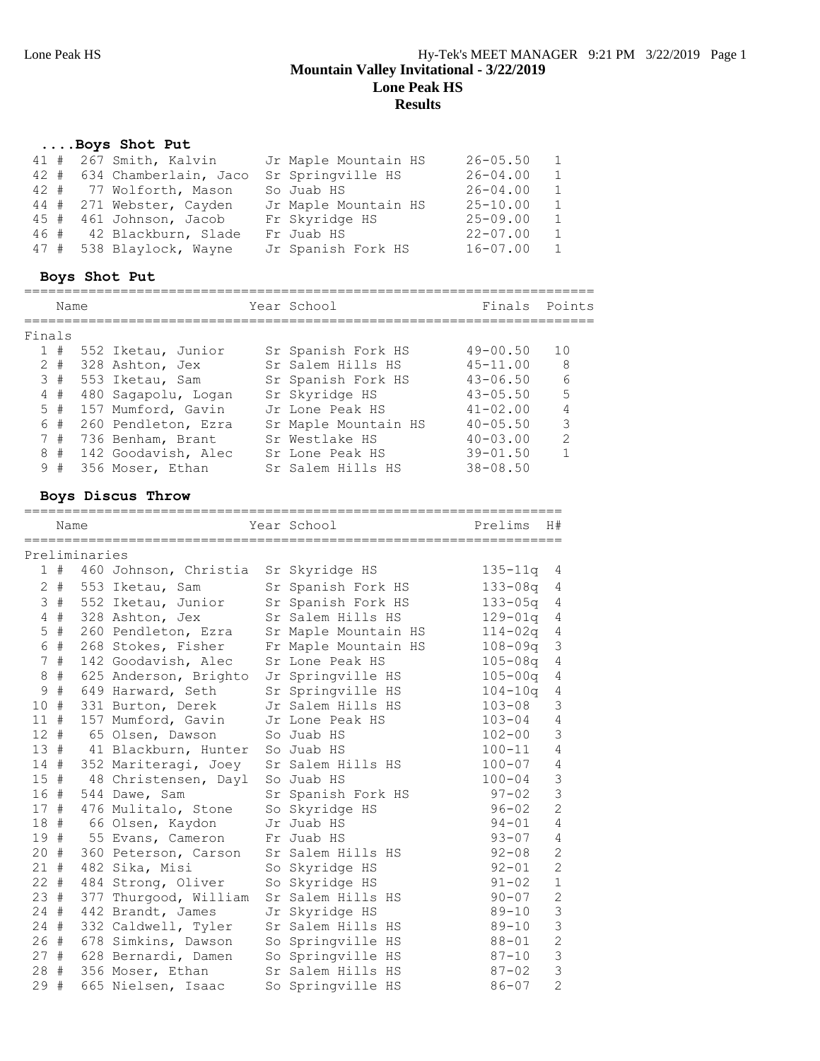| Boys Shot Put              |                      |              |                |
|----------------------------|----------------------|--------------|----------------|
| 41 # 267 Smith, Kalvin     | Jr Maple Mountain HS | $26 - 05.50$ | $\overline{1}$ |
| 42 # 634 Chamberlain, Jaco | Sr Springville HS    | $26 - 04.00$ | $\overline{1}$ |
| 42 # 77 Wolforth, Mason    | So Juab HS           | $26 - 04.00$ | $\overline{1}$ |
| 44 # 271 Webster, Cayden   | Jr Maple Mountain HS | $25 - 10.00$ | $\overline{1}$ |
| 45 # 461 Johnson, Jacob    | Fr Skyridge HS       | $25 - 09.00$ | - 1            |
| 46 # 42 Blackburn, Slade   | Fr Juab HS           | $22 - 07.00$ | $\overline{1}$ |
| 47 # 538 Blaylock, Wayne   | Jr Spanish Fork HS   | $16 - 07.00$ | - 1            |
|                            |                      |              |                |

# **Boys Shot Put**

|   | Name   |  |                     |  | Year School          | Finals Points |                |  |  |  |
|---|--------|--|---------------------|--|----------------------|---------------|----------------|--|--|--|
|   | Finals |  |                     |  |                      |               |                |  |  |  |
|   | 1#     |  | 552 Iketau, Junior  |  | Sr Spanish Fork HS   | $49 - 00.50$  | 10             |  |  |  |
|   | $2 +$  |  | 328 Ashton, Jex     |  | Sr Salem Hills HS    | $45 - 11.00$  | - 8            |  |  |  |
|   | 3#     |  | 553 Iketau, Sam     |  | Sr Spanish Fork HS   | $43 - 06.50$  | 6              |  |  |  |
|   | $4$ #  |  | 480 Saqapolu, Loqan |  | Sr Skyridge HS       | $43 - 05.50$  | 5              |  |  |  |
|   | $5$ #  |  | 157 Mumford, Gavin  |  | Jr Lone Peak HS      | $41 - 02.00$  | $\overline{4}$ |  |  |  |
|   | 6 #    |  | 260 Pendleton, Ezra |  | Sr Maple Mountain HS | $40 - 05.50$  | 3              |  |  |  |
|   | 7#     |  | 736 Benham, Brant   |  | Sr Westlake HS       | $40 - 03.00$  | $\mathcal{L}$  |  |  |  |
| 8 | #      |  | 142 Goodavish, Alec |  | Sr Lone Peak HS      | $39 - 01.50$  | $\mathbf{1}$   |  |  |  |
|   | 9#     |  | 356 Moser, Ethan    |  | Sr Salem Hills HS    | $38 - 08.50$  |                |  |  |  |

### **Boys Discus Throw**

|            | Name        |               |                                      | =======================<br>Year School | Prelims     | H#             |
|------------|-------------|---------------|--------------------------------------|----------------------------------------|-------------|----------------|
|            |             | Preliminaries |                                      |                                        |             |                |
|            | 1#          |               | 460 Johnson, Christia Sr Skyridge HS |                                        | $135 - 11q$ | 4              |
| 2          | #           |               | 553 Iketau, Sam                      | Sr Spanish Fork HS                     | $133 - 08q$ | 4              |
| 3          | #           |               | 552 Iketau, Junior                   | Sr Spanish Fork HS                     | $133 - 05q$ | 4              |
| 4          | #           |               | 328 Ashton, Jex                      | Sr Salem Hills HS                      | $129 - 01q$ | 4              |
| 5          | $_{\rm \#}$ |               | 260 Pendleton, Ezra                  | Sr Maple Mountain HS                   | $114 - 02q$ | 4              |
| $\sqrt{6}$ | #           |               | 268 Stokes, Fisher                   | Fr Maple Mountain HS                   | $108 - 09q$ | 3              |
| 7          | #           |               | 142 Goodavish, Alec                  | Sr Lone Peak HS                        | $105 - 08q$ | 4              |
| $\,8\,$    | $\#$        |               | 625 Anderson, Brighto                | Jr Springville HS                      | $105 - 00q$ | 4              |
| 9          | $\#$        |               | 649 Harward, Seth                    | Sr Springville HS                      | $104 - 10q$ | 4              |
| 10         | #           |               | 331 Burton, Derek                    | Jr Salem Hills HS                      | $103 - 08$  | 3              |
| 11#        |             |               | 157 Mumford, Gavin                   | Jr Lone Peak HS                        | $103 - 04$  | $\sqrt{4}$     |
| 12#        |             |               | 65 Olsen, Dawson                     | So Juab HS                             | $102 - 00$  | 3              |
|            |             |               | 13 # 41 Blackburn, Hunter            | So Juab HS                             | $100 - 11$  | $\overline{4}$ |
|            | 14#         |               | 352 Mariteragi, Joey                 | Sr Salem Hills HS                      | $100 - 07$  | 4              |
| $15$ #     |             |               | 48 Christensen, Dayl So Juab HS      |                                        | $100 - 04$  | $\mathcal{S}$  |
| 16#        |             |               | 544 Dawe, Sam                        | Sr Spanish Fork HS                     | $97 - 02$   | $\overline{3}$ |
| 17#        |             |               | 476 Mulitalo, Stone                  | So Skyridge HS                         | $96 - 02$   | $\overline{2}$ |
| 18#        |             |               | 66 Olsen, Kaydon                     | Jr Juab HS                             | $94 - 01$   | $\overline{4}$ |
| 19 #       |             |               | 55 Evans, Cameron                    | Fr Juab HS                             | $93 - 07$   | $\overline{4}$ |
| 20#        |             |               | 360 Peterson, Carson                 | Sr Salem Hills HS                      | $92 - 08$   | $\overline{2}$ |
| 21         | #           |               | 482 Sika, Misi                       | So Skyridge HS                         | $92 - 01$   | $\overline{2}$ |
| $22 +$     |             |               | 484 Strong, Oliver                   | So Skyridge HS                         | $91 - 02$   | $\mathbf 1$    |
| 23#        |             |               | 377 Thurgood, William                | Sr Salem Hills HS                      | $90 - 07$   | $\overline{c}$ |
| $24 +$     |             |               | 442 Brandt, James                    | Jr Skyridge HS                         | $89 - 10$   | 3              |
| 24#        |             |               | 332 Caldwell, Tyler                  | Sr Salem Hills HS                      | $89 - 10$   | 3              |
| 26#        |             |               | 678 Simkins, Dawson                  | So Springville HS                      | $88 - 01$   | $\overline{2}$ |
| 27#        |             |               | 628 Bernardi, Damen                  | So Springville HS                      | $87 - 10$   | 3              |
| 28 #       |             |               | 356 Moser, Ethan                     | Sr Salem Hills HS                      | $87 - 02$   | 3              |
| 29 #       |             |               | 665 Nielsen, Isaac                   | So Springville HS                      | $86 - 07$   | $\overline{2}$ |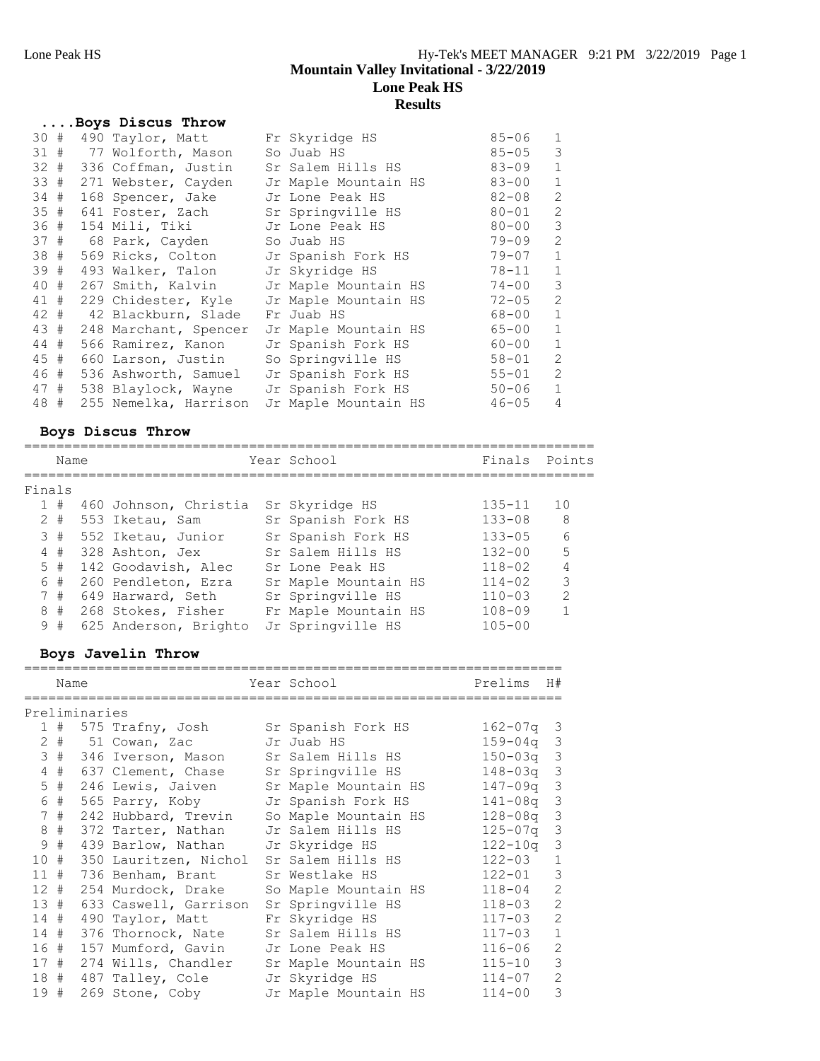|      |      | Boys Discus Throw                            |                                             |           |                |
|------|------|----------------------------------------------|---------------------------------------------|-----------|----------------|
| 30#  |      | 490 Taylor, Matt                             | Fr Skyridge HS                              | $85 - 06$ | 1              |
|      |      | 31 # 77 Wolforth, Mason                      | So Juab HS                                  | $85 - 05$ | 3              |
|      |      | 32 # 336 Coffman, Justin                     | Sr Salem Hills HS                           | 83-09     | $\mathbf{1}$   |
|      |      | 33 # 271 Webster, Cayden                     | Jr Maple Mountain HS                        | 83-00     | $\mathbf{1}$   |
|      |      | 34 # 168 Spencer, Jake Jr Lone Peak HS       |                                             | $82 - 08$ | $\overline{c}$ |
|      |      | 35 # 641 Foster, Zach Sr Springville HS      |                                             | $80 - 01$ | $\overline{c}$ |
|      |      | 36 # 154 Mili, Tiki Jr Lone Peak HS          |                                             | $80 - 00$ | 3              |
| 37#  |      | 68 Park, Cayden                              | So Juab HS                                  | $79 - 09$ | $\overline{2}$ |
|      |      | 38 # 569 Ricks, Colton                       | Jr Spanish Fork HS                          | $79 - 07$ | $\mathbf{1}$   |
| 39 # |      | 493 Walker, Talon Jr Skyridge HS             |                                             | 78-11     | $\mathbf{1}$   |
|      |      |                                              | 40 # 267 Smith, Kalvin Jr Maple Mountain HS | $74 - 00$ | 3              |
| 41 # |      |                                              | 229 Chidester, Kyle    Jr Maple Mountain HS | 72-05     | 2              |
|      |      | 42 # 42 Blackburn, Slade                     | Fr Juab HS                                  | 68-00     | $\mathbf{1}$   |
|      | 43 # | 248 Marchant, Spencer                        | Jr Maple Mountain HS                        | 65-00     | $\mathbf{1}$   |
|      | 44 # | 566 Ramirez, Kanon                           | Jr Spanish Fork HS                          | $60 - 00$ | $\mathbf{1}$   |
|      |      | 45 # 660 Larson, Justin                      | So Springville HS                           | 58-01     | 2              |
|      |      | 46 # 536 Ashworth, Samuel Jr Spanish Fork HS |                                             | $55 - 01$ | $\overline{c}$ |
|      |      | 47 # 538 Blaylock, Wayne Jr Spanish Fork HS  |                                             | $50 - 06$ | $\mathbf{1}$   |
| 48 # |      | 255 Nemelka, Harrison                        | Jr Maple Mountain HS                        | $46 - 05$ | $\overline{4}$ |

### **Boys Discus Throw**

|        | Name  |                        | Year School          | Finals Points |                |
|--------|-------|------------------------|----------------------|---------------|----------------|
| Finals |       |                        |                      |               |                |
|        | 1#    | 460 Johnson, Christia  | Sr Skyridge HS       | $135 - 11$    | 10             |
|        | $2 +$ | 553 Iketau, Sam        | Sr Spanish Fork HS   | $133 - 08$    | 8              |
|        | 3#    | 552 Iketau, Junior     | Sr Spanish Fork HS   | $133 - 05$    | 6              |
|        | 4#    | 328 Ashton, Jex        | Sr Salem Hills HS    | $132 - 00$    | $\overline{5}$ |
|        | 5#    | 142 Goodavish, Alec    | Sr Lone Peak HS      | $118 - 02$    | $\overline{4}$ |
|        | 6 #   | 260 Pendleton, Ezra    | Sr Maple Mountain HS | $114 - 02$    | 3              |
|        | 7#    | 649 Harward, Seth      | Sr Springville HS    | $110 - 03$    | $\mathcal{P}$  |
|        |       | 8 # 268 Stokes, Fisher | Fr Maple Mountain HS | $108 - 09$    |                |
|        | 9#    | 625 Anderson, Brighto  | Jr Springville HS    | $105 - 00$    |                |
|        |       |                        |                      |               |                |

# **Boys Javelin Throw**

|                 | Name  |  |                                     |  | Year School          | Prelims      | H#             |  |
|-----------------|-------|--|-------------------------------------|--|----------------------|--------------|----------------|--|
| Preliminaries   |       |  |                                     |  |                      |              |                |  |
|                 | 1#    |  | 575 Trafny, Josh Sr Spanish Fork HS |  |                      | $162 - 07q$  | 3              |  |
| $\mathbf{2}$    | #     |  | 51 Cowan, Zac                       |  | Jr Juab HS           | $159 - 04$ q | 3              |  |
| 3               | #     |  | 346 Iverson, Mason                  |  | Sr Salem Hills HS    | $150 - 03q$  | 3              |  |
| $\overline{4}$  | #     |  | 637 Clement, Chase                  |  | Sr Springville HS    | 148-03a      | 3              |  |
|                 | $5$ # |  | 246 Lewis, Jaiven                   |  | Sr Maple Mountain HS | 147-09q      | 3              |  |
| 6               | #     |  | 565 Parry, Koby                     |  | Jr Spanish Fork HS   | 141-08a      | 3              |  |
| 7               | #     |  | 242 Hubbard, Trevin                 |  | So Maple Mountain HS | $128 - 08q$  | 3              |  |
| 8               | #     |  | 372 Tarter, Nathan                  |  | Jr Salem Hills HS    | $125 - 07q$  | 3              |  |
| 9               | #     |  | 439 Barlow, Nathan                  |  | Jr Skyridge HS       | $122 - 10q$  | 3              |  |
| 10              | #     |  | 350 Lauritzen, Nichol               |  | Sr Salem Hills HS    | $122 - 03$   | $\mathbf{1}$   |  |
| 11              | #     |  | 736 Benham, Brant                   |  | Sr Westlake HS       | $122 - 01$   | 3              |  |
| 12 <sup>7</sup> | #     |  | 254 Murdock, Drake                  |  | So Maple Mountain HS | $118 - 04$   | $\overline{2}$ |  |
| 13#             |       |  | 633 Caswell, Garrison               |  | Sr Springville HS    | $118 - 03$   | $\overline{2}$ |  |
| 14              | #     |  | 490 Taylor, Matt                    |  | Fr Skyridge HS       | $117 - 03$   | $\overline{2}$ |  |
| 14#             |       |  | 376 Thornock, Nate                  |  | Sr Salem Hills HS    | $117 - 03$   | $\mathbf{1}$   |  |
| 16#             |       |  | 157 Mumford, Gavin                  |  | Jr Lone Peak HS      | $116 - 06$   | $\overline{2}$ |  |
| 17#             |       |  | 274 Wills, Chandler                 |  | Sr Maple Mountain HS | $115 - 10$   | 3              |  |
| 18 #            |       |  | 487 Talley, Cole                    |  | Jr Skyridge HS       | $114 - 07$   | $\overline{2}$ |  |
| 19 #            |       |  | 269 Stone, Coby                     |  | Jr Maple Mountain HS | $114 - 00$   | 3              |  |